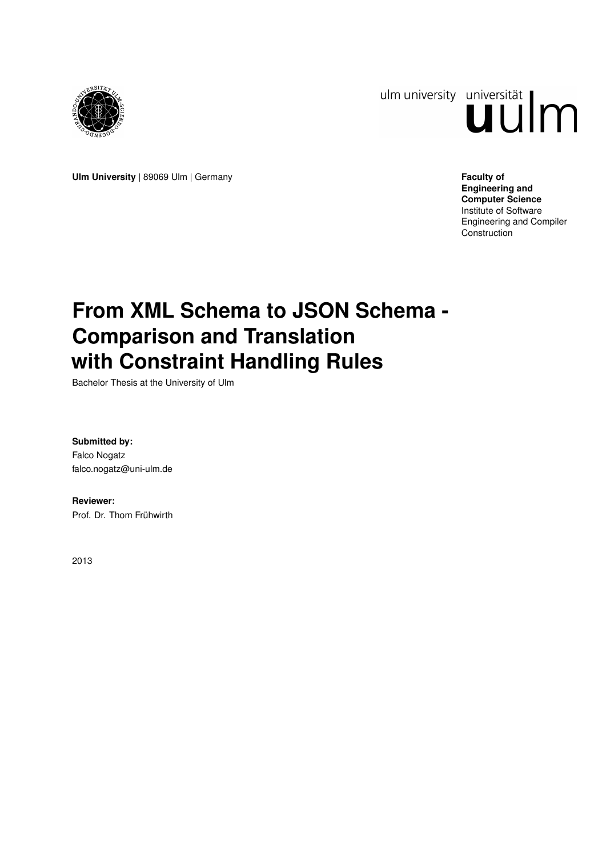

ulm university universität Im

**Ulm University** | 89069 Ulm | Germany **Faculty of Faculty of Faculty of Faculty of** 

**Engineering and Computer Science** Institute of Software Engineering and Compiler **Construction** 

# **From XML Schema to JSON Schema - Comparison and Translation with Constraint Handling Rules**

Bachelor Thesis at the University of Ulm

**Submitted by:** Falco Nogatz falco.nogatz@uni-ulm.de

**Reviewer:** Prof. Dr. Thom Frühwirth

2013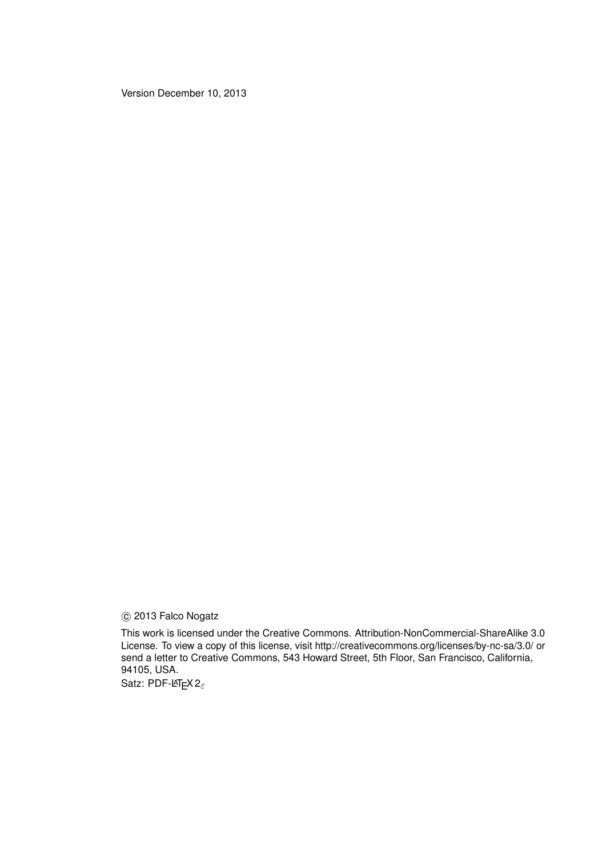Version December 10, 2013

c 2013 Falco Nogatz

This work is licensed under the Creative Commons. Attribution-NonCommercial-ShareAlike 3.0 License. To view a copy of this license, visit http://creativecommons.org/licenses/by-nc-sa/3.0/ or send a letter to Creative Commons, 543 Howard Street, 5th Floor, San Francisco, California, 94105, USA.

Satz: PDF-L<sub>ATE</sub> X 2<sub>ε</sub>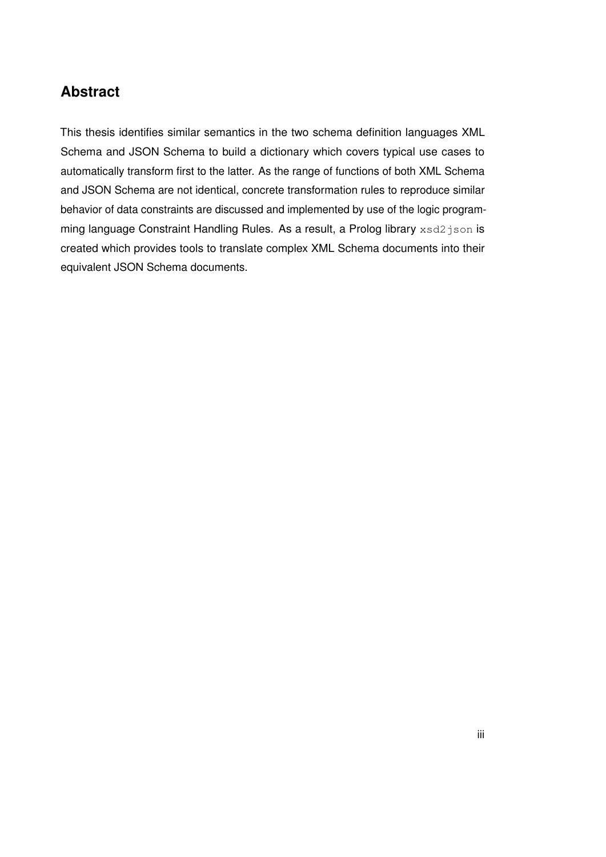# **Abstract**

This thesis identifies similar semantics in the two schema definition languages XML Schema and JSON Schema to build a dictionary which covers typical use cases to automatically transform first to the latter. As the range of functions of both XML Schema and JSON Schema are not identical, concrete transformation rules to reproduce similar behavior of data constraints are discussed and implemented by use of the logic programming language Constraint Handling Rules. As a result, a Prolog library xsd2 json is created which provides tools to translate complex XML Schema documents into their equivalent JSON Schema documents.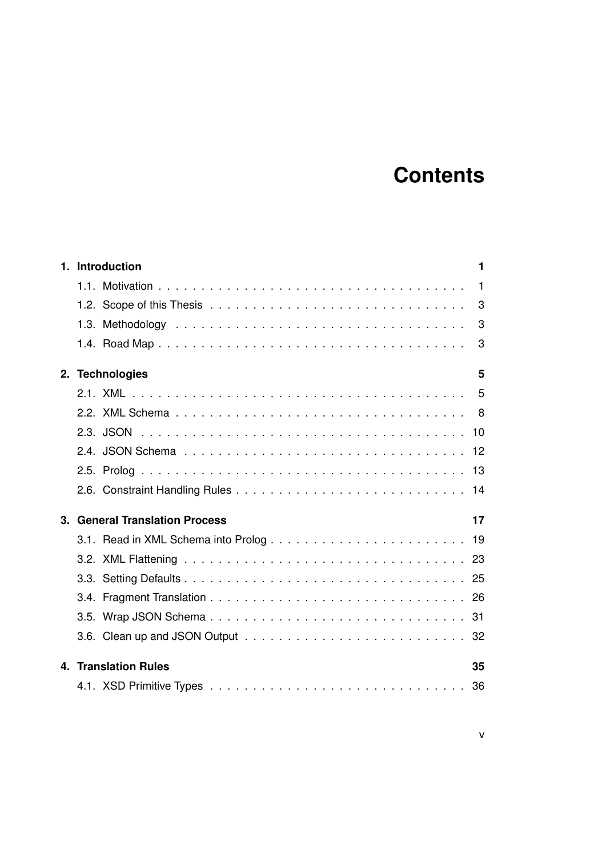# **Contents**

|    | 1. Introduction                    | 1              |  |  |  |
|----|------------------------------------|----------------|--|--|--|
|    |                                    | $\overline{1}$ |  |  |  |
|    |                                    | 3              |  |  |  |
|    |                                    | 3              |  |  |  |
|    |                                    | 3              |  |  |  |
| 2. | <b>Technologies</b>                | 5              |  |  |  |
|    |                                    |                |  |  |  |
|    |                                    |                |  |  |  |
|    |                                    |                |  |  |  |
|    |                                    |                |  |  |  |
|    |                                    |                |  |  |  |
|    |                                    |                |  |  |  |
| 3. | <b>General Translation Process</b> | 17             |  |  |  |
|    |                                    |                |  |  |  |
|    |                                    |                |  |  |  |
|    |                                    |                |  |  |  |
|    |                                    |                |  |  |  |
|    |                                    |                |  |  |  |
|    |                                    |                |  |  |  |
| 4. | <b>Translation Rules</b>           |                |  |  |  |
|    |                                    |                |  |  |  |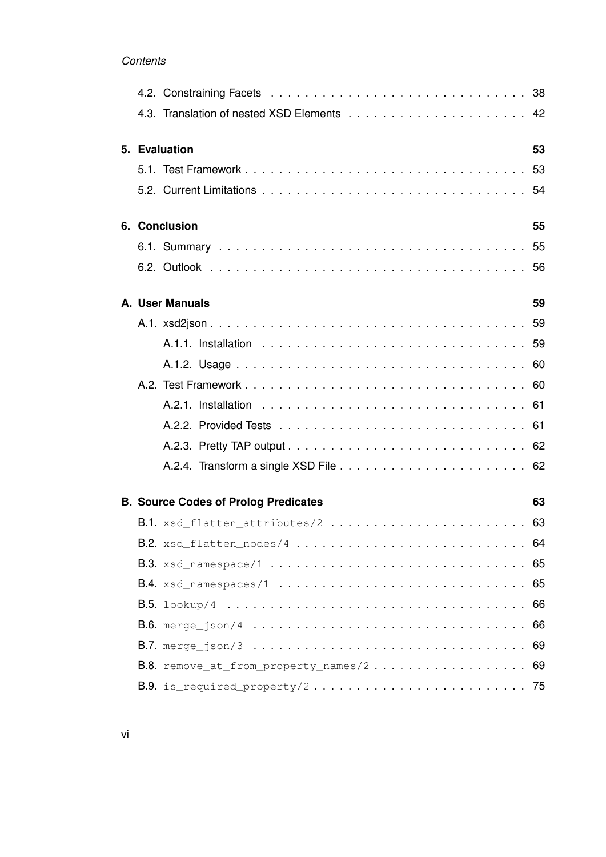# *Contents*

|                     |                                             | 42 |  |
|---------------------|---------------------------------------------|----|--|
| 5. Evaluation<br>53 |                                             |    |  |
|                     |                                             |    |  |
|                     |                                             |    |  |
|                     | 6. Conclusion                               | 55 |  |
|                     |                                             |    |  |
|                     |                                             |    |  |
|                     | A. User Manuals                             | 59 |  |
|                     |                                             |    |  |
|                     |                                             |    |  |
|                     |                                             |    |  |
|                     |                                             |    |  |
|                     |                                             |    |  |
|                     |                                             |    |  |
|                     |                                             |    |  |
|                     |                                             |    |  |
|                     | <b>B. Source Codes of Prolog Predicates</b> | 63 |  |
|                     | B.1. xsd_flatten_attributes/2  63           |    |  |
|                     |                                             |    |  |
|                     |                                             |    |  |
|                     | B.4. xsd_namespaces/1  65                   |    |  |
|                     |                                             |    |  |
|                     |                                             |    |  |
|                     |                                             |    |  |
|                     | B.8. remove_at_from_property_names/2 69     |    |  |
|                     |                                             |    |  |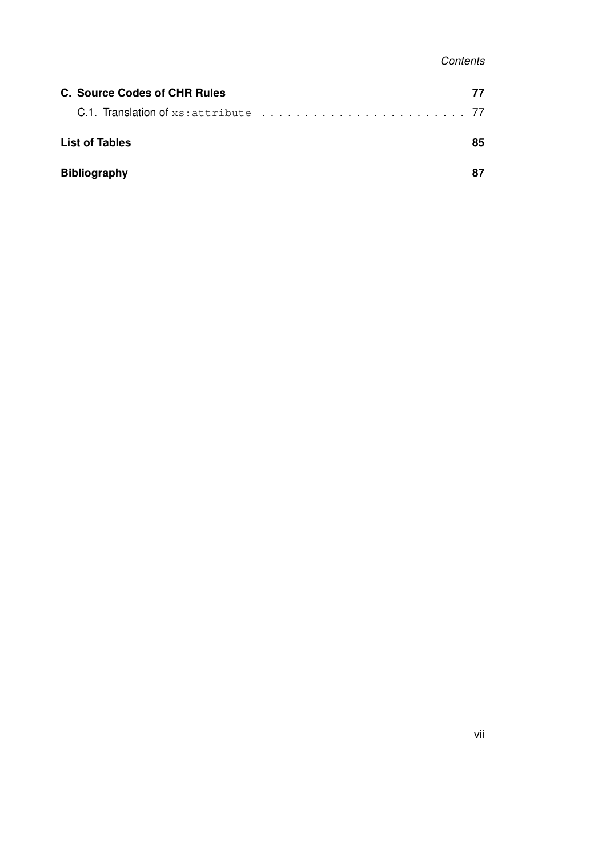| C. Source Codes of CHR Rules | 77 |
|------------------------------|----|
|                              |    |
| <b>List of Tables</b>        |    |
| <b>Bibliography</b>          | 87 |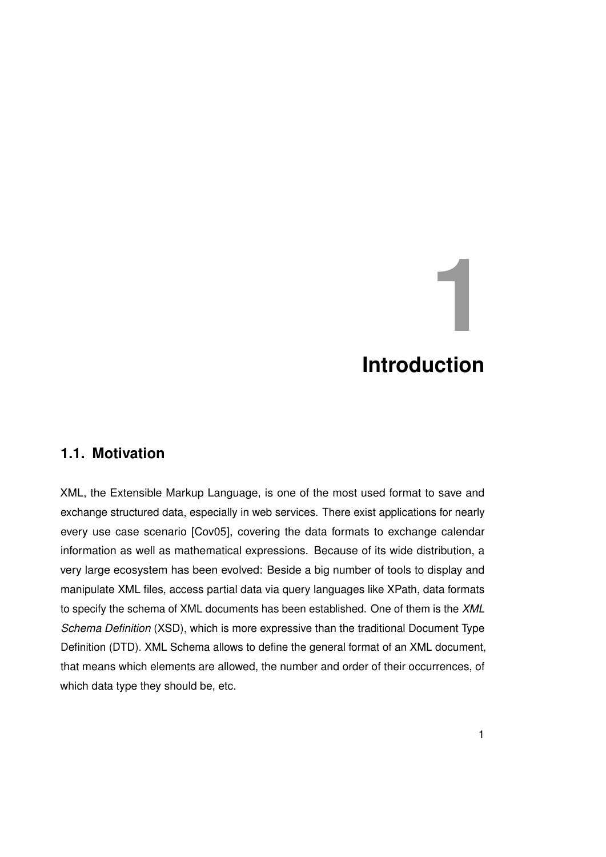# <span id="page-8-0"></span>**1 Introduction**

# <span id="page-8-1"></span>**1.1. Motivation**

XML, the Extensible Markup Language, is one of the most used format to save and exchange structured data, especially in web services. There exist applications for nearly every use case scenario [\[Cov05\]](#page-94-1), covering the data formats to exchange calendar information as well as mathematical expressions. Because of its wide distribution, a very large ecosystem has been evolved: Beside a big number of tools to display and manipulate XML files, access partial data via query languages like XPath, data formats to specify the schema of XML documents has been established. One of them is the *XML Schema Definition* (XSD), which is more expressive than the traditional Document Type Definition (DTD). XML Schema allows to define the general format of an XML document, that means which elements are allowed, the number and order of their occurrences, of which data type they should be, etc.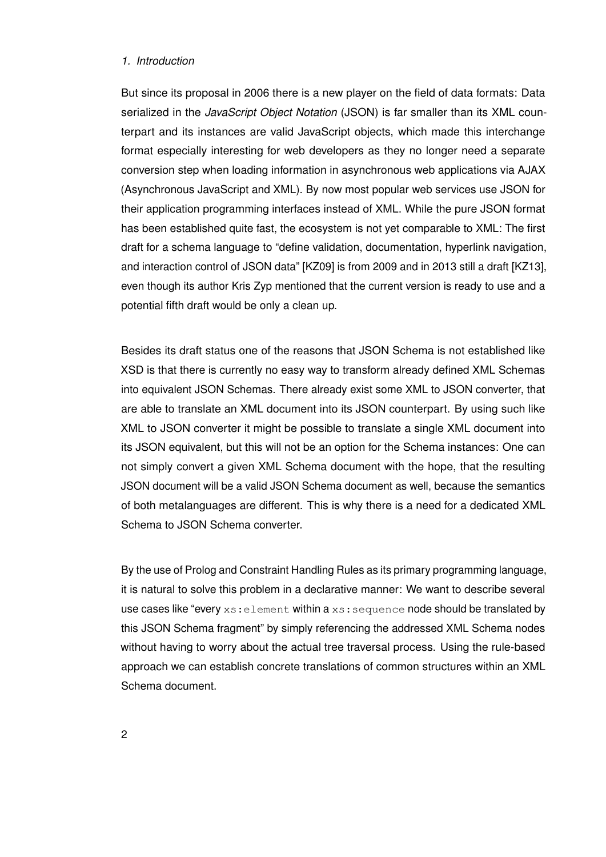# *1. Introduction*

But since its proposal in 2006 there is a new player on the field of data formats: Data serialized in the *JavaScript Object Notation* (JSON) is far smaller than its XML counterpart and its instances are valid JavaScript objects, which made this interchange format especially interesting for web developers as they no longer need a separate conversion step when loading information in asynchronous web applications via AJAX (Asynchronous JavaScript and XML). By now most popular web services use JSON for their application programming interfaces instead of XML. While the pure JSON format has been established quite fast, the ecosystem is not yet comparable to XML: The first draft for a schema language to "define validation, documentation, hyperlink navigation, and interaction control of JSON data" [KZ09] is from 2009 and in 2013 still a draft [KZ13], even though its author Kris Zyp mentioned that the current version is ready to use and a potential fifth draft would be only a clean up.

Besides its draft status one of the reasons that JSON Schema is not established like XSD is that there is currently no easy way to transform already defined XML Schemas into equivalent JSON Schemas. There already exist some XML to JSON converter, that are able to translate an XML document into its JSON counterpart. By using such like XML to JSON converter it might be possible to translate a single XML document into its JSON equivalent, but this will not be an option for the Schema instances: One can not simply convert a given XML Schema document with the hope, that the resulting JSON document will be a valid JSON Schema document as well, because the semantics of both metalanguages are different. This is why there is a need for a dedicated XML Schema to JSON Schema converter.

By the use of Prolog and Constraint Handling Rules as its primary programming language, it is natural to solve this problem in a declarative manner: We want to describe several use cases like "every  $xs:$  element within a  $xs:$  sequence node should be translated by this JSON Schema fragment" by simply referencing the addressed XML Schema nodes without having to worry about the actual tree traversal process. Using the rule-based approach we can establish concrete translations of common structures within an XML Schema document.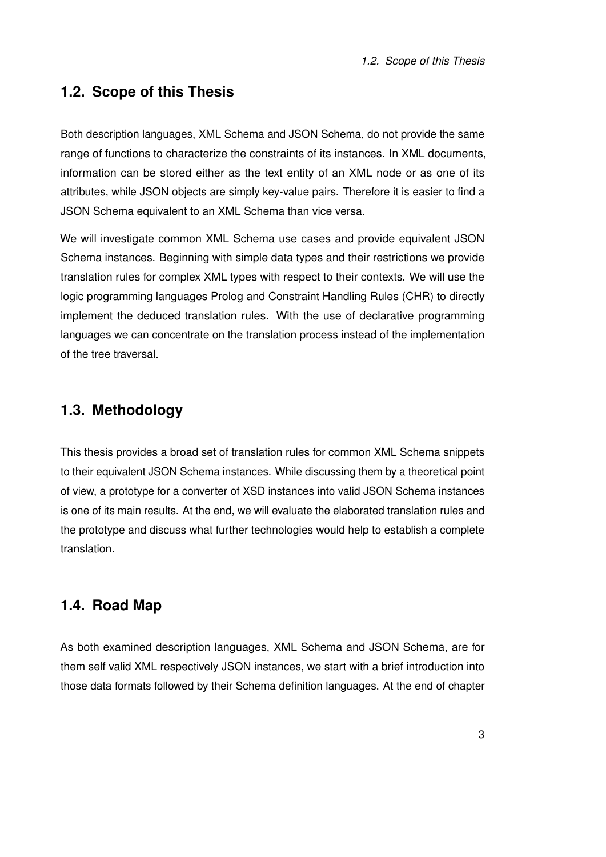# <span id="page-10-0"></span>**1.2. Scope of this Thesis**

Both description languages, XML Schema and JSON Schema, do not provide the same range of functions to characterize the constraints of its instances. In XML documents, information can be stored either as the text entity of an XML node or as one of its attributes, while JSON objects are simply key-value pairs. Therefore it is easier to find a JSON Schema equivalent to an XML Schema than vice versa.

We will investigate common XML Schema use cases and provide equivalent JSON Schema instances. Beginning with simple data types and their restrictions we provide translation rules for complex XML types with respect to their contexts. We will use the logic programming languages Prolog and Constraint Handling Rules (CHR) to directly implement the deduced translation rules. With the use of declarative programming languages we can concentrate on the translation process instead of the implementation of the tree traversal.

# <span id="page-10-1"></span>**1.3. Methodology**

This thesis provides a broad set of translation rules for common XML Schema snippets to their equivalent JSON Schema instances. While discussing them by a theoretical point of view, a prototype for a converter of XSD instances into valid JSON Schema instances is one of its main results. At the end, we will evaluate the elaborated translation rules and the prototype and discuss what further technologies would help to establish a complete translation.

# <span id="page-10-2"></span>**1.4. Road Map**

As both examined description languages, XML Schema and JSON Schema, are for them self valid XML respectively JSON instances, we start with a brief introduction into those data formats followed by their Schema definition languages. At the end of chapter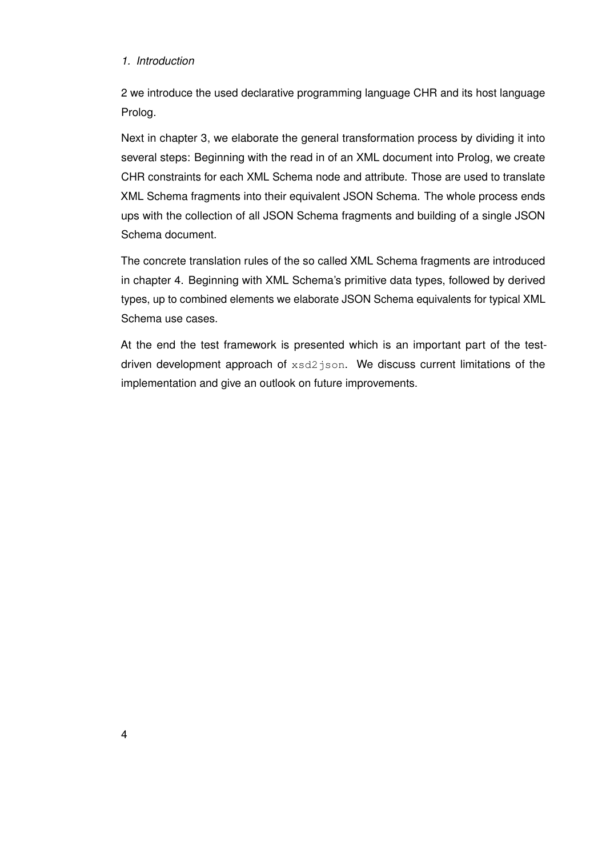# *1. Introduction*

[2](#page-12-0) we introduce the used declarative programming language CHR and its host language Prolog.

Next in chapter [3,](#page-24-0) we elaborate the general transformation process by dividing it into several steps: Beginning with the read in of an XML document into Prolog, we create CHR constraints for each XML Schema node and attribute. Those are used to translate XML Schema fragments into their equivalent JSON Schema. The whole process ends ups with the collection of all JSON Schema fragments and building of a single JSON Schema document.

The concrete translation rules of the so called XML Schema fragments are introduced in chapter [4.](#page-42-0) Beginning with XML Schema's primitive data types, followed by derived types, up to combined elements we elaborate JSON Schema equivalents for typical XML Schema use cases.

At the end the test framework is presented which is an important part of the testdriven development approach of xsd2json. We discuss current limitations of the implementation and give an outlook on future improvements.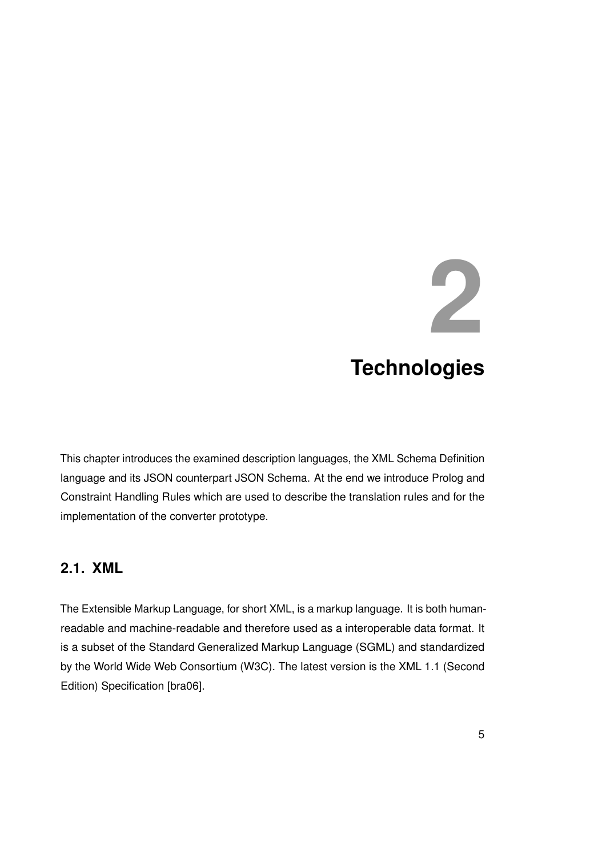# <span id="page-12-0"></span>**2 Technologies**

This chapter introduces the examined description languages, the XML Schema Definition language and its JSON counterpart JSON Schema. At the end we introduce Prolog and Constraint Handling Rules which are used to describe the translation rules and for the implementation of the converter prototype.

# <span id="page-12-1"></span>**2.1. XML**

The Extensible Markup Language, for short XML, is a markup language. It is both humanreadable and machine-readable and therefore used as a interoperable data format. It is a subset of the Standard Generalized Markup Language (SGML) and standardized by the World Wide Web Consortium (W3C). The latest version is the XML 1.1 (Second Edition) Specification [\[bra06\]](#page-94-2).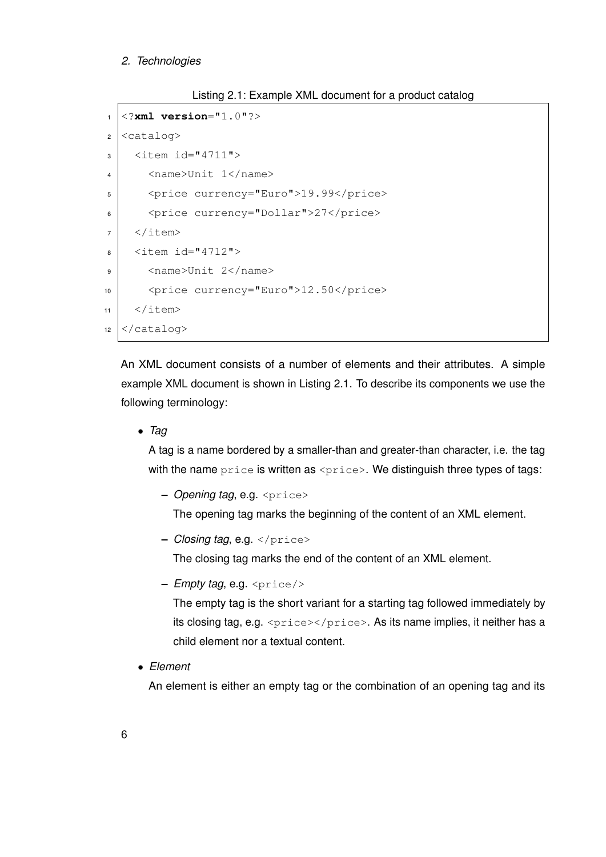# *2. Technologies*

```
Listing 2.1: Example XML document for a product catalog
```

```
1 <?xml version="1.0"?>
2 <catalog>
\vert <item id="4711">
4 <name>Unit 1</name>
5 <price currency="Euro">19.99</price>
6 <price currency="Dollar">27</price>
7 \mid \langle / \text{item} \rangle8 <item id="4712">
9 <name>Unit 2</name>
10 <price currency="Euro">12.50</price>
11 </item>
12 \times \text{catalog}
```
An XML document consists of a number of elements and their attributes. A simple example XML document is shown in Listing [2.1.](#page-13-0) To describe its components we use the following terminology:

• *Tag*

A tag is a name bordered by a smaller-than and greater-than character, i.e. the tag with the name price is written as <price>. We distinguish three types of tags:

**–** *Opening tag*, e.g. <price>

The opening tag marks the beginning of the content of an XML element.

**–** *Closing tag*, e.g. </price>

The closing tag marks the end of the content of an XML element.

**–** *Empty tag*, e.g. <price/>

The empty tag is the short variant for a starting tag followed immediately by its closing tag, e.g. <price></price>. As its name implies, it neither has a child element nor a textual content.

• *Element*

An element is either an empty tag or the combination of an opening tag and its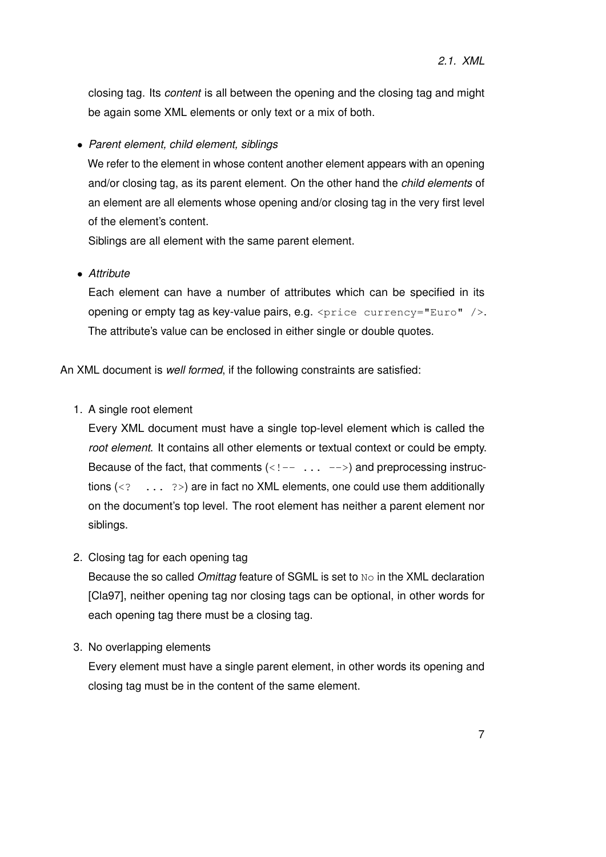closing tag. Its *content* is all between the opening and the closing tag and might be again some XML elements or only text or a mix of both.

• *Parent element, child element, siblings*

We refer to the element in whose content another element appears with an opening and/or closing tag, as its parent element. On the other hand the *child elements* of an element are all elements whose opening and/or closing tag in the very first level of the element's content.

Siblings are all element with the same parent element.

• *Attribute*

Each element can have a number of attributes which can be specified in its opening or empty tag as key-value pairs, e.g.  $\langle$ price currency="Euro"  $/$ >. The attribute's value can be enclosed in either single or double quotes.

An XML document is *well formed*, if the following constraints are satisfied:

1. A single root element

Every XML document must have a single top-level element which is called the *root element*. It contains all other elements or textual context or could be empty. Because of the fact, that comments  $\left\langle \langle 1 - \ldots - \rangle \right\rangle$  and preprocessing instructions  $\langle \langle \cdot \rangle$  ...  $\langle \cdot \rangle$  are in fact no XML elements, one could use them additionally on the document's top level. The root element has neither a parent element nor siblings.

2. Closing tag for each opening tag

Because the so called *Omittag* feature of SGML is set to No in the XML declaration [\[Cla97\]](#page-94-3), neither opening tag nor closing tags can be optional, in other words for each opening tag there must be a closing tag.

3. No overlapping elements

Every element must have a single parent element, in other words its opening and closing tag must be in the content of the same element.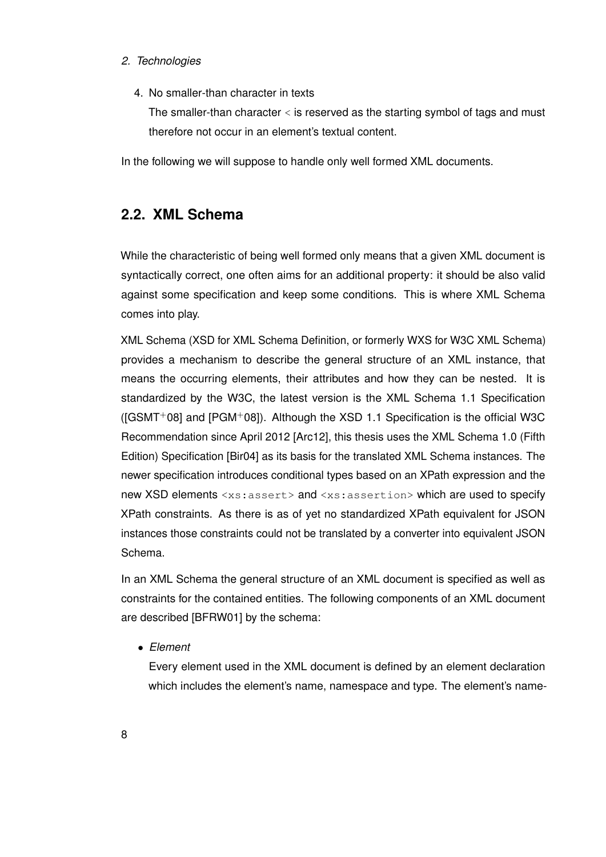# *2. Technologies*

4. No smaller-than character in texts

The smaller-than character < is reserved as the starting symbol of tags and must therefore not occur in an element's textual content.

In the following we will suppose to handle only well formed XML documents.

# <span id="page-15-0"></span>**2.2. XML Schema**

While the characteristic of being well formed only means that a given XML document is syntactically correct, one often aims for an additional property: it should be also valid against some specification and keep some conditions. This is where XML Schema comes into play.

XML Schema (XSD for XML Schema Definition, or formerly WXS for W3C XML Schema) provides a mechanism to describe the general structure of an XML instance, that means the occurring elements, their attributes and how they can be nested. It is standardized by the W3C, the latest version is the XML Schema 1.1 Specification ( $[GSMT+08]$  $[GSMT+08]$  and  $[PGM+08]$  $[PGM+08]$ ). Although the XSD 1.1 Specification is the official W3C Recommendation since April 2012 [\[Arc12\]](#page-94-4), this thesis uses the XML Schema 1.0 (Fifth Edition) Specification [\[Bir04\]](#page-94-5) as its basis for the translated XML Schema instances. The newer specification introduces conditional types based on an XPath expression and the new XSD elements <xs:assert> and <xs:assertion> which are used to specify XPath constraints. As there is as of yet no standardized XPath equivalent for JSON instances those constraints could not be translated by a converter into equivalent JSON Schema.

In an XML Schema the general structure of an XML document is specified as well as constraints for the contained entities. The following components of an XML document are described [\[BFRW01\]](#page-94-6) by the schema:

• *Element*

Every element used in the XML document is defined by an element declaration which includes the element's name, namespace and type. The element's name-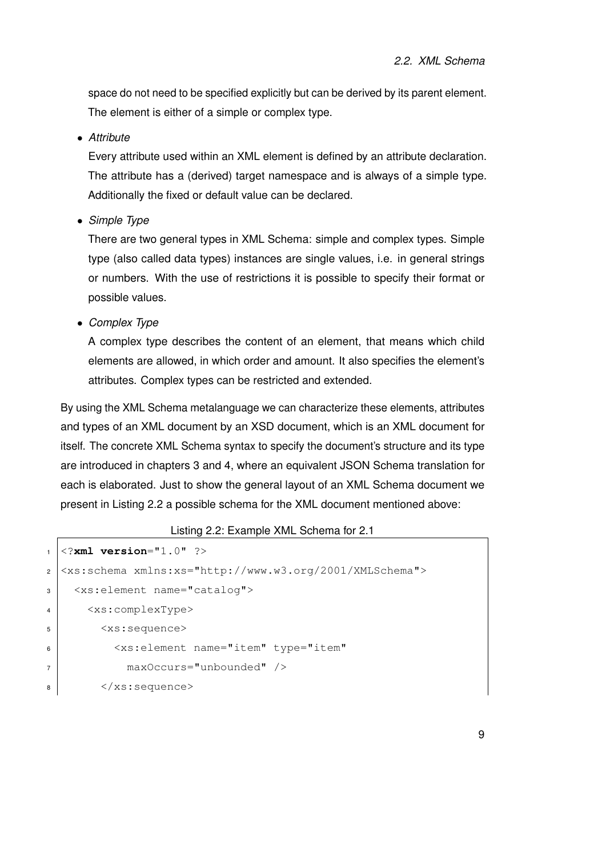space do not need to be specified explicitly but can be derived by its parent element. The element is either of a simple or complex type.

• *Attribute*

Every attribute used within an XML element is defined by an attribute declaration. The attribute has a (derived) target namespace and is always of a simple type. Additionally the fixed or default value can be declared.

• *Simple Type*

There are two general types in XML Schema: simple and complex types. Simple type (also called data types) instances are single values, i.e. in general strings or numbers. With the use of restrictions it is possible to specify their format or possible values.

• *Complex Type*

A complex type describes the content of an element, that means which child elements are allowed, in which order and amount. It also specifies the element's attributes. Complex types can be restricted and extended.

By using the XML Schema metalanguage we can characterize these elements, attributes and types of an XML document by an XSD document, which is an XML document for itself. The concrete XML Schema syntax to specify the document's structure and its type are introduced in chapters [3](#page-24-0) and [4,](#page-42-0) where an equivalent JSON Schema translation for each is elaborated. Just to show the general layout of an XML Schema document we present in Listing [2.2](#page-16-0) a possible schema for the XML document mentioned above:

```
Listing 2.2: Example XML Schema for 2.1
```

```
1 <?xml version="1.0" ?>
2 <xs:schema xmlns:xs="http://www.w3.org/2001/XMLSchema">
3 <xs:element name="catalog">
4 <xs:complexType>
5 <xs:sequence>
6 <xs:element name="item" type="item"
7 maxOccurs="unbounded" />
8 \mid \langle x \rangle </xs: sequence>
```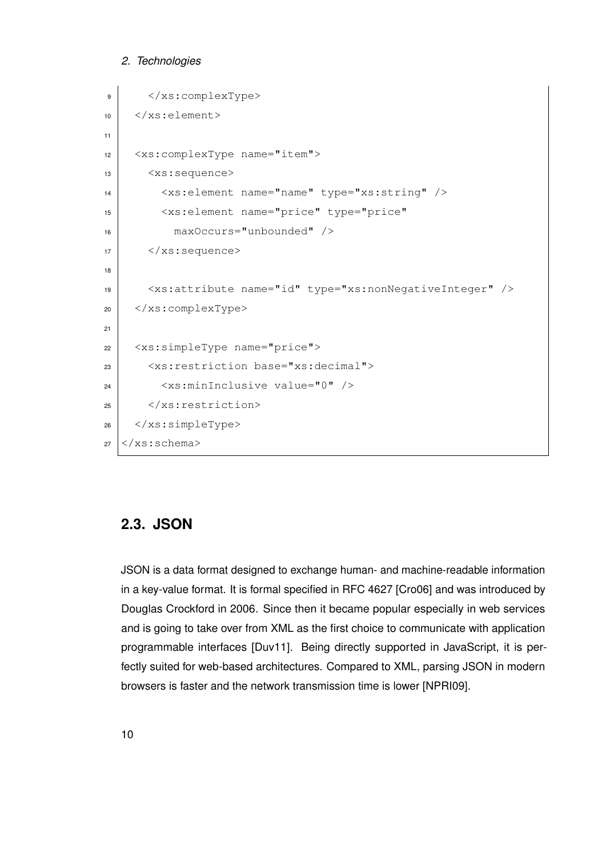#### *2. Technologies*

```
9 </xs:complexType>
10 </xs:element>
11
12 <xs:complexType name="item">
13 | \langle xs:sequence \rangle14 <xs:element name="name" type="xs:string" />
15 <xs:element name="price" type="price"
16 maxOccurs="unbounded" />
17 \langle /xs: sequence>
18
19 <xs:attribute name="id" type="xs:nonNegativeInteger" />
20 </xs:complexType>
21
22 <xs:simpleType name="price">
23 <xs:restriction base="xs:decimal">
_{24} \sim \timesxs:minInclusive value="0" />
25 \langle \times \times \rangle xs: restriction>
26 </xs:simpleType>
27 \leq xs:schema>
```
# <span id="page-17-0"></span>**2.3. JSON**

JSON is a data format designed to exchange human- and machine-readable information in a key-value format. It is formal specified in RFC 4627 [\[Cro06\]](#page-95-1) and was introduced by Douglas Crockford in 2006. Since then it became popular especially in web services and is going to take over from XML as the first choice to communicate with application programmable interfaces [\[Duv11\]](#page-95-2). Being directly supported in JavaScript, it is perfectly suited for web-based architectures. Compared to XML, parsing JSON in modern browsers is faster and the network transmission time is lower [\[NPRI09\]](#page-96-1).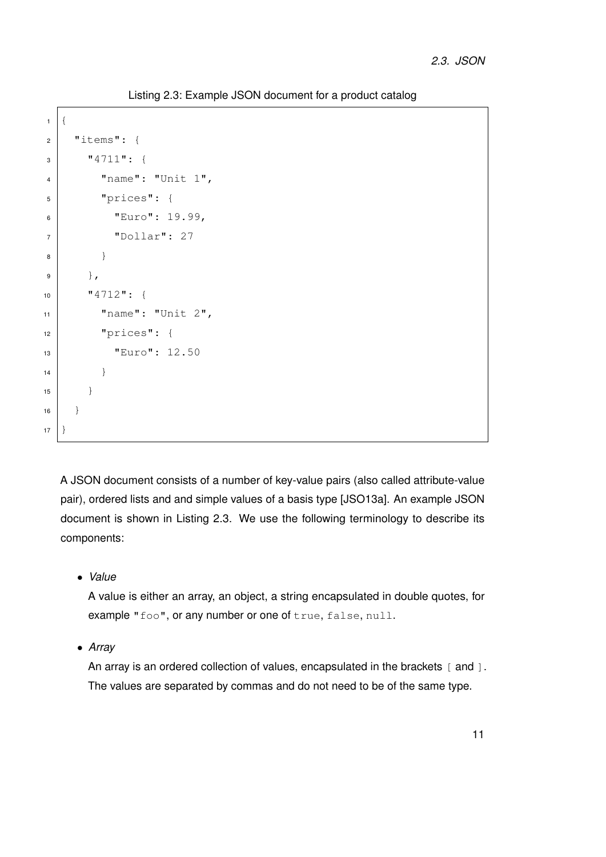Listing 2.3: Example JSON document for a product catalog

```
1<sup>\frac{1}{2}</sup>
2 "items": {
3 \frac{1}{4711}; {
4 "name" : "Unit 1",5 "prices": {
6 "Euro": 19.99,
7 "Dollar": 27
8 }
9 },
10 "4712": {
\text{max} "name": "Unit 2",
12 "prices": {
13 | "Euro": 12.50
\begin{array}{c|c}\n 14 & \end{array}15 }
16 }
17 | }
```
A JSON document consists of a number of key-value pairs (also called attribute-value pair), ordered lists and and simple values of a basis type [\[JSO13a\]](#page-95-3). An example JSON document is shown in Listing [2.3.](#page-18-0) We use the following terminology to describe its components:

• *Value*

A value is either an array, an object, a string encapsulated in double quotes, for example "foo", or any number or one of true, false, null.

• *Array*

An array is an ordered collection of values, encapsulated in the brackets [ and ]. The values are separated by commas and do not need to be of the same type.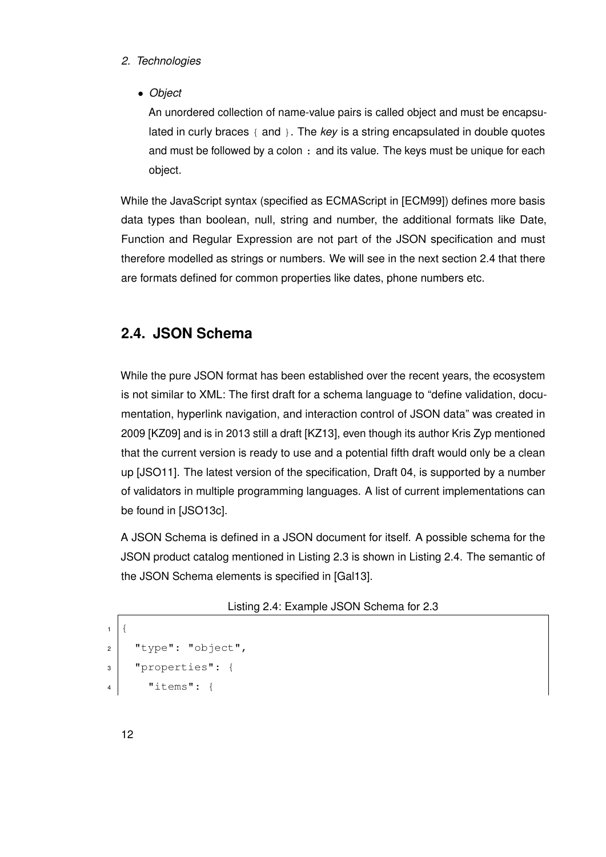- *2. Technologies*
	- *Object*

An unordered collection of name-value pairs is called object and must be encapsulated in curly braces { and }. The *key* is a string encapsulated in double quotes and must be followed by a colon : and its value. The keys must be unique for each object.

While the JavaScript syntax (specified as ECMAScript in [\[ECM99\]](#page-95-4)) defines more basis data types than boolean, null, string and number, the additional formats like Date, Function and Regular Expression are not part of the JSON specification and must therefore modelled as strings or numbers. We will see in the next section [2.4](#page-19-0) that there are formats defined for common properties like dates, phone numbers etc.

# <span id="page-19-0"></span>**2.4. JSON Schema**

While the pure JSON format has been established over the recent years, the ecosystem is not similar to XML: The first draft for a schema language to "define validation, documentation, hyperlink navigation, and interaction control of JSON data" was created in 2009 [\[KZ09\]](#page-96-2) and is in 2013 still a draft [\[KZ13\]](#page-96-3), even though its author Kris Zyp mentioned that the current version is ready to use and a potential fifth draft would only be a clean up [\[JSO11\]](#page-95-5). The latest version of the specification, Draft 04, is supported by a number of validators in multiple programming languages. A list of current implementations can be found in [\[JSO13c\]](#page-95-6).

A JSON Schema is defined in a JSON document for itself. A possible schema for the JSON product catalog mentioned in Listing [2.3](#page-18-0) is shown in Listing [2.4.](#page-19-1) The semantic of the JSON Schema elements is specified in [\[Gal13\]](#page-95-7).

```
Listing 2.4: Example JSON Schema for 2.3
```

```
1 (2 "type": "object",
3 "properties": {
4 "items": {
```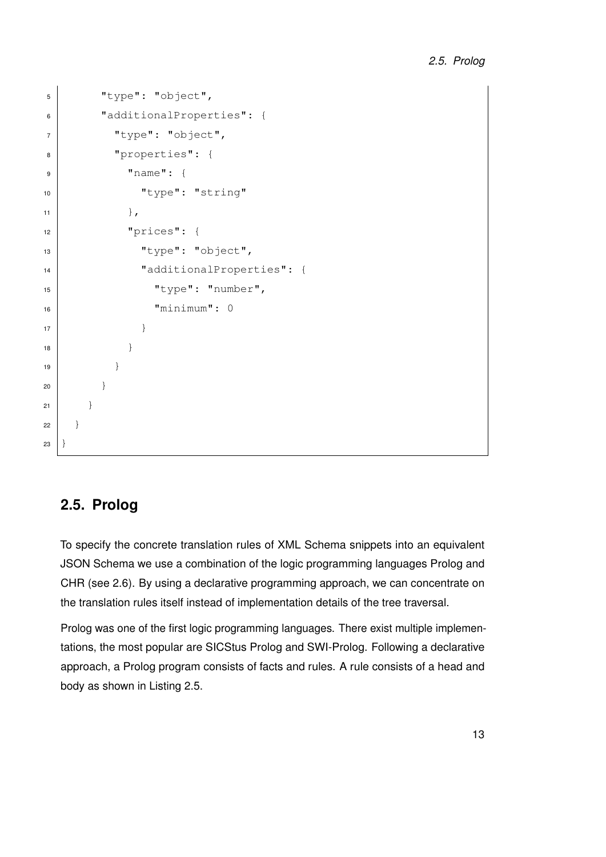```
5 "type": "object",
6 "additionalProperties": {
7 "type": "object",
8 "properties": {
9 "name": {
10 | "type": "string"
11, }, },
12 | "prices": {
13 | "type": "object",
14 "additionalProperties": {
15 "type": "number",
\frac{16}{16} "minimum": 0
\begin{array}{c|c}\n\hline\n\end{array} \begin{array}{c}\n\hline\n\end{array}18 }
19 }
20 }
21 \Big\}22 }
23 \mid
```
# <span id="page-20-0"></span>**2.5. Prolog**

To specify the concrete translation rules of XML Schema snippets into an equivalent JSON Schema we use a combination of the logic programming languages Prolog and CHR (see [2.6\)](#page-21-0). By using a declarative programming approach, we can concentrate on the translation rules itself instead of implementation details of the tree traversal.

Prolog was one of the first logic programming languages. There exist multiple implementations, the most popular are SICStus Prolog and SWI-Prolog. Following a declarative approach, a Prolog program consists of facts and rules. A rule consists of a head and body as shown in Listing [2.5.](#page-21-1)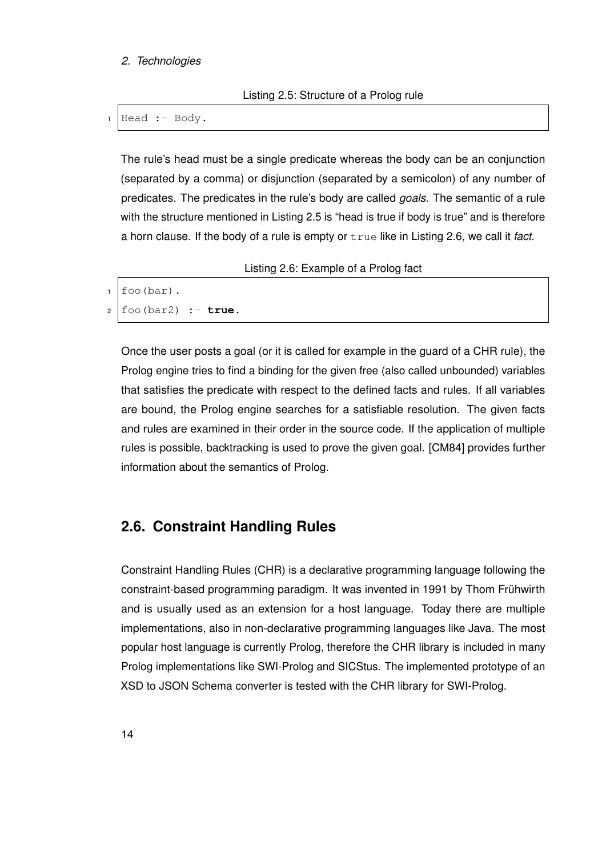# <span id="page-21-1"></span>*2. Technologies*

Listing 2.5: Structure of a Prolog rule

 $1$  Head : - Body.

The rule's head must be a single predicate whereas the body can be an conjunction (separated by a comma) or disjunction (separated by a semicolon) of any number of predicates. The predicates in the rule's body are called *goals*. The semantic of a rule with the structure mentioned in Listing [2.5](#page-21-1) is "head is true if body is true" and is therefore a horn clause. If the body of a rule is empty or true like in Listing [2.6,](#page-21-2) we call it *fact*.

Listing 2.6: Example of a Prolog fact

```
1 foo(bar).
2 foo(bar2) :- true.
```
Once the user posts a goal (or it is called for example in the guard of a CHR rule), the Prolog engine tries to find a binding for the given free (also called unbounded) variables that satisfies the predicate with respect to the defined facts and rules. If all variables are bound, the Prolog engine searches for a satisfiable resolution. The given facts and rules are examined in their order in the source code. If the application of multiple rules is possible, backtracking is used to prove the given goal. [\[CM84\]](#page-94-7) provides further information about the semantics of Prolog.

# <span id="page-21-0"></span>**2.6. Constraint Handling Rules**

Constraint Handling Rules (CHR) is a declarative programming language following the constraint-based programming paradigm. It was invented in 1991 by Thom Frühwirth and is usually used as an extension for a host language. Today there are multiple implementations, also in non-declarative programming languages like Java. The most popular host language is currently Prolog, therefore the CHR library is included in many Prolog implementations like SWI-Prolog and SICStus. The implemented prototype of an XSD to JSON Schema converter is tested with the CHR library for SWI-Prolog.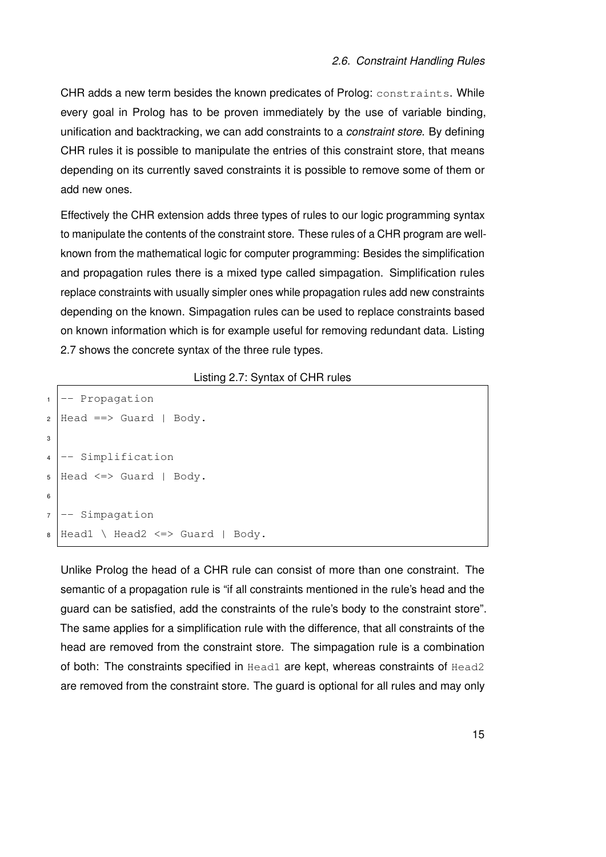CHR adds a new term besides the known predicates of Prolog: constraints. While every goal in Prolog has to be proven immediately by the use of variable binding, unification and backtracking, we can add constraints to a *constraint store*. By defining CHR rules it is possible to manipulate the entries of this constraint store, that means depending on its currently saved constraints it is possible to remove some of them or add new ones.

Effectively the CHR extension adds three types of rules to our logic programming syntax to manipulate the contents of the constraint store. These rules of a CHR program are wellknown from the mathematical logic for computer programming: Besides the simplification and propagation rules there is a mixed type called simpagation. Simplification rules replace constraints with usually simpler ones while propagation rules add new constraints depending on the known. Simpagation rules can be used to replace constraints based on known information which is for example useful for removing redundant data. Listing [2.7](#page-22-0) shows the concrete syntax of the three rule types.

#### Listing 2.7: Syntax of CHR rules

```
1 \left| - - \text{Propagation} \right|2 \text{ Head} \equiv \text{Suard} \mid \text{Body}.3
4 \left| - - \text{Simplification} \right|5 Head \le Suard | Body.
6
7 \left| - - \right| Simpagation
\bullet Head1 \ Head2 <=> Guard | Body.
```
Unlike Prolog the head of a CHR rule can consist of more than one constraint. The semantic of a propagation rule is "if all constraints mentioned in the rule's head and the guard can be satisfied, add the constraints of the rule's body to the constraint store". The same applies for a simplification rule with the difference, that all constraints of the head are removed from the constraint store. The simpagation rule is a combination of both: The constraints specified in Head1 are kept, whereas constraints of Head2 are removed from the constraint store. The guard is optional for all rules and may only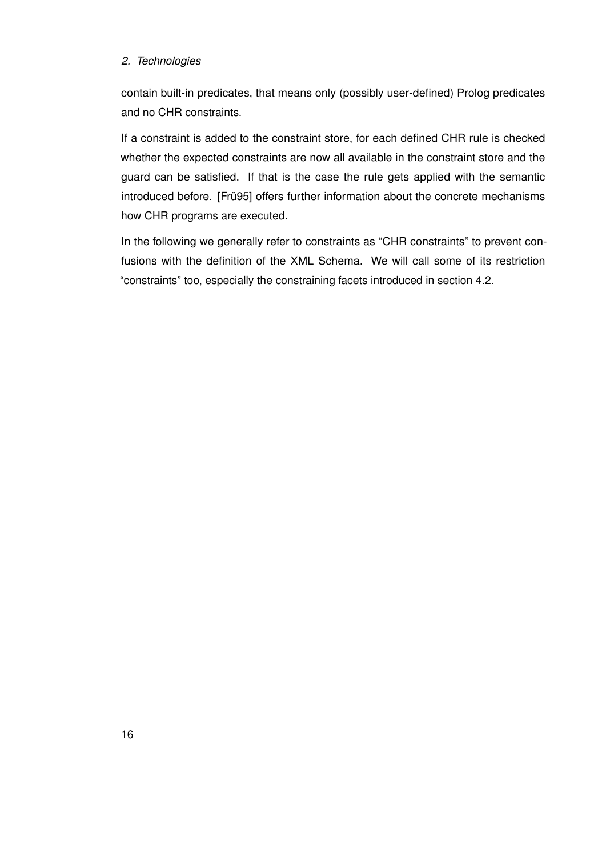# *2. Technologies*

contain built-in predicates, that means only (possibly user-defined) Prolog predicates and no CHR constraints.

If a constraint is added to the constraint store, for each defined CHR rule is checked whether the expected constraints are now all available in the constraint store and the guard can be satisfied. If that is the case the rule gets applied with the semantic introduced before. [\[Frü95\]](#page-95-8) offers further information about the concrete mechanisms how CHR programs are executed.

In the following we generally refer to constraints as "CHR constraints" to prevent confusions with the definition of the XML Schema. We will call some of its restriction "constraints" too, especially the constraining facets introduced in section [4.2.](#page-45-0)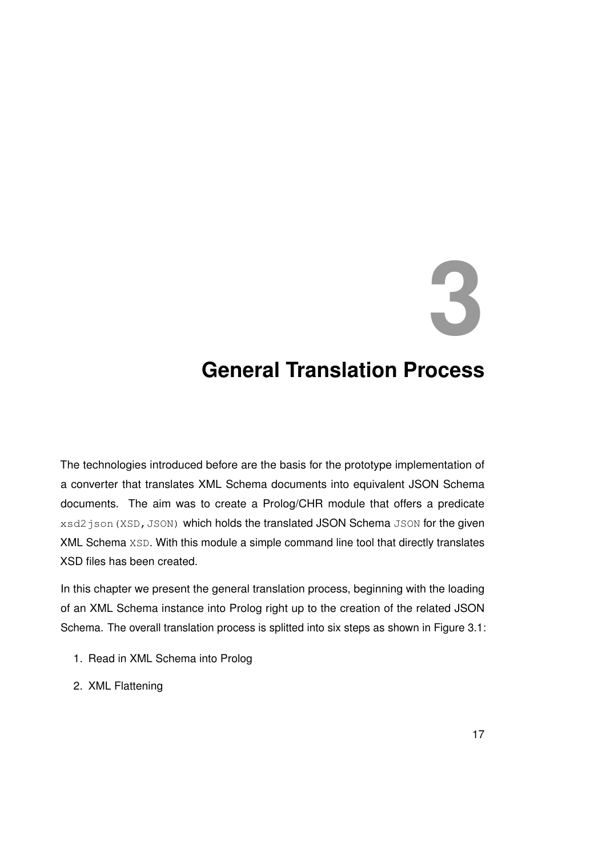# **3**

# <span id="page-24-0"></span>**General Translation Process**

The technologies introduced before are the basis for the prototype implementation of a converter that translates XML Schema documents into equivalent JSON Schema documents. The aim was to create a Prolog/CHR module that offers a predicate xsd2 json (XSD, JSON) which holds the translated JSON Schema JSON for the given XML Schema XSD. With this module a simple command line tool that directly translates XSD files has been created.

In this chapter we present the general translation process, beginning with the loading of an XML Schema instance into Prolog right up to the creation of the related JSON Schema. The overall translation process is splitted into six steps as shown in Figure [3.1:](#page-25-0)

- 1. Read in XML Schema into Prolog
- 2. XML Flattening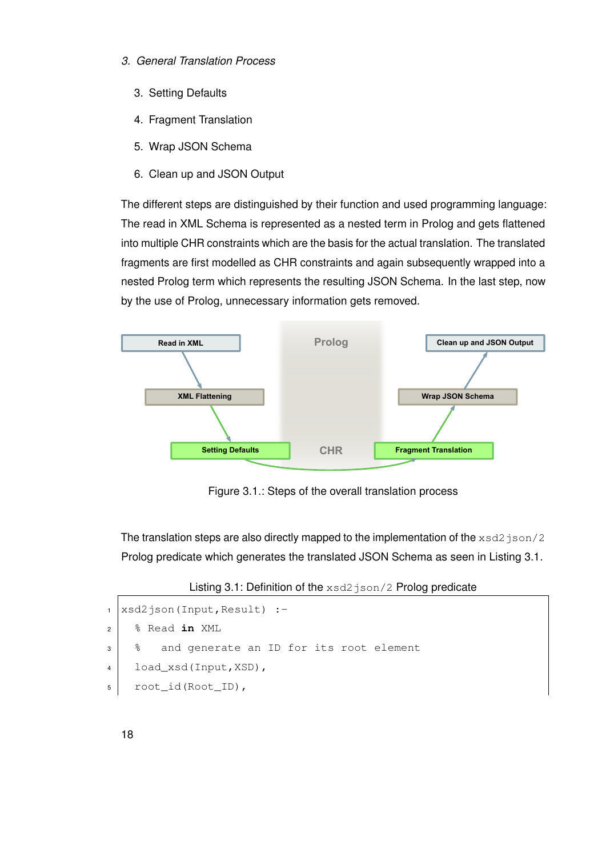- *3. General Translation Process*
	- 3. Setting Defaults
	- 4. Fragment Translation
	- 5. Wrap JSON Schema
	- 6. Clean up and JSON Output

The different steps are distinguished by their function and used programming language: The read in XML Schema is represented as a nested term in Prolog and gets flattened into multiple CHR constraints which are the basis for the actual translation. The translated fragments are first modelled as CHR constraints and again subsequently wrapped into a nested Prolog term which represents the resulting JSON Schema. In the last step, now by the use of Prolog, unnecessary information gets removed.



<span id="page-25-0"></span>Figure 3.1.: Steps of the overall translation process

The translation steps are also directly mapped to the implementation of the  $xsd2$  json/2 Prolog predicate which generates the translated JSON Schema as seen in Listing [3.1.](#page-25-1)

Listing 3.1: Definition of the xsd2json/2 Prolog predicate

```
1 | x sd2json(Input, Result) :-
2 % Read in XML
3 | % and generate an ID for its root element
4 load_xsd(Input,XSD),
5 root_id(Root_ID),
```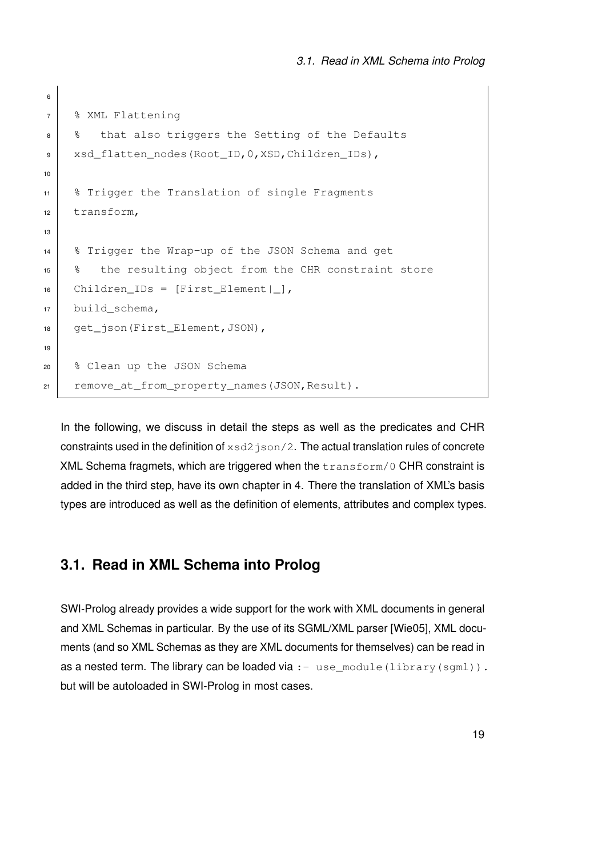```
6
7 % XML Flattening
8 8 that also triggers the Setting of the Defaults
9 xsd_flatten_nodes(Root_ID,0,XSD,Children_IDs),
10
11 % Trigger the Translation of single Fragments
12 transform,
13
14 | % Trigger the Wrap-up of the JSON Schema and get
15 % the resulting object from the CHR constraint store
16 Children_IDs = [First_Element|_],
17 build schema,
18 | get_json(First_Element, JSON),
19
20 % Clean up the JSON Schema
21 remove_at_from_property_names(JSON,Result).
```
In the following, we discuss in detail the steps as well as the predicates and CHR constraints used in the definition of  $xsd2$  json/2. The actual translation rules of concrete XML Schema fragmets, which are triggered when the transform/0 CHR constraint is added in the third step, have its own chapter in [4.](#page-42-0) There the translation of XML's basis types are introduced as well as the definition of elements, attributes and complex types.

# <span id="page-26-0"></span>**3.1. Read in XML Schema into Prolog**

SWI-Prolog already provides a wide support for the work with XML documents in general and XML Schemas in particular. By the use of its SGML/XML parser [\[Wie05\]](#page-96-4), XML documents (and so XML Schemas as they are XML documents for themselves) can be read in as a nested term. The library can be loaded via  $: -$  use\_module(library(sqml)). but will be autoloaded in SWI-Prolog in most cases.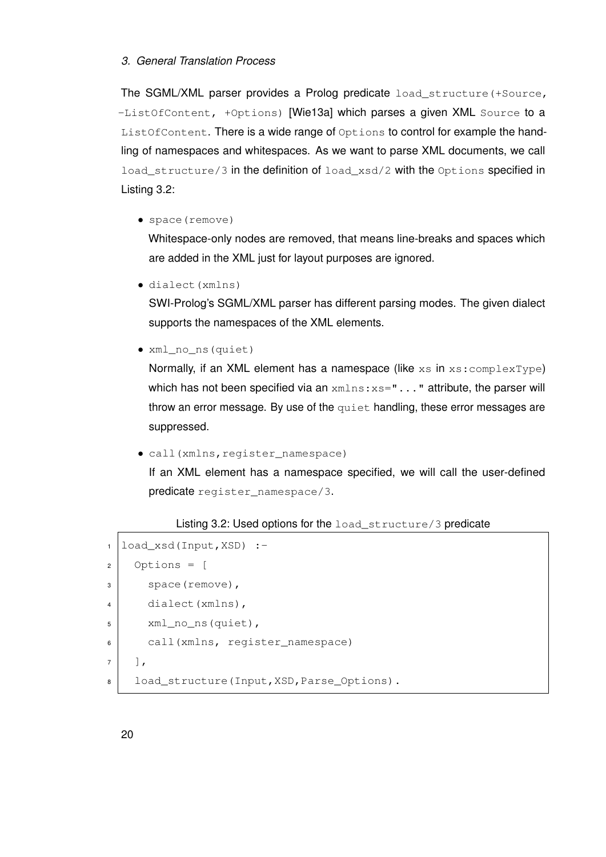# *3. General Translation Process*

The SGML/XML parser provides a Prolog predicate load\_structure(+Source, -ListOfContent, +Options) [\[Wie13a\]](#page-96-5) which parses a given XML Source to a ListOfContent. There is a wide range of Options to control for example the handling of namespaces and whitespaces. As we want to parse XML documents, we call load\_structure/3 in the definition of load\_xsd/2 with the Options specified in Listing [3.2:](#page-27-0)

• space(remove)

Whitespace-only nodes are removed, that means line-breaks and spaces which are added in the XML just for layout purposes are ignored.

• dialect(xmlns)

SWI-Prolog's SGML/XML parser has different parsing modes. The given dialect supports the namespaces of the XML elements.

• xml\_no\_ns(quiet)

Normally, if an XML element has a namespace (like  $xs$  in  $xs:complexType$ ) which has not been specified via an xmlns: xs="..." attribute, the parser will throw an error message. By use of the quiet handling, these error messages are suppressed.

• call(xmlns, register\_namespace)

If an XML element has a namespace specified, we will call the user-defined predicate register\_namespace/3.

#### Listing 3.2: Used options for the load\_structure/3 predicate

```
1 load_xsd(Input,XSD) :-
2 Options = \lceil3 space(remove),
4 dialect(xmlns),
5 xml_no_ns(quiet),
6 call(xmlns, register_namespace)
7 \mid \mid \mid,
8 | load structure(Input,XSD, Parse Options).
```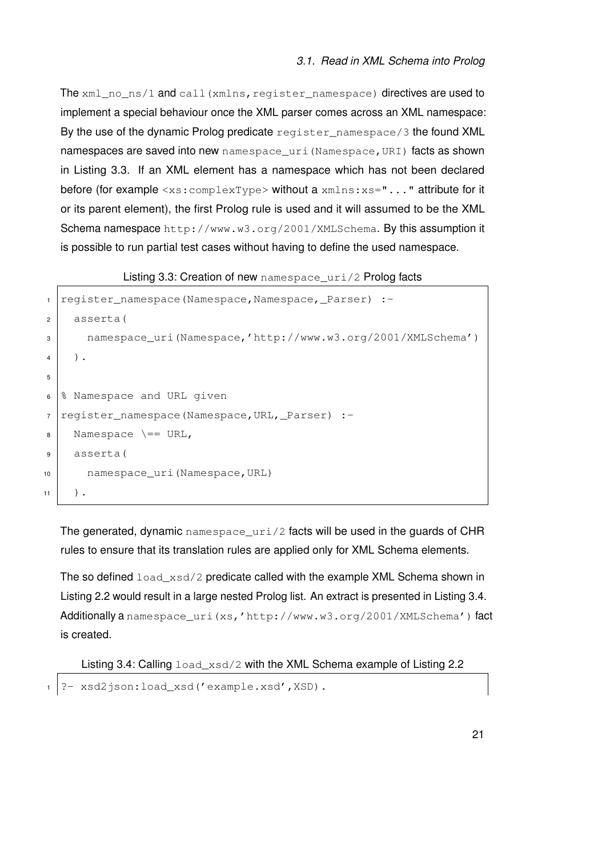The xml\_no\_ns/1 and call(xmlns, register\_namespace) directives are used to implement a special behaviour once the XML parser comes across an XML namespace: By the use of the dynamic Prolog predicate register\_namespace/3 the found XML namespaces are saved into new namespace uri (Namespace, URI) facts as shown in Listing [3.3.](#page-28-0) If an XML element has a namespace which has not been declared before (for example <xs: complexType> without a xmlns: xs="..." attribute for it or its parent element), the first Prolog rule is used and it will assumed to be the XML Schema namespace http://www.w3.org/2001/XMLSchema. By this assumption it is possible to run partial test cases without having to define the used namespace.

Listing 3.3: Creation of new namespace\_uri/2 Prolog facts

```
register_namespace(Namespace,Namespace,_Parser) :-
2 asserta(
3 namespace_uri(Namespace,'http://www.w3.org/2001/XMLSchema')
4 \mid ).
5
6 \, \, Namespace and URL given
7 | register_namespace(Namespace, URL, _Parser) :-
8 Namespace \ == URL,
9 asserta(
10 namespace_uri(Namespace,URL)
11 \quad ).
```
The generated, dynamic namespace  $uri/2$  facts will be used in the quards of CHR rules to ensure that its translation rules are applied only for XML Schema elements.

The so defined  $load\_xsd/2$  predicate called with the example XML Schema shown in Listing [2.2](#page-16-0) would result in a large nested Prolog list. An extract is presented in Listing [3.4.](#page-28-1) Additionally a namespace\_uri(xs,'http://www.w3.org/2001/XMLSchema') fact is created.

<span id="page-28-1"></span>Listing 3.4: Calling  $load\_xsd/2$  with the XML Schema example of Listing [2.2](#page-16-0)

?- xsd2json:load\_xsd('example.xsd',XSD).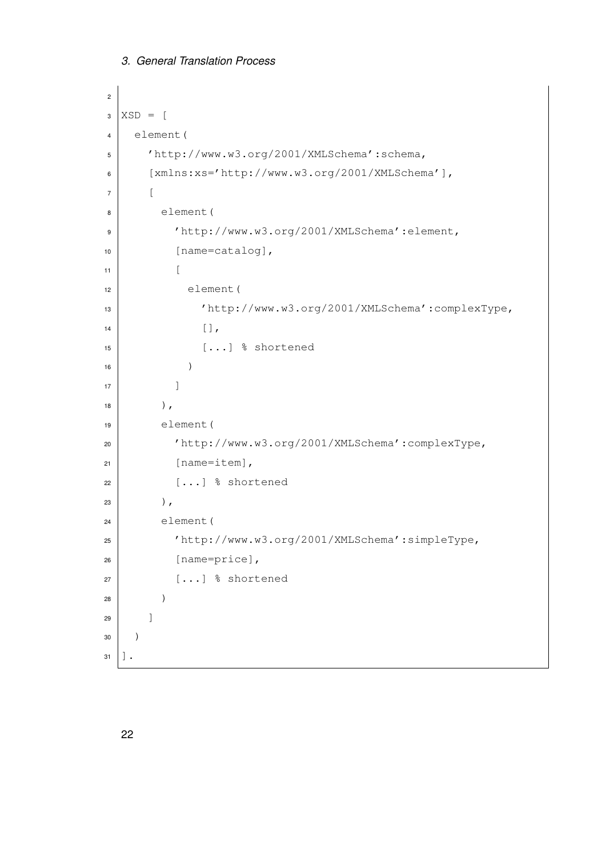```
3. General Translation Process
```

```
2
3 XSD = [4 element(
5 'http://www.w3.org/2001/XMLSchema':schema,
6 [xmlns:xs='http://www.w3.org/2001/XMLSchema'],
7 [
8 element(
9 'http://www.w3.org/2001/XMLSchema':element,
10 [name=catalog],
11 \vert \vert12 element (
13 'http://www.w3.org/2001/XMLSchema':complexType,
\begin{array}{|c|c|c|c|c|}\n\hline\n14 & & & \end{array}15 [...] % shortened
16 )
\begin{array}{c|c} \hline \end{array} 17 \begin{array}{c} \hline \end{array}\frac{18}{18} ),
19 element (
20 'http://www.w3.org/2001/XMLSchema':complexType,
_{21} [name=item],
\begin{array}{c|c}\n\mathbf{22} & \mathbf{12}\n\end{array} [...] \text{\$ shortened}23 ),
24 element (
25 'http://www.w3.org/2001/XMLSchema':simpleType,
26 [name=price],
\begin{array}{c|c} \text{27} & \text{...} \end{array} & shortened
28 )
29 ]
30 \mid )
31 ].
```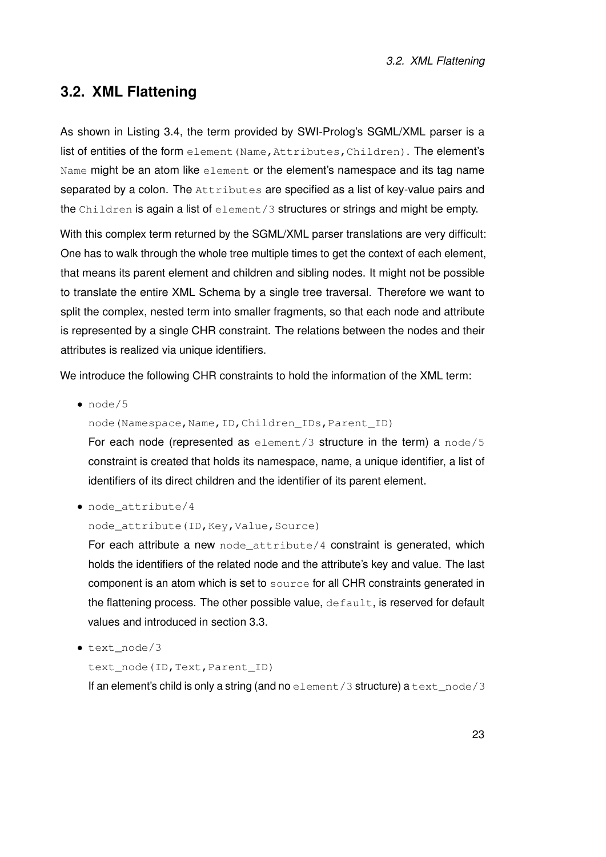# <span id="page-30-0"></span>**3.2. XML Flattening**

As shown in Listing [3.4,](#page-28-1) the term provided by SWI-Prolog's SGML/XML parser is a list of entities of the form element (Name, Attributes, Children). The element's Name might be an atom like element or the element's namespace and its tag name separated by a colon. The Attributes are specified as a list of key-value pairs and the Children is again a list of element/3 structures or strings and might be empty.

With this complex term returned by the SGML/XML parser translations are very difficult: One has to walk through the whole tree multiple times to get the context of each element, that means its parent element and children and sibling nodes. It might not be possible to translate the entire XML Schema by a single tree traversal. Therefore we want to split the complex, nested term into smaller fragments, so that each node and attribute is represented by a single CHR constraint. The relations between the nodes and their attributes is realized via unique identifiers.

We introduce the following CHR constraints to hold the information of the XML term:

• node/5

node(Namespace,Name,ID,Children\_IDs,Parent\_ID)

For each node (represented as  $element/3$  structure in the term) a  $node/5$ constraint is created that holds its namespace, name, a unique identifier, a list of identifiers of its direct children and the identifier of its parent element.

• node\_attribute/4

#### node\_attribute(ID, Key, Value, Source)

For each attribute a new node\_attribute/4 constraint is generated, which holds the identifiers of the related node and the attribute's key and value. The last component is an atom which is set to source for all CHR constraints generated in the flattening process. The other possible value, default, is reserved for default values and introduced in section [3.3.](#page-32-0)

• text\_node/3

text\_node(ID,Text,Parent\_ID)

If an element's child is only a string (and no element/3 structure) a text\_node/3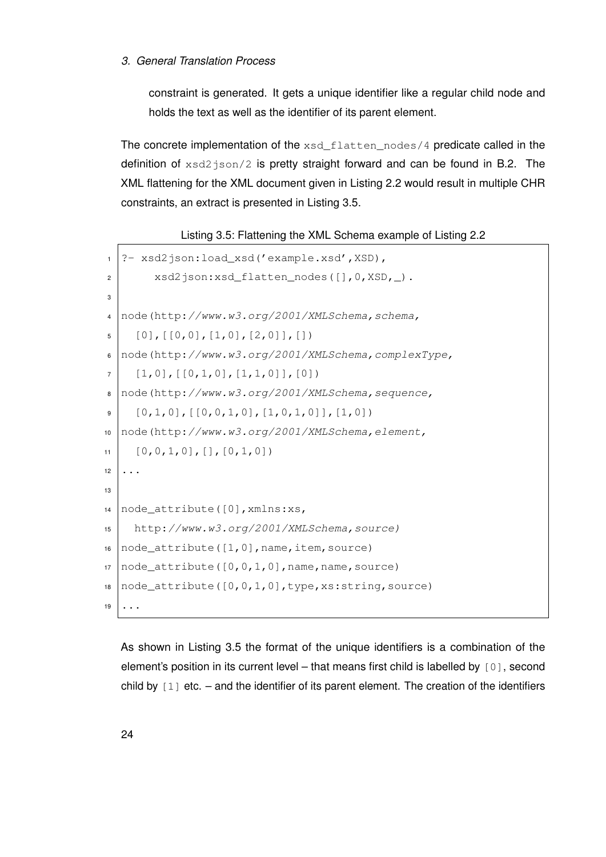# *3. General Translation Process*

constraint is generated. It gets a unique identifier like a regular child node and holds the text as well as the identifier of its parent element.

The concrete implementation of the  $xsd$  flatten nodes/4 predicate called in the definition of  $xsd2$ json/2 is pretty straight forward and can be found in [B.2.](#page-71-0) The XML flattening for the XML document given in Listing [2.2](#page-16-0) would result in multiple CHR constraints, an extract is presented in Listing [3.5.](#page-31-0)

Listing 3.5: Flattening the XML Schema example of Listing [2.2](#page-16-0)

```
1 ?- xsd2json:load_xsd('example.xsd',XSD),
|2| xsd2json:xsd_flatten_nodes([], 0, XSD, \Box).
3
4 node(http://www.w3.org/2001/XMLSchema,schema,
5 \mid [0], [[0,0], [1,0], [2,0]], [1]6 node(http://www.w3.org/2001/XMLSchema, complexType,7 \mid [1,0], [[0,1,0], [1,1,0]], [0])8 node(http://www.w3.org/2001/XMLSchema,sequence,
9 \mid [0,1,0], [[0,0,1,0],[1,0,1,0]], [1,0])10 node(http://www.w3.org/2001/XMLSchema,element,
11 \mid [0,0,1,0],[],[0,1,0])
12 \mid \ldots13
14 node_attribute([0], xmlns:xs,15 http://www.w3.org/2001/XMLSchema,source)
16 node_attribute([1,0], name, item, source)
17 \text{ node}_\text{attribute}([0, 0, 1, 0], name, name, source)
18 node attribute([0,0,1,0], type, xs:string, source)
19 ...
```
As shown in Listing [3.5](#page-31-0) the format of the unique identifiers is a combination of the element's position in its current level – that means first child is labelled by [0], second child by  $[1]$  etc. – and the identifier of its parent element. The creation of the identifiers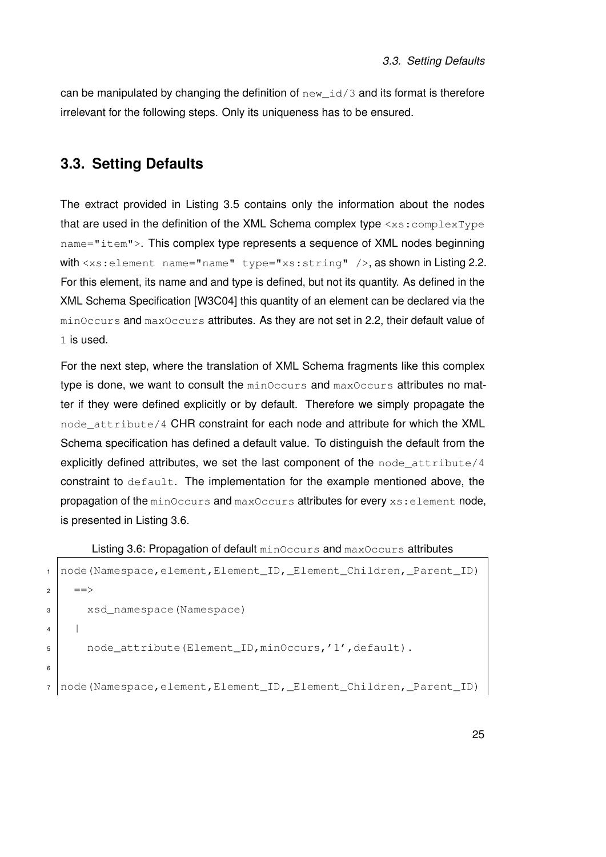can be manipulated by changing the definition of  $new_id/3$  and its format is therefore irrelevant for the following steps. Only its uniqueness has to be ensured.

# <span id="page-32-0"></span>**3.3. Setting Defaults**

The extract provided in Listing [3.5](#page-31-0) contains only the information about the nodes that are used in the definition of the XML Schema complex type <xs:complexType name="item">. This complex type represents a sequence of XML nodes beginning with <xs: element name="name" type="xs: string" />, as shown in Listing [2.2.](#page-16-0) For this element, its name and and type is defined, but not its quantity. As defined in the XML Schema Specification [\[W3C04\]](#page-96-6) this quantity of an element can be declared via the minOccurs and maxOccurs attributes. As they are not set in [2.2,](#page-16-0) their default value of 1 is used.

For the next step, where the translation of XML Schema fragments like this complex type is done, we want to consult the minOccurs and maxOccurs attributes no matter if they were defined explicitly or by default. Therefore we simply propagate the node attribute/4 CHR constraint for each node and attribute for which the XML Schema specification has defined a default value. To distinguish the default from the explicitly defined attributes, we set the last component of the node  $attribute/4$ constraint to  $default$ . The implementation for the example mentioned above, the propagation of the minOccurs and maxOccurs attributes for every xs: element node, is presented in Listing [3.6.](#page-32-1)

<span id="page-32-1"></span>Listing 3.6: Propagation of default minOccurs and maxOccurs attributes

```
1 node(Namespace,element,Element_ID,_Element_Children,_Parent_ID)
2 \mid \quad ==>3 xsd_namespace(Namespace)
4 |
5 node_attribute(Element_ID,minOccurs,'1',default).
6
7 node(Namespace,element,Element_ID,_Element_Children,_Parent_ID)
```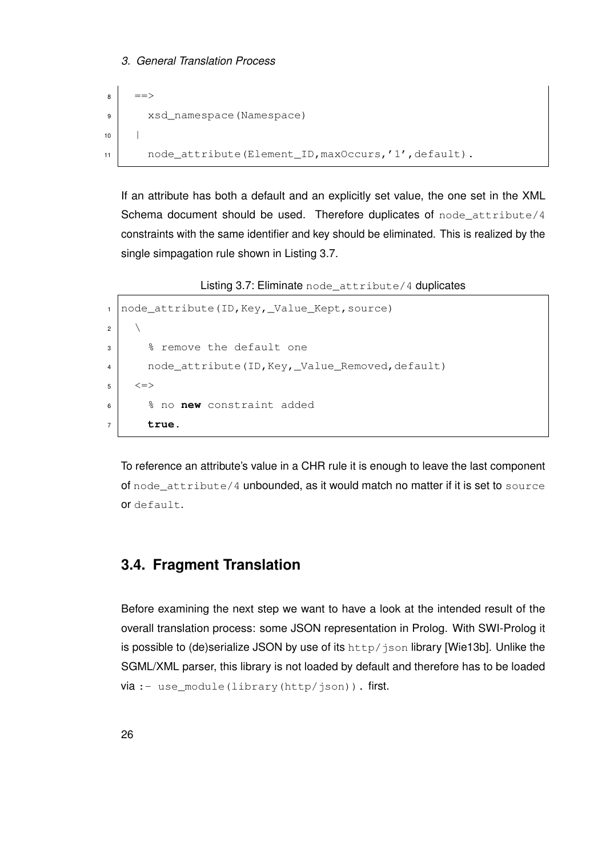```
8 ==>
9 xsd_namespace(Namespace)
10 |
11 node_attribute(Element_ID, maxOccurs,'1', default).
```
If an attribute has both a default and an explicitly set value, the one set in the XML Schema document should be used. Therefore duplicates of node\_attribute/4 constraints with the same identifier and key should be eliminated. This is realized by the single simpagation rule shown in Listing [3.7.](#page-33-1)

Listing 3.7: Eliminate node attribute/4 duplicates

```
1 node attribute(ID, Key, Value Kept, source)
2 \mid \qquad \setminus3 | % remove the default one
4 node_attribute(ID, Key, _Value_Removed, default)
5 \mid \langle = \rangle6 % no new constraint added
7 true.
```
To reference an attribute's value in a CHR rule it is enough to leave the last component of node  $attribute/4$  unbounded, as it would match no matter if it is set to source or default.

# <span id="page-33-0"></span>**3.4. Fragment Translation**

Before examining the next step we want to have a look at the intended result of the overall translation process: some JSON representation in Prolog. With SWI-Prolog it is possible to (de)serialize JSON by use of its http/json library [\[Wie13b\]](#page-97-0). Unlike the SGML/XML parser, this library is not loaded by default and therefore has to be loaded via :- use\_module(library(http/json)). first.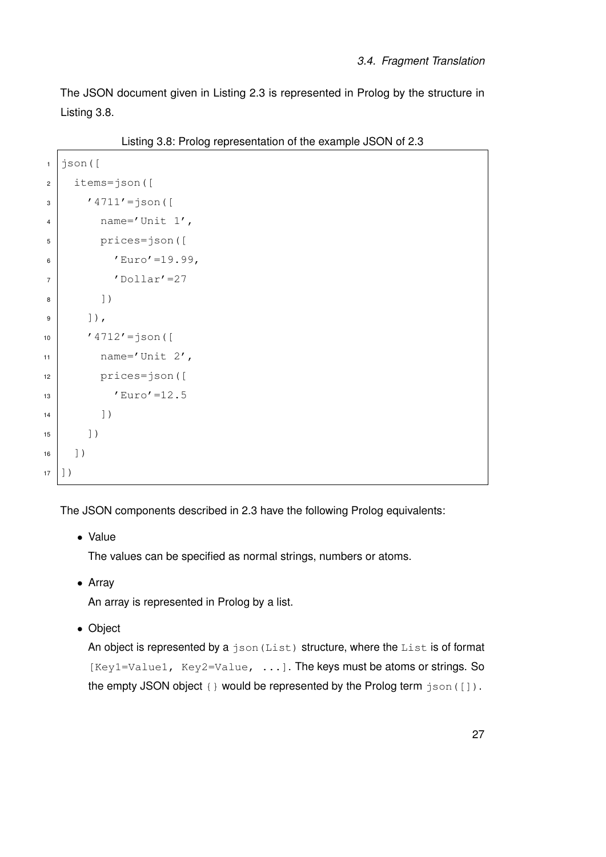The JSON document given in Listing [2.3](#page-18-0) is represented in Prolog by the structure in Listing [3.8.](#page-34-0)

Listing 3.8: Prolog representation of the example JSON of [2.3](#page-18-0)

```
1 \mid json([
2 items=json([
3 | 4711' = j \text{son} (4 \mid name='Unit 1',
5 prices=json([
6 'Euro' = 19.99,
7 | 'Dollar'=27
8 ])
9 \mid  ]),
10 ' 4712'=json([
11 name='Unit 2',
12 prices=json([
\text{13} 'Euro'=12.5
14 ]
15 ])
16 ])
17 ] )
```
The JSON components described in [2.3](#page-17-0) have the following Prolog equivalents:

• Value

The values can be specified as normal strings, numbers or atoms.

• Array

An array is represented in Prolog by a list.

• Object

An object is represented by a json (List) structure, where the List is of format  $[Key1=Value1, Key2=Value, ...]$ . The keys must be atoms or strings. So the empty JSON object  $\{\}$  would be represented by the Prolog term  $\frac{1}{1}$ son([]).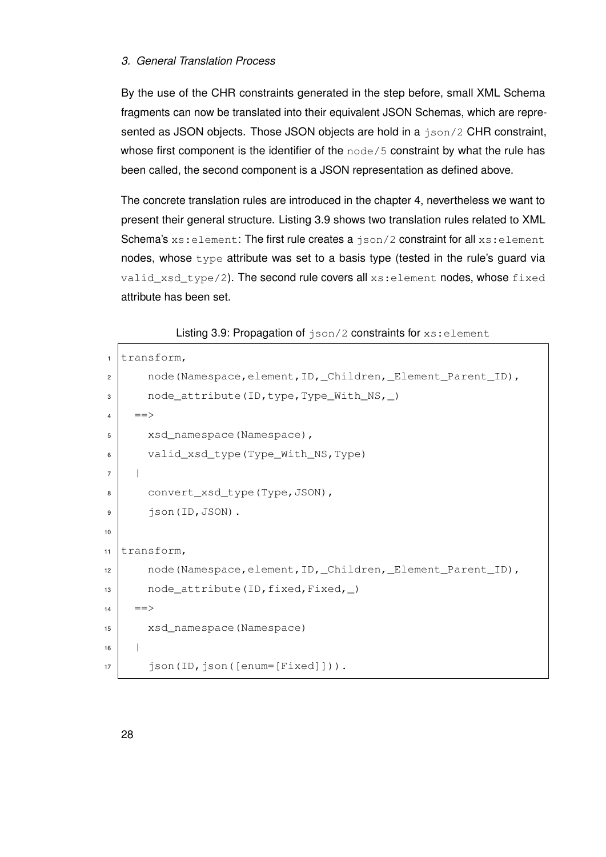# *3. General Translation Process*

By the use of the CHR constraints generated in the step before, small XML Schema fragments can now be translated into their equivalent JSON Schemas, which are represented as JSON objects. Those JSON objects are hold in a json/2 CHR constraint, whose first component is the identifier of the  $node/5$  constraint by what the rule has been called, the second component is a JSON representation as defined above.

The concrete translation rules are introduced in the chapter [4,](#page-42-0) nevertheless we want to present their general structure. Listing [3.9](#page-35-0) shows two translation rules related to XML Schema's xs: element: The first rule creates a json/2 constraint for all xs: element nodes, whose  $type$  attribute was set to a basis type (tested in the rule's guard via valid\_xsd\_type/2). The second rule covers all xs: element nodes, whose fixed attribute has been set.

Listing 3.9: Propagation of  $json/2$  constraints for  $xs:element$ 

```
1 transform,
2 node(Namespace,element, ID, Children, Element Parent ID),
3 node_attribute(ID,type,Type_With_NS, )
4 ==>
5 xsd_namespace(Namespace),
6 valid_xsd_type(Type_With_NS,Type)
7 |
8 convert_xsd_type(Type, JSON),
9 json(ID, JSON).
10
11 transform,
12 node(Namespace,element, ID, _Children, _Element_Parent_ID),
13 node_attribute(ID, fixed, Fixed, )
14 ==>
15 xsd_namespace(Namespace)
16 |
17 json(ID, json([enum=[Fixed]])).
```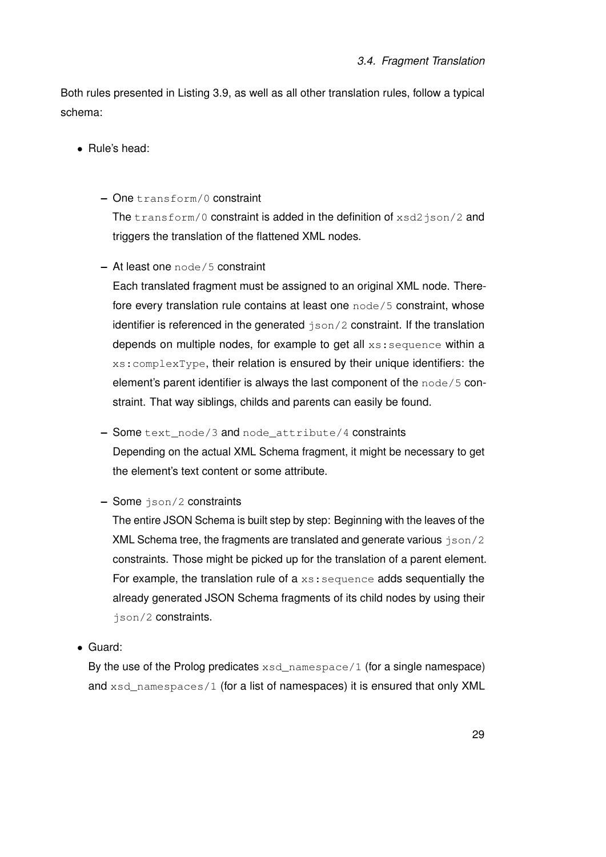Both rules presented in Listing [3.9,](#page-35-0) as well as all other translation rules, follow a typical schema:

- Rule's head:
	- **–** One transform/0 constraint

The transform/0 constraint is added in the definition of xsd2json/2 and triggers the translation of the flattened XML nodes.

**–** At least one node/5 constraint

Each translated fragment must be assigned to an original XML node. Therefore every translation rule contains at least one node/5 constraint, whose identifier is referenced in the generated  $\frac{1}{1}$ son/2 constraint. If the translation depends on multiple nodes, for example to get all xs: sequence within a xs:complexType, their relation is ensured by their unique identifiers: the element's parent identifier is always the last component of the node/5 constraint. That way siblings, childs and parents can easily be found.

**–** Some text\_node/3 and node\_attribute/4 constraints

Depending on the actual XML Schema fragment, it might be necessary to get the element's text content or some attribute.

**–** Some json/2 constraints

The entire JSON Schema is built step by step: Beginning with the leaves of the XML Schema tree, the fragments are translated and generate various  $\frac{1}{15}$ on/2 constraints. Those might be picked up for the translation of a parent element. For example, the translation rule of  $a \times s$ : sequence adds sequentially the already generated JSON Schema fragments of its child nodes by using their json/2 constraints.

• Guard:

By the use of the Prolog predicates  $xsd_namespace/1$  (for a single namespace) and xsd\_namespaces/1 (for a list of namespaces) it is ensured that only XML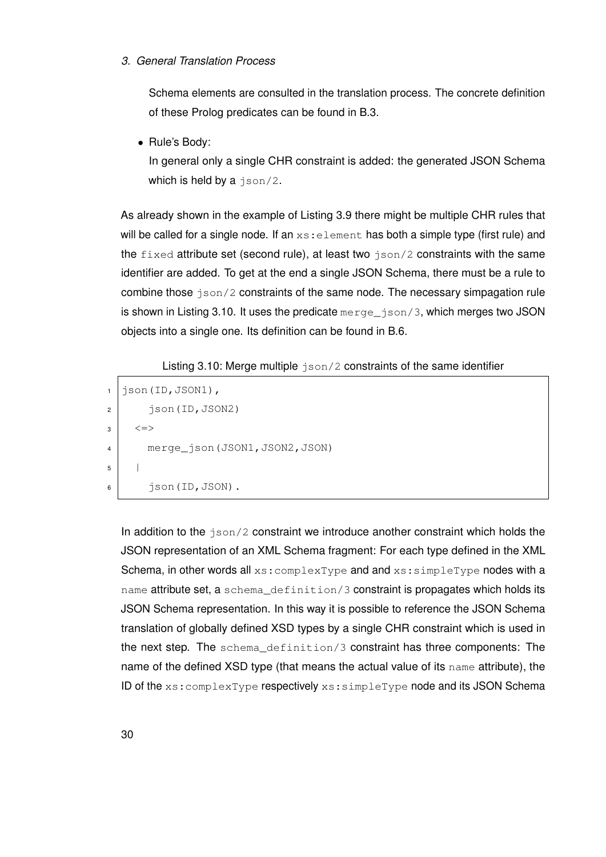#### *3. General Translation Process*

Schema elements are consulted in the translation process. The concrete definition of these Prolog predicates can be found in [B.3.](#page-72-0)

• Rule's Body:

In general only a single CHR constraint is added: the generated JSON Schema which is held by a json/2.

As already shown in the example of Listing [3.9](#page-35-0) there might be multiple CHR rules that will be called for a single node. If an  $xs:$  element has both a simple type (first rule) and the  $fixed$  attribute set (second rule), at least two  $\frac{1}{1}$  ison/2 constraints with the same identifier are added. To get at the end a single JSON Schema, there must be a rule to combine those  $json/2$  constraints of the same node. The necessary simpagation rule is shown in Listing [3.10.](#page-37-0) It uses the predicate merge\_json/3, which merges two JSON objects into a single one. Its definition can be found in [B.6.](#page-73-0)

Listing 3.10: Merge multiple  $json/2$  constraints of the same identifier

```
1 \mid json(ID, JSON1),
2 \mid \text{ison(ID, JSON2)}3 \mid \langle = \rangle4 merge_json(JSON1,JSON2,JSON)
\overline{5}6 json(ID, JSON).
```
In addition to the json/2 constraint we introduce another constraint which holds the JSON representation of an XML Schema fragment: For each type defined in the XML Schema, in other words all xs: complexType and and xs: simpleType nodes with a name attribute set, a schema\_definition/3 constraint is propagates which holds its JSON Schema representation. In this way it is possible to reference the JSON Schema translation of globally defined XSD types by a single CHR constraint which is used in the next step. The schema\_definition/3 constraint has three components: The name of the defined XSD type (that means the actual value of its name attribute), the ID of the xs:complexType respectively xs:simpleType node and its JSON Schema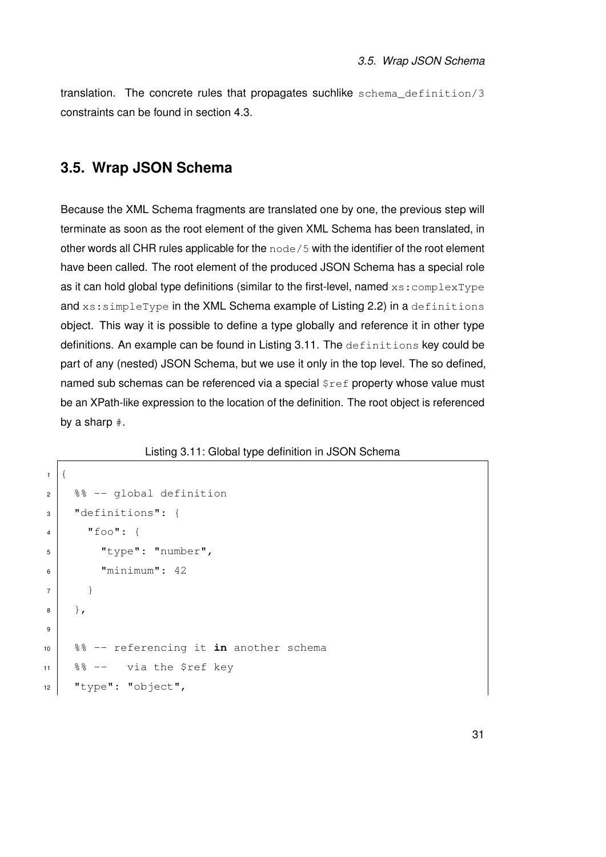translation. The concrete rules that propagates suchlike schema\_definition/3 constraints can be found in section [4.3.](#page-49-0)

#### <span id="page-38-1"></span>**3.5. Wrap JSON Schema**

Because the XML Schema fragments are translated one by one, the previous step will terminate as soon as the root element of the given XML Schema has been translated, in other words all CHR rules applicable for the node/5 with the identifier of the root element have been called. The root element of the produced JSON Schema has a special role as it can hold global type definitions (similar to the first-level, named  $xs:complete$ and xs: simpleType in the XML Schema example of Listing [2.2\)](#page-16-0) in a definitions object. This way it is possible to define a type globally and reference it in other type definitions. An example can be found in Listing [3.11.](#page-38-0) The definitions key could be part of any (nested) JSON Schema, but we use it only in the top level. The so defined, named sub schemas can be referenced via a special  $\frac{1}{2}$ ref property whose value must be an XPath-like expression to the location of the definition. The root object is referenced by a sharp #.

Listing 3.11: Global type definition in JSON Schema

```
1 \vert2 \mid 8 \cdot - qlobal definition
 3 "definitions": {
 4 "foo": {
 5 "type": "number",
 6 \blacksquare \blacksquare \blacksquare \blacksquare \blacksquare \blacksquare \blacksquare \blacksquare \blacksquare \blacksquare \blacksquare \blacksquare \blacksquare \blacksquare \blacksquare \blacksquare \blacksquare \blacksquare \blacksquare \blacksquare \blacksquare \blacksquare \blacksquare \blacksquare \blacksquare \blacksquare \blacksquare \blacksquare \blacksquare \blacksquare \blacksquare 
 7 }
 8 },
 9
10 %% -- referencing it in another schema
11 88 -- via the $ref key
12 "type": "object",
```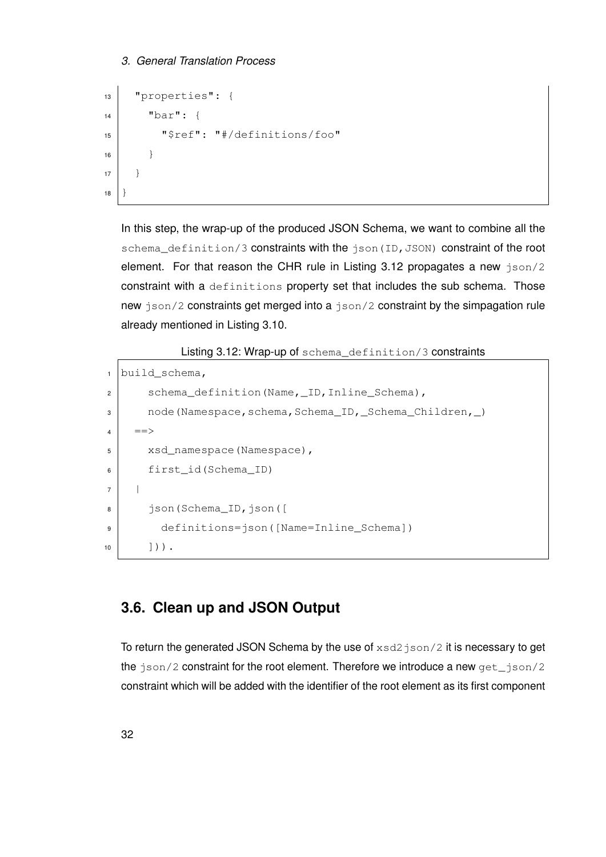#### *3. General Translation Process*

```
13 "properties": {
\begin{array}{c} \n\text{14} \n\end{array} "bar": {
15 "$ref": "#/definitions/foo"
16 }
17 }
18 \vert
```
In this step, the wrap-up of the produced JSON Schema, we want to combine all the schema\_definition/3 constraints with the json(ID, JSON) constraint of the root element. For that reason the CHR rule in Listing [3.12](#page-39-0) propagates a new json/2 constraint with a definitions property set that includes the sub schema. Those new json/2 constraints get merged into a json/2 constraint by the simpagation rule already mentioned in Listing [3.10.](#page-37-0)

Listing 3.12: Wrap-up of schema\_definition/3 constraints

```
1 build_schema,
2 schema_definition(Name,_ID,Inline_Schema),
3 node(Namespace,schema,Schema_ID,_Schema_Children,_)
4 ==>
5 xsd_namespace(Namespace),
6 first_id(Schema_ID)
7 |
8 json(Schema_ID,json([
9 definitions=json([Name=Inline_Schema])
10 ])).
```
#### **3.6. Clean up and JSON Output**

To return the generated JSON Schema by the use of  $xsd2$  json/2 it is necessary to get the json/2 constraint for the root element. Therefore we introduce a new get\_json/2 constraint which will be added with the identifier of the root element as its first component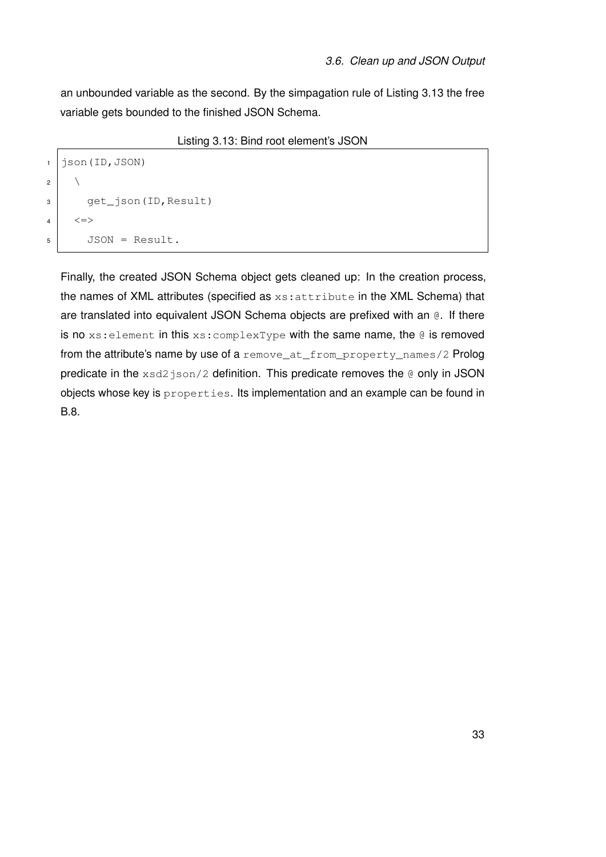an unbounded variable as the second. By the simpagation rule of Listing [3.13](#page-40-0) the free variable gets bounded to the finished JSON Schema.

Listing 3.13: Bind root element's JSON

```
1 \mid json(ID, JSON)
\overline{c}3 get_json(ID,Result)
4 \mid \langle = \rangle5 JSON = Result.
```
Finally, the created JSON Schema object gets cleaned up: In the creation process, the names of XML attributes (specified as xs:attribute in the XML Schema) that are translated into equivalent JSON Schema objects are prefixed with an @. If there is no xs: element in this xs: complexType with the same name, the @ is removed from the attribute's name by use of a remove\_at\_from\_property\_names/2 Prolog predicate in the  $xsd2$  json/2 definition. This predicate removes the  $@$  only in JSON objects whose key is properties. Its implementation and an example can be found in [B.8.](#page-76-0)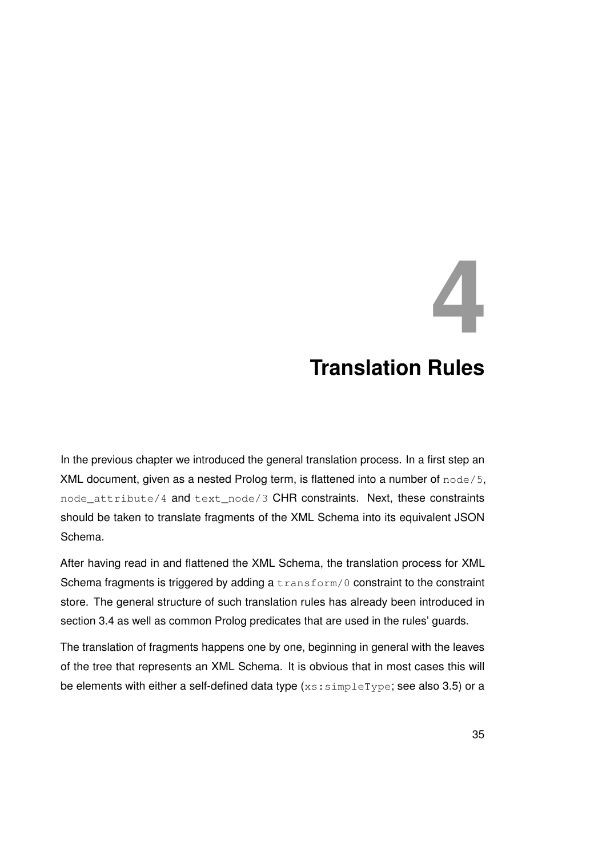### **4 Translation Rules**

In the previous chapter we introduced the general translation process. In a first step an XML document, given as a nested Prolog term, is flattened into a number of node/5, node\_attribute/4 and text\_node/3 CHR constraints. Next, these constraints should be taken to translate fragments of the XML Schema into its equivalent JSON Schema.

After having read in and flattened the XML Schema, the translation process for XML Schema fragments is triggered by adding a transform/0 constraint to the constraint store. The general structure of such translation rules has already been introduced in section [3.4](#page-33-0) as well as common Prolog predicates that are used in the rules' guards.

The translation of fragments happens one by one, beginning in general with the leaves of the tree that represents an XML Schema. It is obvious that in most cases this will be elements with either a self-defined data type  $(x \sin(2\pi) + \sin(2\pi))$  or a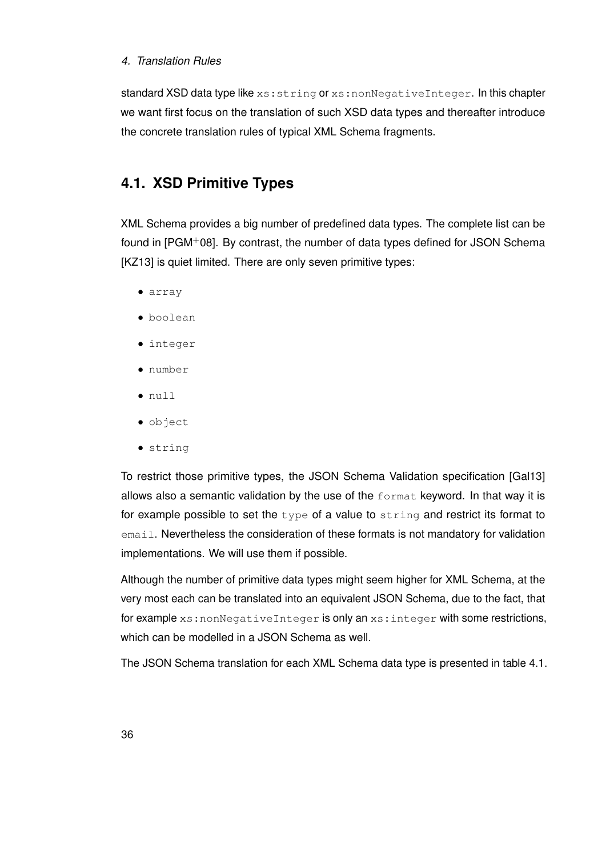#### *4. Translation Rules*

standard XSD data type like xs: string or xs: nonNegativeInteger. In this chapter we want first focus on the translation of such XSD data types and thereafter introduce the concrete translation rules of typical XML Schema fragments.

#### **4.1. XSD Primitive Types**

XML Schema provides a big number of predefined data types. The complete list can be found in [\[PGM](#page-96-0)+08]. By contrast, the number of data types defined for JSON Schema [\[KZ13\]](#page-96-1) is quiet limited. There are only seven primitive types:

- array
- boolean
- integer
- number
- null
- object
- string

To restrict those primitive types, the JSON Schema Validation specification [\[Gal13\]](#page-95-0) allows also a semantic validation by the use of the format keyword. In that way it is for example possible to set the  $type$  of a value to string and restrict its format to email. Nevertheless the consideration of these formats is not mandatory for validation implementations. We will use them if possible.

Although the number of primitive data types might seem higher for XML Schema, at the very most each can be translated into an equivalent JSON Schema, due to the fact, that for example xs:nonNegativeInteger is only an xs:integer with some restrictions, which can be modelled in a JSON Schema as well.

The JSON Schema translation for each XML Schema data type is presented in table [4.1.](#page-44-0)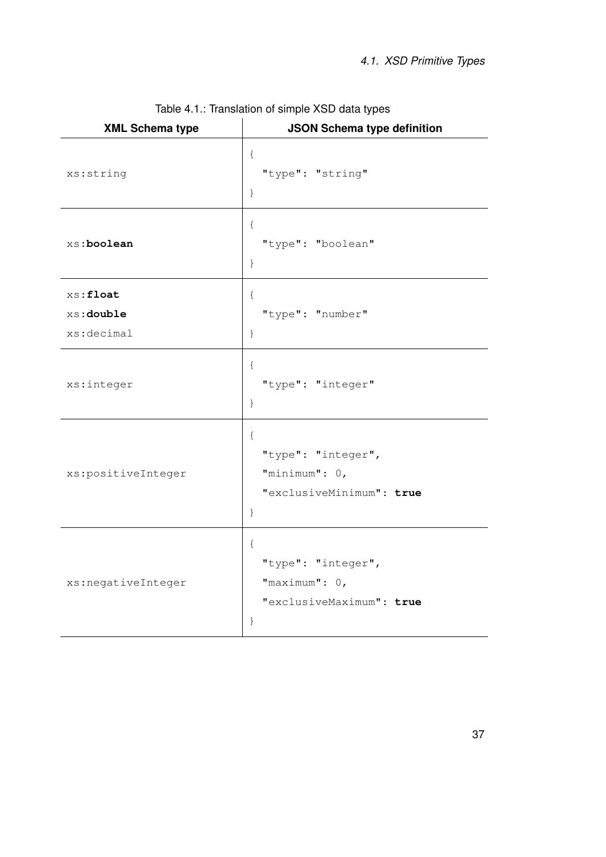<span id="page-44-0"></span>

| <b>XML Schema type</b>               | <b>JSON Schema type definition</b>                                              |
|--------------------------------------|---------------------------------------------------------------------------------|
| xs:string                            | $\{$<br>"type": "string"<br>$\}$                                                |
| xs:boolean                           | $\{$<br>"type": "boolean"<br>$\}$                                               |
| xs: float<br>xs:double<br>xs:decimal | €<br>"type": "number"<br>$\}$                                                   |
| xs:integer                           | $\{$<br>"type": "integer"<br>$\}$                                               |
| xs:positiveInteger                   | $\{$<br>"type": "integer",<br>"minimum": 0,<br>"exclusiveMinimum": true<br>$\}$ |
| xs:negativeInteger                   | $\{$<br>"type": "integer",<br>"maximum": $0,$<br>"exclusiveMaximum": true<br>}  |

Table 4.1.: Translation of simple XSD data types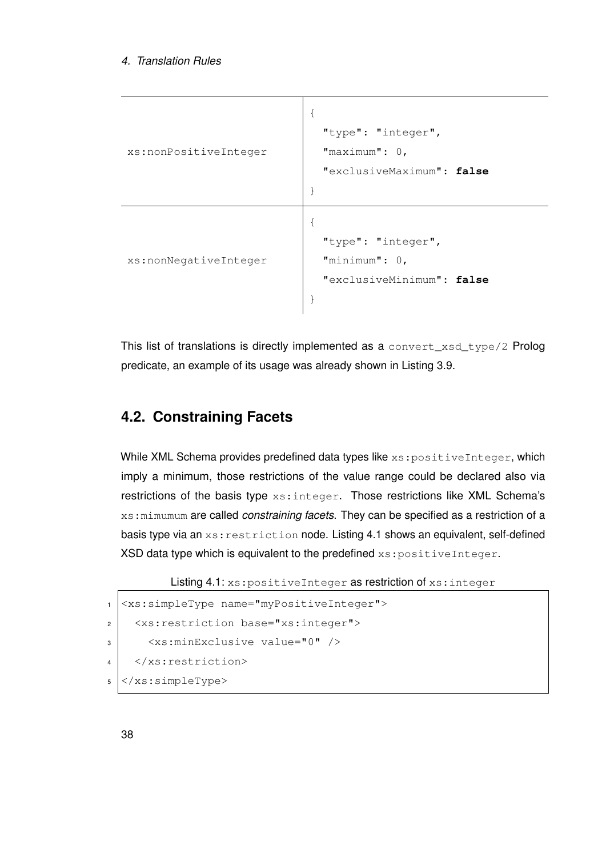```
xs:nonPositiveInteger
                             {
                               "type": "integer",
                               "maximum": 0,
                               "exclusiveMaximum": false
                             }
xs:nonNegativeInteger
                             {
                               "type": "integer",
                               "minimum": 0,
                               "exclusiveMinimum": false
                             }
```
This list of translations is directly implemented as a convert\_xsd\_type/2 Prolog predicate, an example of its usage was already shown in Listing [3.9.](#page-35-0)

#### <span id="page-45-1"></span>**4.2. Constraining Facets**

While XML Schema provides predefined data types like xs: positiveInteger, which imply a minimum, those restrictions of the value range could be declared also via restrictions of the basis type xs:integer. Those restrictions like XML Schema's xs:mimumum are called *constraining facets*. They can be specified as a restriction of a basis type via an xs: restriction node. Listing [4.1](#page-45-0) shows an equivalent, self-defined XSD data type which is equivalent to the predefined xs: positiveInteger.

```
Listing 4.1: xs: positiveInteger as restriction of xs: integer
```

```
1 <xs:simpleType name="myPositiveInteger">
2 <xs:restriction base="xs:integer">
3 <xs:minExclusive value="0" />
4 </xs:restriction>
5 \leq x s:simpleType>
```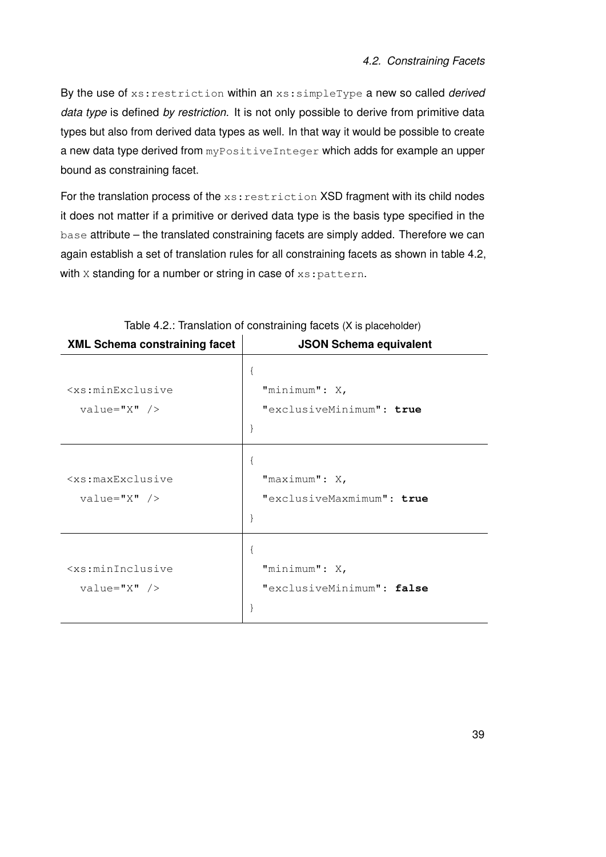By the use of xs:restriction within an xs:simpleType a new so called *derived data type* is defined *by restriction*. It is not only possible to derive from primitive data types but also from derived data types as well. In that way it would be possible to create a new data type derived from myPositiveInteger which adds for example an upper bound as constraining facet.

For the translation process of the xs: restriction XSD fragment with its child nodes it does not matter if a primitive or derived data type is the basis type specified in the base attribute – the translated constraining facets are simply added. Therefore we can again establish a set of translation rules for all constraining facets as shown in table [4.2,](#page-46-0) with X standing for a number or string in case of xs: pattern.

<span id="page-46-0"></span>

| <b>XML Schema constraining facet</b>                                           | <b>JSON Schema equivalent</b> |
|--------------------------------------------------------------------------------|-------------------------------|
|                                                                                | 1                             |
| <xs:minexclusive< td=""><td>"minimum": X,</td></xs:minexclusive<>              | "minimum": X,                 |
| $value="X"$ />                                                                 | "exclusiveMinimum": true      |
|                                                                                | ł                             |
|                                                                                | $\mathcal{L}$                 |
| <xs:maxexclusive< td=""><td>"<math>maximum</math>": X,</td></xs:maxexclusive<> | " $maximum$ ": X,             |
| $value = "X"$ />                                                               | "exclusiveMaxmimum": true     |
|                                                                                | <sup>}</sup>                  |
|                                                                                |                               |
| <xs:mininclusive< td=""><td>"minimum": X,</td></xs:mininclusive<>              | "minimum": X,                 |
| $value="X"$ />                                                                 | "exclusiveMinimum": false     |
|                                                                                |                               |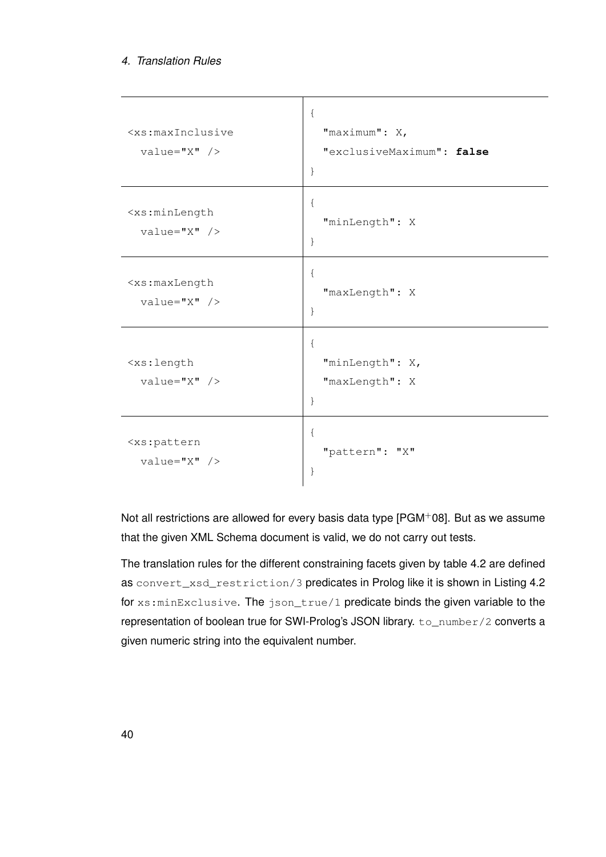#### *4. Translation Rules*

| <xs:maxinclusive<br><math>value="X"</math> /&gt;</xs:maxinclusive<br> | $\{$<br>"maximum": X,<br>"exclusiveMaximum": false<br>$\}$ |
|-----------------------------------------------------------------------|------------------------------------------------------------|
| <xs:minlength<br><math>value="X"</math> /&gt;</xs:minlength<br>       | $\{$<br>"minLength": X<br>$\}$                             |
| <xs:maxlength<br><math>value="X"</math> /&gt;</xs:maxlength<br>       | $\{$<br>"maxLength": X<br>$\}$                             |
| <xs:length<br><math>value="X"</math> /&gt;</xs:length<br>             | $\{$<br>"minLength": X,<br>"maxLength": X<br>$\}$          |
| <xs:pattern<br><math>value="X"</math> /&gt;</xs:pattern<br>           | $\{$<br>"pattern": "X"<br>}                                |

Not all restrictions are allowed for every basis data type [\[PGM](#page-96-0)+08]. But as we assume that the given XML Schema document is valid, we do not carry out tests.

The translation rules for the different constraining facets given by table [4.2](#page-46-0) are defined as convert\_xsd\_restriction/3 predicates in Prolog like it is shown in Listing [4.2](#page-48-0) for xs:minExclusive. The json\_true/1 predicate binds the given variable to the representation of boolean true for SWI-Prolog's JSON library. to\_number/2 converts a given numeric string into the equivalent number.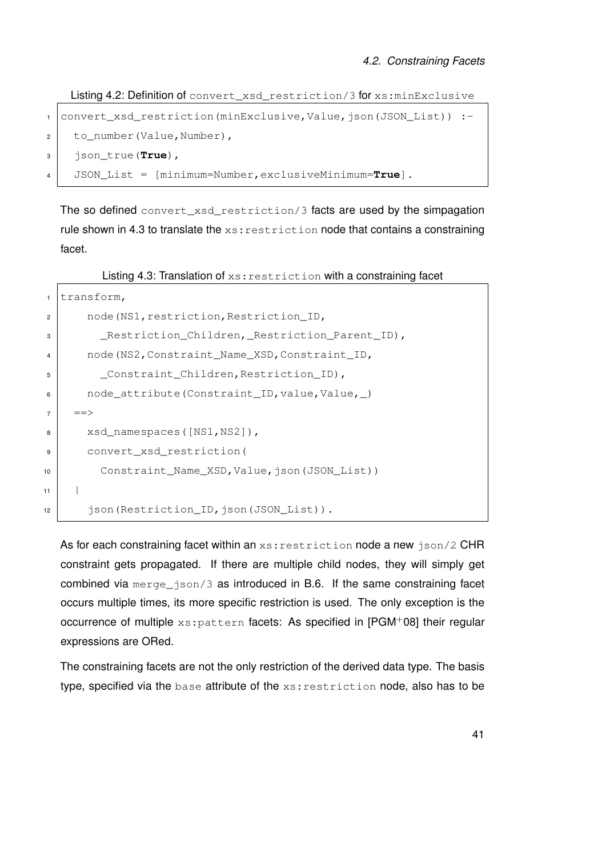<span id="page-48-0"></span>Listing 4.2: Definition of convert\_xsd\_restriction/3 for xs:minExclusive

```
1 convert_xsd_restriction(minExclusive,Value,json(JSON_List)) :-
2 to_number(Value,Number),
3 json_true(True),
4 JSON_List = [minimum=Number,exclusiveMinimum=True].
```
The so defined convert xsd restriction/3 facts are used by the simpagation rule shown in [4.3](#page-48-1) to translate the  $xs:restriction$  not that contains a constraining facet.

Listing 4.3: Translation of xs: restriction with a constraining facet

```
1 transform,
2 node(NS1, restriction, Restriction_ID,
3 | Restriction_Children, Restriction_Parent_ID),
4 node(NS2, Constraint_Name_XSD, Constraint_ID,
5 Constraint Children, Restriction ID),
6 \mid node_attribute(Constraint_ID, value, Value, )
7 \mid \quad ==>8 xsd_namespaces([NS1,NS2]),
9 convert_xsd_restriction(
10 Constraint_Name_XSD,Value,json(JSON_List))
1112 | json(Restriction_ID, json(JSON_List)).
```
As for each constraining facet within an  $xs:restriction$  ison node a new  $json/2$  CHR constraint gets propagated. If there are multiple child nodes, they will simply get combined via merge\_json/3 as introduced in [B.6.](#page-73-0) If the same constraining facet occurs multiple times, its more specific restriction is used. The only exception is the occurrence of multiple xs: pattern facets: As specified in [\[PGM](#page-96-0)+08] their regular expressions are ORed.

The constraining facets are not the only restriction of the derived data type. The basis type, specified via the base attribute of the xs:restriction node, also has to be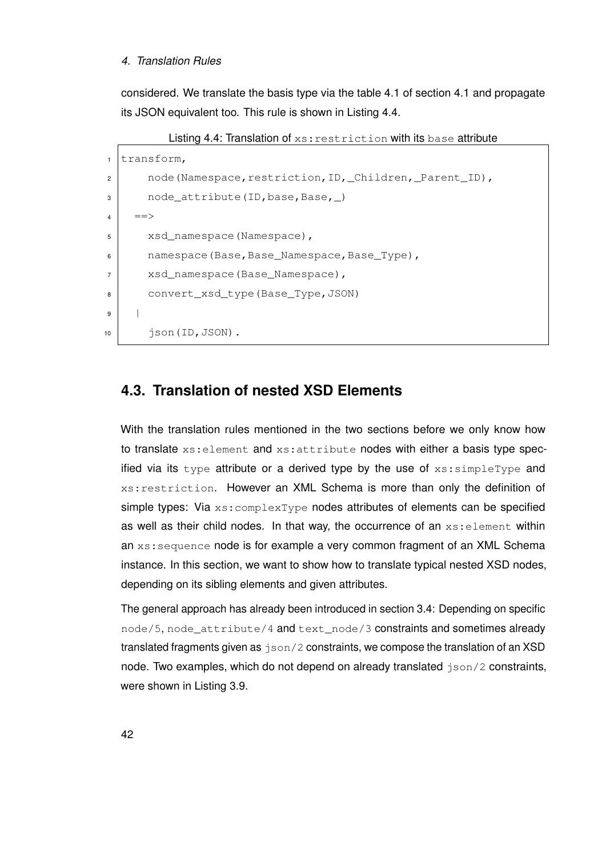#### *4. Translation Rules*

<span id="page-49-1"></span>considered. We translate the basis type via the table [4.1](#page-44-0) of section [4.1](#page-44-0) and propagate its JSON equivalent too. This rule is shown in Listing [4.4.](#page-49-1)

Listing 4.4: Translation of  $xs:restriterion$  with its base attribute

```
1 transform,
2 | node(Namespace, restriction, ID, _Children, _Parent_ID),
3 \mid node_attribute(ID, base, Base, )4 \mid \quad ==>5 xsd_namespace(Namespace),
6 namespace(Base, Base_Namespace, Base_Type),
7 xsd namespace(Base Namespace),
8 convert_xsd_type(Base_Type, JSON)
9 |
10 json(ID, JSON).
```
#### <span id="page-49-0"></span>**4.3. Translation of nested XSD Elements**

With the translation rules mentioned in the two sections before we only know how to translate xs: element and xs: attribute nodes with either a basis type specified via its type attribute or a derived type by the use of  $xs:simpleType$  and xs:restriction. However an XML Schema is more than only the definition of simple types: Via  $xs:complexType$  nodes attributes of elements can be specified as well as their child nodes. In that way, the occurrence of an xs: element within an xs: sequence node is for example a very common fragment of an XML Schema instance. In this section, we want to show how to translate typical nested XSD nodes, depending on its sibling elements and given attributes.

The general approach has already been introduced in section [3.4:](#page-33-0) Depending on specific node/5, node\_attribute/4 and text\_node/3 constraints and sometimes already translated fragments given as  $json/2$  constraints, we compose the translation of an XSD node. Two examples, which do not depend on already translated json/2 constraints, were shown in Listing [3.9.](#page-35-0)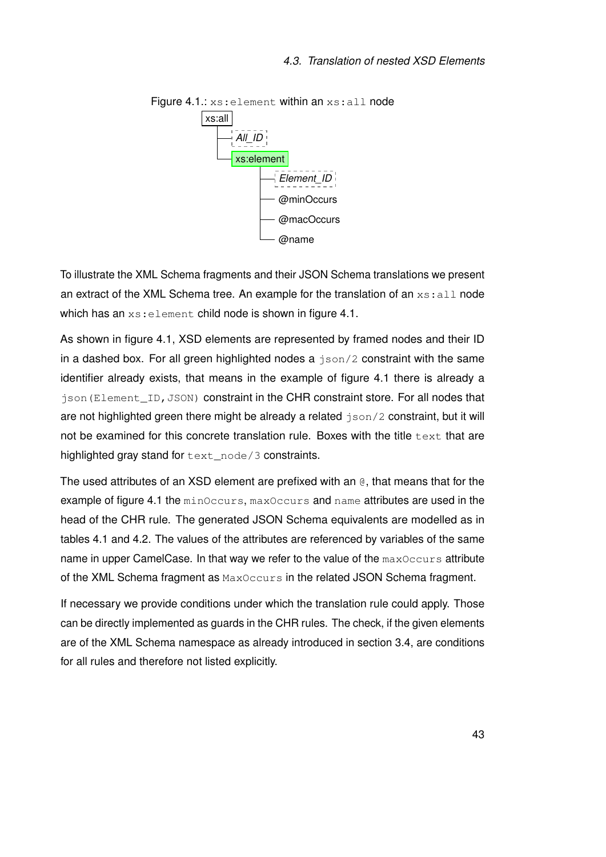<span id="page-50-0"></span>

Figure 4.1.: xs: element within an xs: all node

To illustrate the XML Schema fragments and their JSON Schema translations we present an extract of the XML Schema tree. An example for the translation of an  $xs:$  all node which has an xs: element child node is shown in figure [4.1.](#page-50-0)

As shown in figure [4.1,](#page-50-0) XSD elements are represented by framed nodes and their ID in a dashed box. For all green highlighted nodes a  $\frac{1}{2}$  sonstraint with the same identifier already exists, that means in the example of figure [4.1](#page-50-0) there is already a json(Element\_ID,JSON) constraint in the CHR constraint store. For all nodes that are not highlighted green there might be already a related json/2 constraint, but it will not be examined for this concrete translation rule. Boxes with the title text that are highlighted gray stand for text\_node/3 constraints.

The used attributes of an XSD element are prefixed with an @, that means that for the example of figure [4.1](#page-50-0) the minOccurs, maxOccurs and name attributes are used in the head of the CHR rule. The generated JSON Schema equivalents are modelled as in tables [4.1](#page-44-0) and [4.2.](#page-46-0) The values of the attributes are referenced by variables of the same name in upper CamelCase. In that way we refer to the value of the maxOccurs attribute of the XML Schema fragment as MaxOccurs in the related JSON Schema fragment.

If necessary we provide conditions under which the translation rule could apply. Those can be directly implemented as guards in the CHR rules. The check, if the given elements are of the XML Schema namespace as already introduced in section [3.4,](#page-33-0) are conditions for all rules and therefore not listed explicitly.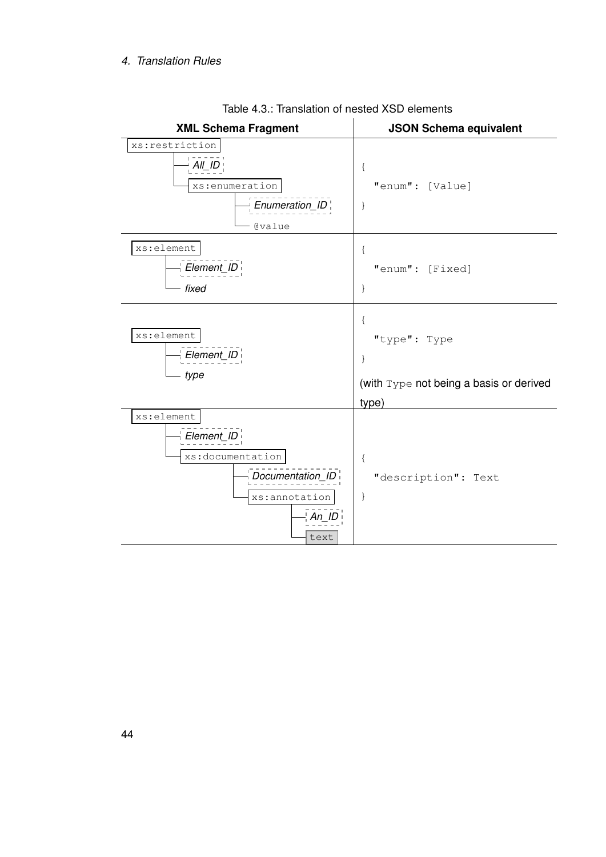<span id="page-51-0"></span>

Table 4.3.: Translation of nested XSD elements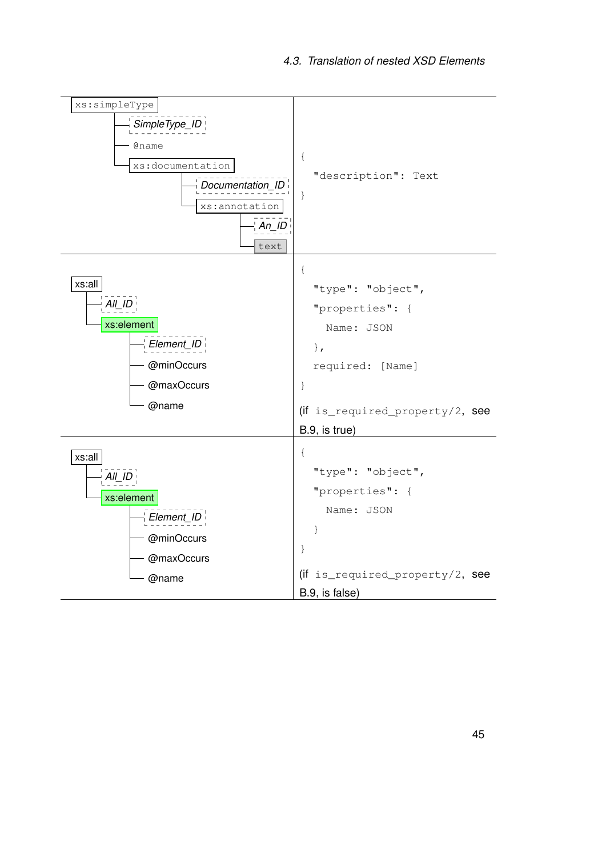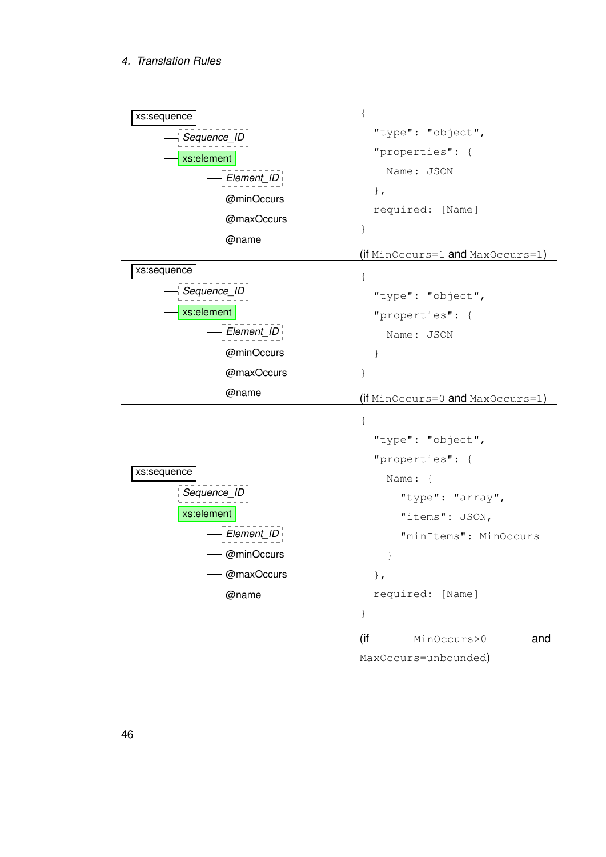#### *4. Translation Rules*

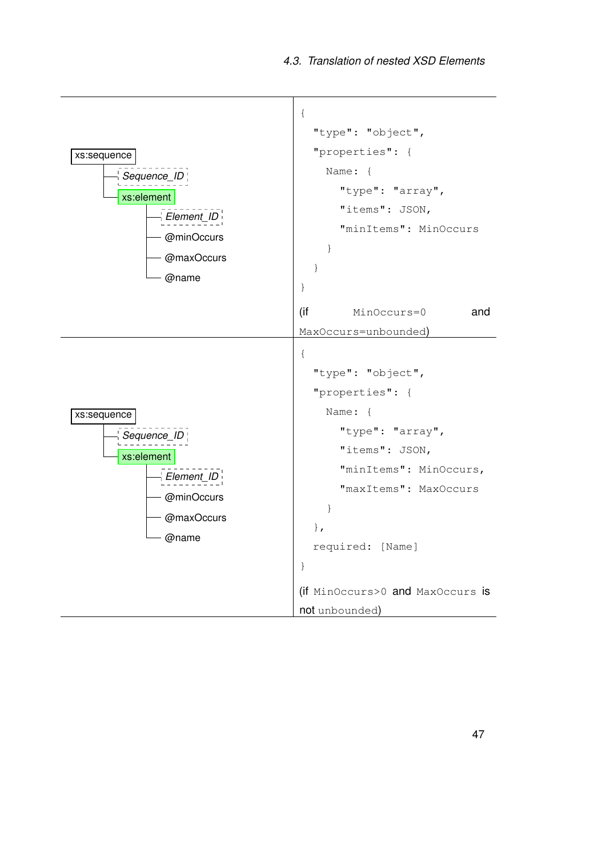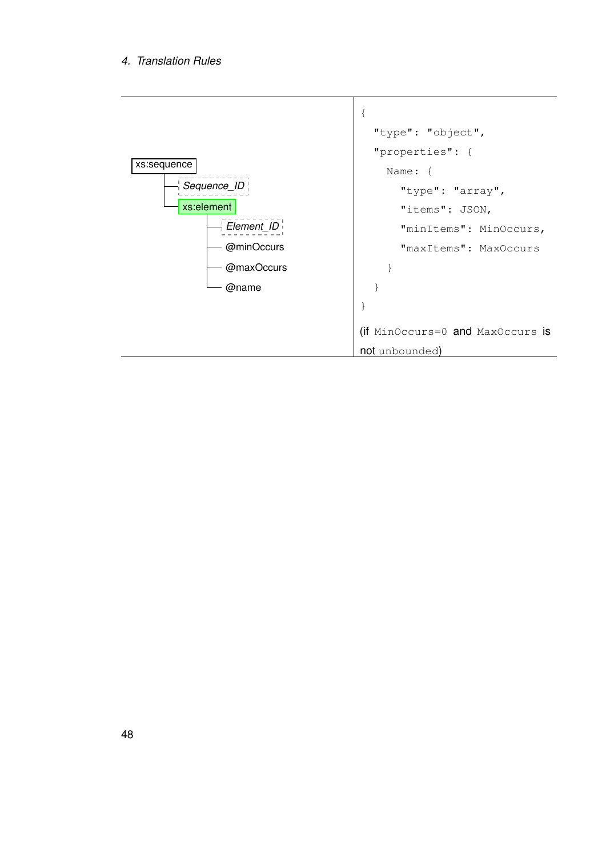#### *4. Translation Rules*

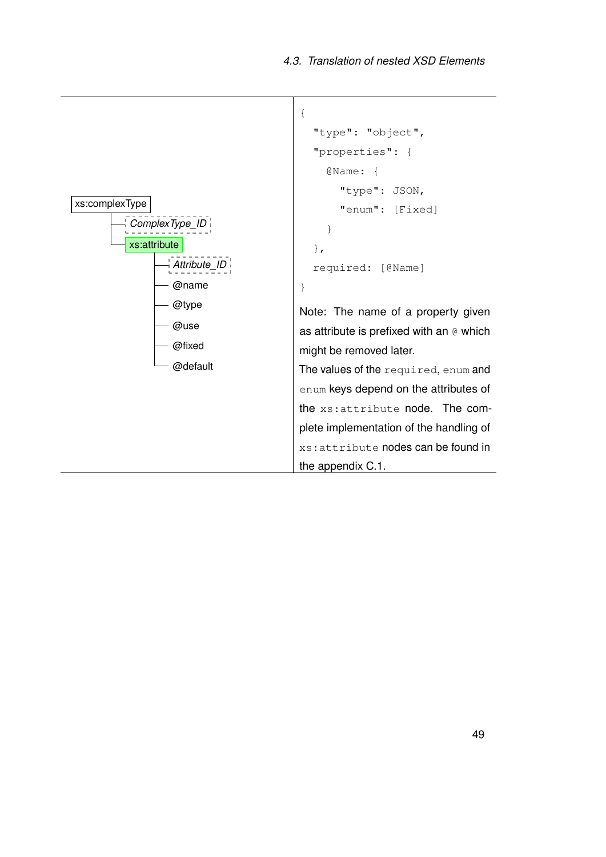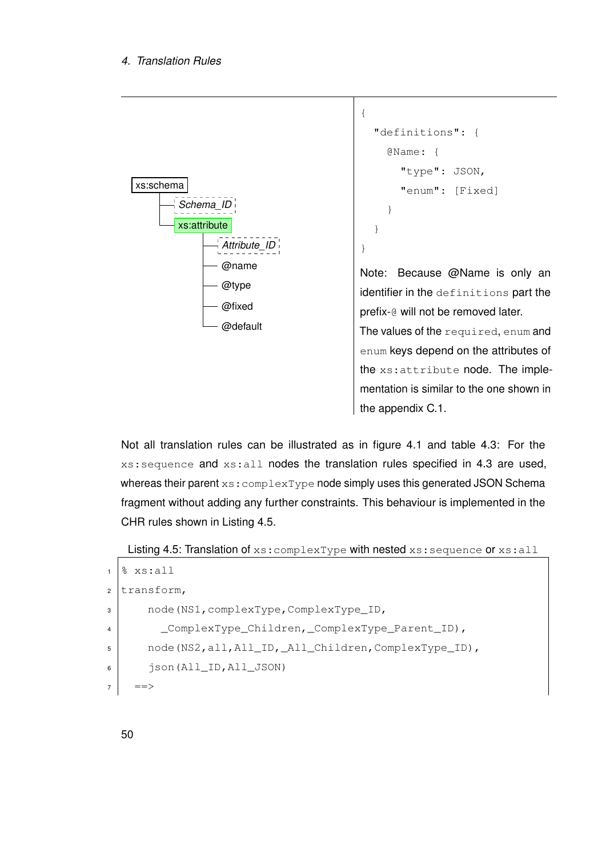

```
"definitions": {
  @Name: {
    "type": JSON,
    "enum": [Fixed]
  }
}
```
{

}

Note: Because @Name is only an identifier in the definitions part the prefix-@ will not be removed later. The values of the required, enum and

enum keys depend on the attributes of the xs:attribute node. The implementation is similar to the one shown in the appendix [C.1.](#page-84-0)

Not all translation rules can be illustrated as in figure [4.1](#page-50-0) and table [4.3:](#page-51-0) For the xs:sequence and xs:all nodes the translation rules specified in [4.3](#page-51-0) are used, whereas their parent xs: complexType node simply uses this generated JSON Schema fragment without adding any further constraints. This behaviour is implemented in the CHR rules shown in Listing [4.5.](#page-57-0)

<span id="page-57-0"></span>Listing 4.5: Translation of xs: complexType with nested xs: sequence or xs: all

```
1 \, \, xs: all
2 \text{transform},
3 node(NS1,complexType,ComplexType_ID,
4 ComplexType_Children, ComplexType_Parent_ID),
5 node(NS2,all,All_ID,_All_Children,ComplexType_ID),
6 json(All_ID,All_JSON)
7 ==>
```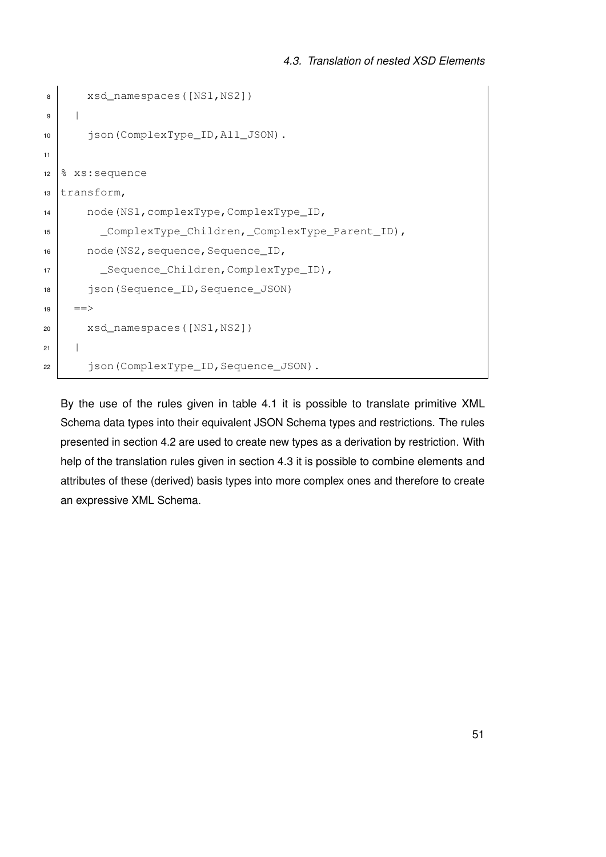```
8 xsd_namespaces([NS1,NS2])
9 |
10 json(ComplexType_ID,All_JSON).
11
12 \, \, xs: sequence
13 transform,
14 node(NS1,complexType,ComplexType_ID,
15 ComplexType_Children, ComplexType_Parent_ID),
16 node (NS2, sequence, Sequence_ID,
17 | _Sequence_Children, ComplexType_ID),
18 json(Sequence_ID,Sequence_JSON)
_{19} ==>
20 xsd_namespaces([NS1,NS2])
21 |
22 json(ComplexType_ID,Sequence_JSON).
```
By the use of the rules given in table [4.1](#page-44-0) it is possible to translate primitive XML Schema data types into their equivalent JSON Schema types and restrictions. The rules presented in section [4.2](#page-45-1) are used to create new types as a derivation by restriction. With help of the translation rules given in section [4.3](#page-51-0) it is possible to combine elements and attributes of these (derived) basis types into more complex ones and therefore to create an expressive XML Schema.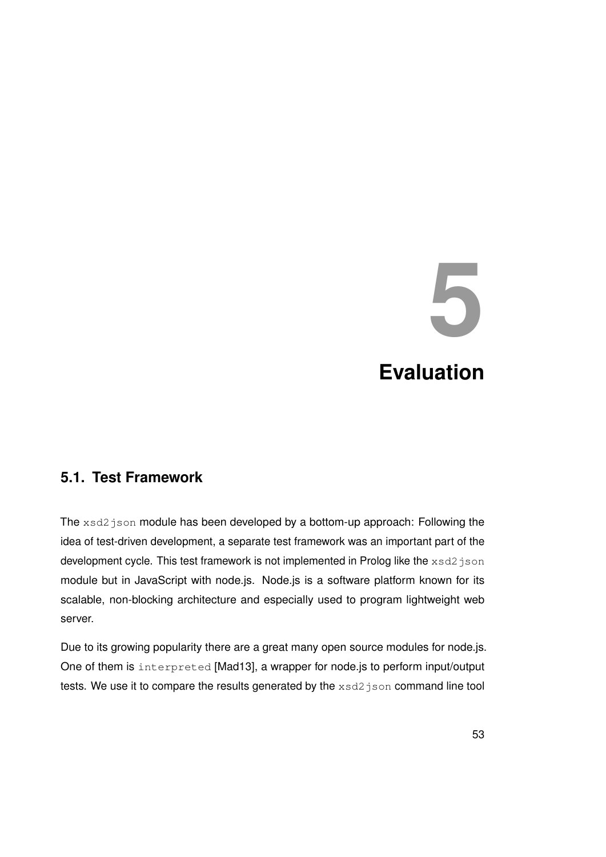## **5 Evaluation**

#### **5.1. Test Framework**

The xsd2json module has been developed by a bottom-up approach: Following the idea of test-driven development, a separate test framework was an important part of the development cycle. This test framework is not implemented in Prolog like the xsd2json module but in JavaScript with node.js. Node.js is a software platform known for its scalable, non-blocking architecture and especially used to program lightweight web server.

Due to its growing popularity there are a great many open source modules for node.js. One of them is interpreted [\[Mad13\]](#page-96-2), a wrapper for node.js to perform input/output tests. We use it to compare the results generated by the  $xsd2$  json command line tool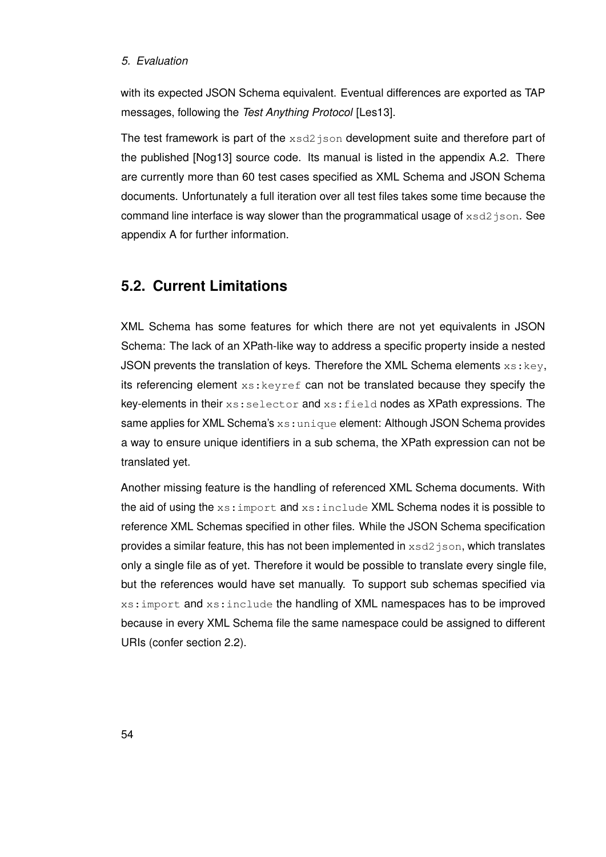#### *5. Evaluation*

with its expected JSON Schema equivalent. Eventual differences are exported as TAP messages, following the *Test Anything Protocol* [\[Les13\]](#page-96-3).

The test framework is part of the  $xsd2$  json development suite and therefore part of the published [\[Nog13\]](#page-96-4) source code. Its manual is listed in the appendix [A.2.](#page-67-0) There are currently more than 60 test cases specified as XML Schema and JSON Schema documents. Unfortunately a full iteration over all test files takes some time because the command line interface is way slower than the programmatical usage of xsd2json. See appendix [A](#page-66-0) for further information.

#### <span id="page-61-0"></span>**5.2. Current Limitations**

XML Schema has some features for which there are not yet equivalents in JSON Schema: The lack of an XPath-like way to address a specific property inside a nested JSON prevents the translation of keys. Therefore the XML Schema elements  $xs:key$ . its referencing element  $xs:keyref$  can not be translated because they specify the key-elements in their  $xs:selector$  and  $xs:field$  nodes as XPath expressions. The same applies for XML Schema's xs: unique element: Although JSON Schema provides a way to ensure unique identifiers in a sub schema, the XPath expression can not be translated yet.

Another missing feature is the handling of referenced XML Schema documents. With the aid of using the  $xs:import$  and  $xs:include$  XML Schema nodes it is possible to reference XML Schemas specified in other files. While the JSON Schema specification provides a similar feature, this has not been implemented in  $xsd2$  json, which translates only a single file as of yet. Therefore it would be possible to translate every single file, but the references would have set manually. To support sub schemas specified via xs:import and xs:include the handling of XML namespaces has to be improved because in every XML Schema file the same namespace could be assigned to different URIs (confer section [2.2\)](#page-15-0).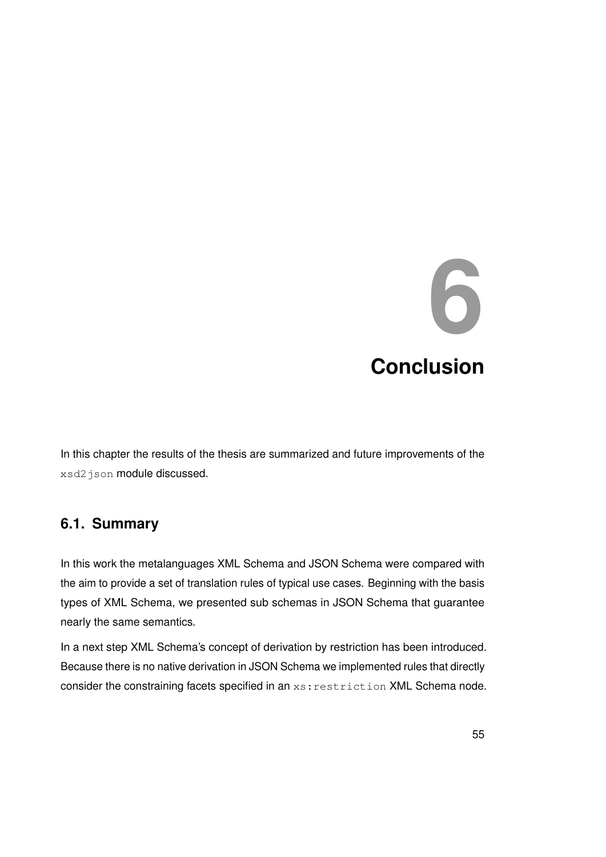### **6 Conclusion**

In this chapter the results of the thesis are summarized and future improvements of the xsd2json module discussed.

#### **6.1. Summary**

In this work the metalanguages XML Schema and JSON Schema were compared with the aim to provide a set of translation rules of typical use cases. Beginning with the basis types of XML Schema, we presented sub schemas in JSON Schema that guarantee nearly the same semantics.

In a next step XML Schema's concept of derivation by restriction has been introduced. Because there is no native derivation in JSON Schema we implemented rules that directly consider the constraining facets specified in an xs: restriction XML Schema node.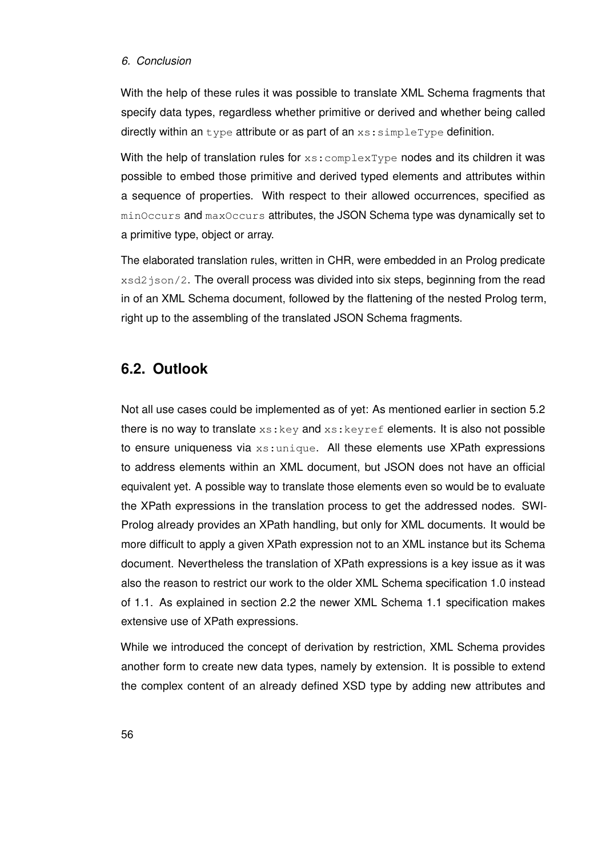#### *6. Conclusion*

With the help of these rules it was possible to translate XML Schema fragments that specify data types, regardless whether primitive or derived and whether being called directly within an type attribute or as part of an  $xs:simpleType$  definition.

With the help of translation rules for  $xs:complexType$  nodes and its children it was possible to embed those primitive and derived typed elements and attributes within a sequence of properties. With respect to their allowed occurrences, specified as minOccurs and maxOccurs attributes, the JSON Schema type was dynamically set to a primitive type, object or array.

The elaborated translation rules, written in CHR, were embedded in an Prolog predicate  $x$ sd2 json/2. The overall process was divided into six steps, beginning from the read in of an XML Schema document, followed by the flattening of the nested Prolog term, right up to the assembling of the translated JSON Schema fragments.

#### **6.2. Outlook**

Not all use cases could be implemented as of yet: As mentioned earlier in section [5.2](#page-61-0) there is no way to translate  $xs:key$  and  $xs:key$  ref elements. It is also not possible to ensure uniqueness via  $xs:$ unique. All these elements use XPath expressions to address elements within an XML document, but JSON does not have an official equivalent yet. A possible way to translate those elements even so would be to evaluate the XPath expressions in the translation process to get the addressed nodes. SWI-Prolog already provides an XPath handling, but only for XML documents. It would be more difficult to apply a given XPath expression not to an XML instance but its Schema document. Nevertheless the translation of XPath expressions is a key issue as it was also the reason to restrict our work to the older XML Schema specification 1.0 instead of 1.1. As explained in section [2.2](#page-15-0) the newer XML Schema 1.1 specification makes extensive use of XPath expressions.

While we introduced the concept of derivation by restriction, XML Schema provides another form to create new data types, namely by extension. It is possible to extend the complex content of an already defined XSD type by adding new attributes and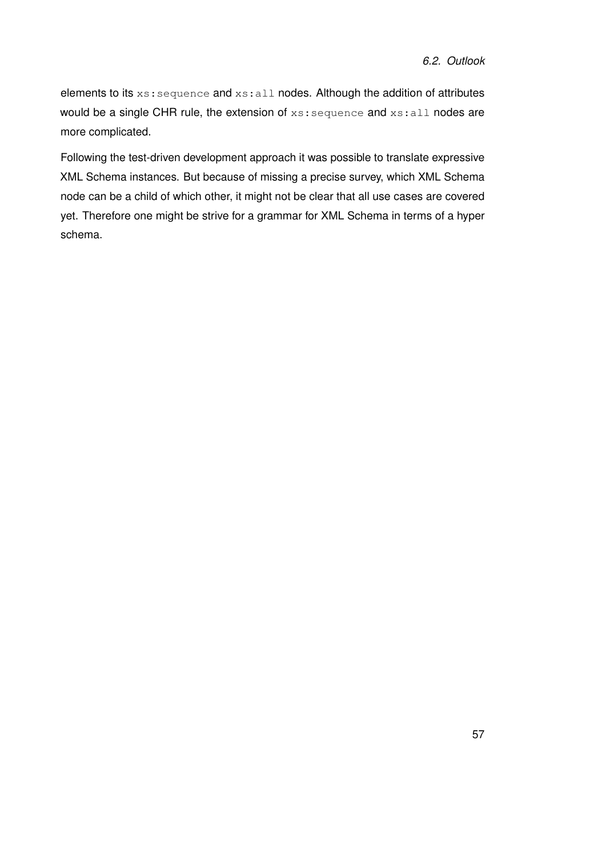elements to its xs: sequence and xs: all nodes. Although the addition of attributes would be a single CHR rule, the extension of xs: sequence and xs: all nodes are more complicated.

Following the test-driven development approach it was possible to translate expressive XML Schema instances. But because of missing a precise survey, which XML Schema node can be a child of which other, it might not be clear that all use cases are covered yet. Therefore one might be strive for a grammar for XML Schema in terms of a hyper schema.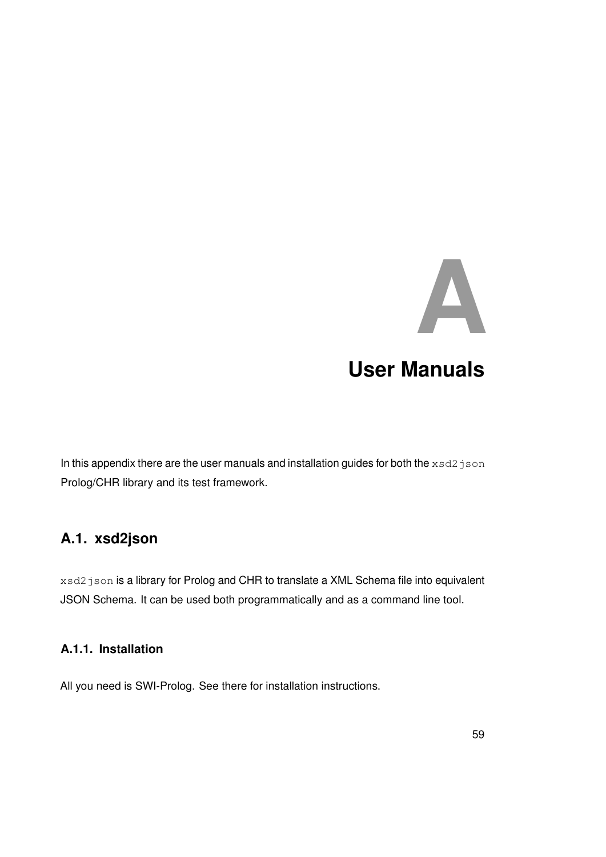### <span id="page-66-0"></span>**A User Manuals**

In this appendix there are the user manuals and installation guides for both the  $xsd2json$ Prolog/CHR library and its test framework.

#### **A.1. xsd2json**

xsd2 json is a library for Prolog and CHR to translate a XML Schema file into equivalent JSON Schema. It can be used both programmatically and as a command line tool.

#### **A.1.1. Installation**

All you need is SWI-Prolog. See there for installation instructions.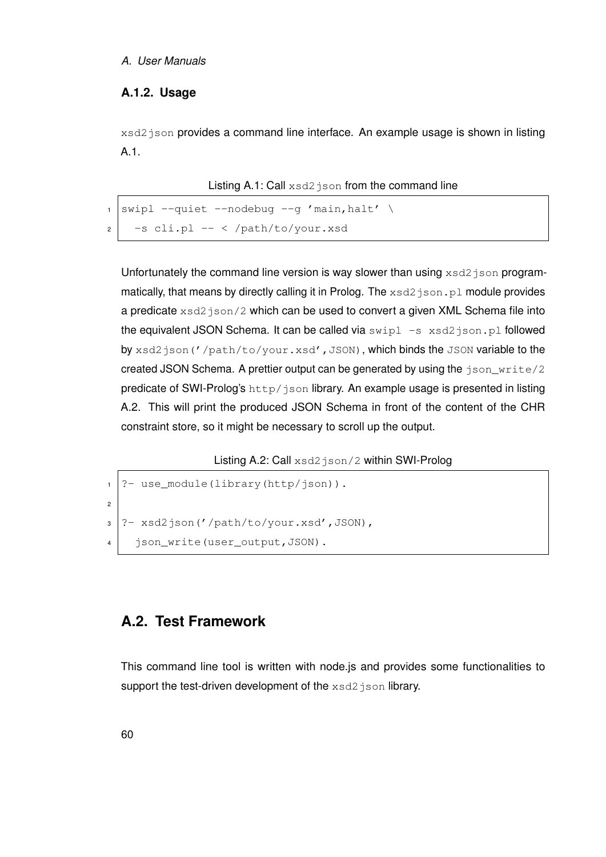#### *A. User Manuals*

#### **A.1.2. Usage**

xsd2 json provides a command line interface. An example usage is shown in listing [A.1.](#page-67-1)

Listing A.1: Call xsd2 json from the command line

<span id="page-67-1"></span>

| $\frac{1}{1}$ swipl --quiet --nodebug --g 'main, halt' \ |  |
|----------------------------------------------------------|--|
| $_2$   $-s$ cli.pl -- < /path/to/your.xsd                |  |

Unfortunately the command line version is way slower than using  $xsd2$  json programmatically, that means by directly calling it in Prolog. The xsd2 json.pl module provides a predicate xsd2 json/2 which can be used to convert a given XML Schema file into the equivalent JSON Schema. It can be called via  $\text{swipl}$  -s  $\text{xsd2}$  json.pl followed by xsd2json('/path/to/your.xsd',JSON), which binds the JSON variable to the created JSON Schema. A prettier output can be generated by using the json\_write/2 predicate of SWI-Prolog's http/json library. An example usage is presented in listing [A.2.](#page-67-2) This will print the produced JSON Schema in front of the content of the CHR constraint store, so it might be necessary to scroll up the output.

Listing A.2: Call xsd2json/2 within SWI-Prolog

```
1 ?- use_module(library(http/json)).
2
3 ? xsd2 json('/path/to/your.xsd',JSON),
4 | json write(user output, JSON).
```
#### <span id="page-67-0"></span>**A.2. Test Framework**

This command line tool is written with node.js and provides some functionalities to support the test-driven development of the  $xsd2$  json library.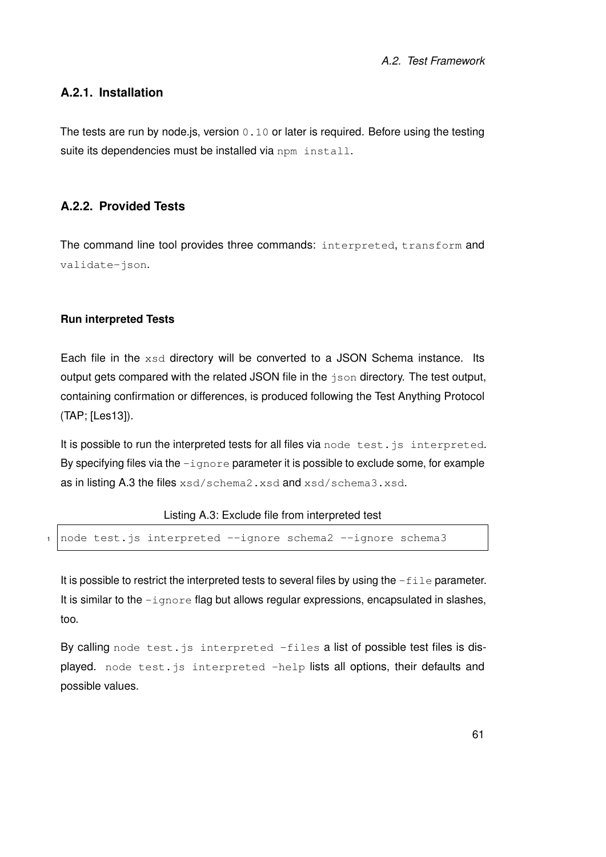#### **A.2.1. Installation**

The tests are run by node is, version  $0.10$  or later is required. Before using the testing suite its dependencies must be installed via npm install.

#### **A.2.2. Provided Tests**

The command line tool provides three commands: interpreted, transform and validate-json.

#### **Run interpreted Tests**

Each file in the xsd directory will be converted to a JSON Schema instance. Its output gets compared with the related JSON file in the  $\frac{1}{150n}$  directory. The test output, containing confirmation or differences, is produced following the Test Anything Protocol (TAP; [\[Les13\]](#page-96-3)).

It is possible to run the interpreted tests for all files via node test. is interpreted. By specifying files via the  $-i$ gnore parameter it is possible to exclude some, for example as in listing [A.3](#page-68-0) the files xsd/schema2.xsd and xsd/schema3.xsd.

#### Listing A.3: Exclude file from interpreted test

```
node test.js interpreted --ignore schema2 --ignore schema3
```
It is possible to restrict the interpreted tests to several files by using the  $-\text{file}$  parameter. It is similar to the  $-i$ gnore flag but allows regular expressions, encapsulated in slashes, too.

By calling node test. is interpreted -files a list of possible test files is displayed. node test.js interpreted -help lists all options, their defaults and possible values.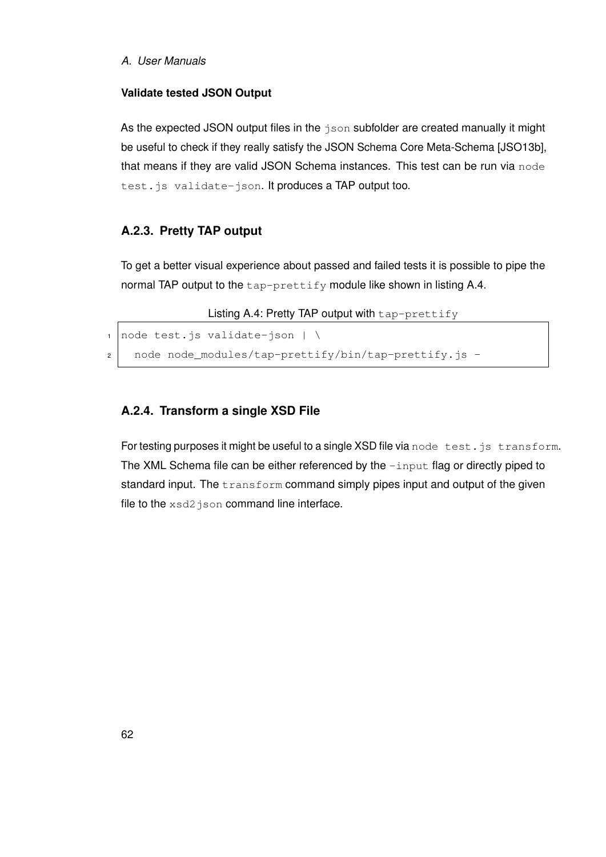#### **Validate tested JSON Output**

As the expected JSON output files in the json subfolder are created manually it might be useful to check if they really satisfy the JSON Schema Core Meta-Schema [\[JSO13b\]](#page-95-1), that means if they are valid JSON Schema instances. This test can be run via node test. is validate-json. It produces a TAP output too.

#### **A.2.3. Pretty TAP output**

To get a better visual experience about passed and failed tests it is possible to pipe the normal TAP output to the tap-prettify module like shown in listing [A.4.](#page-69-0)

Listing A.4: Pretty TAP output with tap-prettify

```
1 node test.js validate-json |\ \rangle
```
2 node node\_modules/tap-prettify/bin/tap-prettify.js -

#### **A.2.4. Transform a single XSD File**

For testing purposes it might be useful to a single XSD file via node test.js transform. The XML Schema file can be either referenced by the  $\lnot$  apput flag or directly piped to standard input. The transform command simply pipes input and output of the given file to the xsd2 json command line interface.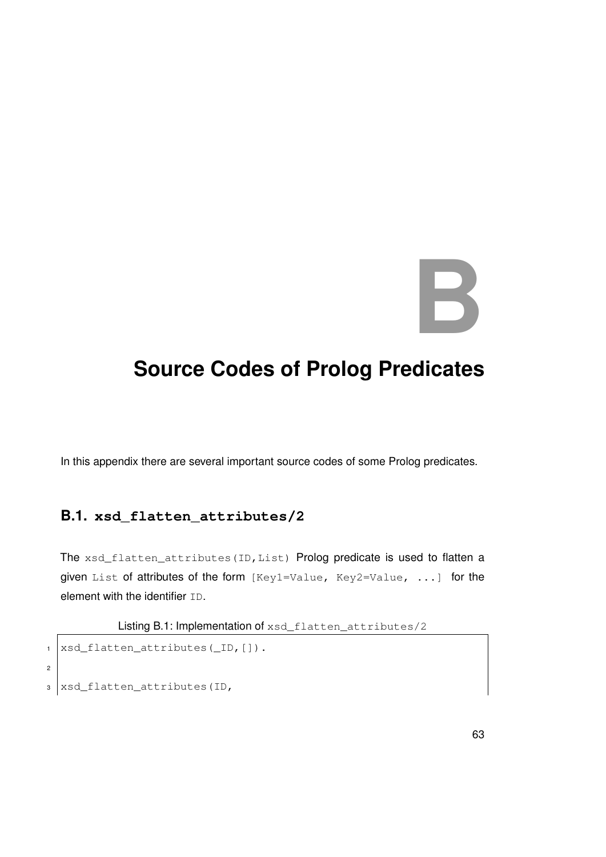# **B**

### **Source Codes of Prolog Predicates**

In this appendix there are several important source codes of some Prolog predicates.

#### **B.1. xsd\_flatten\_attributes/2**

The xsd\_flatten\_attributes(ID, List) Prolog predicate is used to flatten a given List of attributes of the form [Key1=Value, Key2=Value, ...] for the element with the identifier ID.

Listing B.1: Implementation of xsd\_flatten\_attributes/2

```
1 | xsd_flatten_attributes(_ID, []).
2
3 xsd_flatten_attributes(ID,
```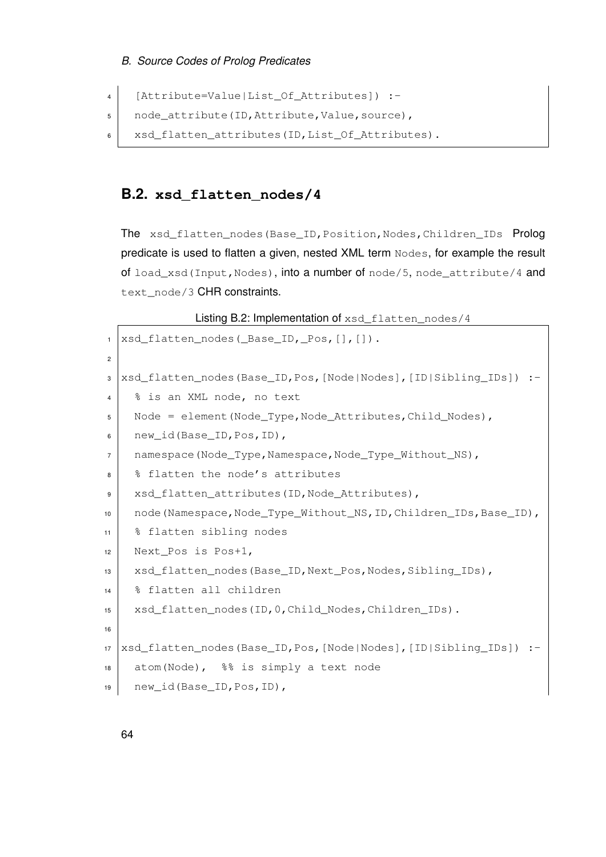```
4 [Attribute=Value|List_Of_Attributes]) :-
5 | node_attribute(ID, Attribute, Value, source),
6 xsd_flatten_attributes(ID, List_Of_Attributes).
```
#### **B.2. xsd\_flatten\_nodes/4**

The xsd\_flatten\_nodes(Base\_ID, Position, Nodes, Children\_IDs Prolog predicate is used to flatten a given, nested XML term Nodes, for example the result of load\_xsd(Input, Nodes), into a number of node/5, node\_attribute/4 and text\_node/3 CHR constraints.

Listing B.2: Implementation of xsd\_flatten\_nodes/4

```
1 xsd_flatten_nodes(_Base_ID,_Pos,[],[]).
2
3 xsd_flatten_nodes(Base_ID,Pos,[Node|Nodes],[ID|Sibling_IDs]) :-
4 % is an XML node, no text
5 Node = element(Node_Type,Node_Attributes,Child_Nodes),
6 new_id(Base_ID,Pos,ID),
7 | namespace(Node_Type,Namespace,Node_Type_Without_NS),
8 | % flatten the node's attributes
9 xsd_flatten_attributes(ID, Node_Attributes),
10 node(Namespace,Node_Type_Without_NS, ID, Children_IDs, Base_ID),
11 % flatten sibling nodes
12 Next_Pos is Pos+1,
13 xsd_flatten_nodes(Base_ID,Next_Pos,Nodes,Sibling_IDs),
14 % flatten all children
15 xsd_flatten_nodes(ID, 0, Child_Nodes, Children_IDs).
16
17 xsd_flatten_nodes(Base_ID,Pos,[Node|Nodes],[ID|Sibling_IDs]) :-
18 atom(Node), %% is simply a text node
19 new_id(Base_ID,Pos,ID),
```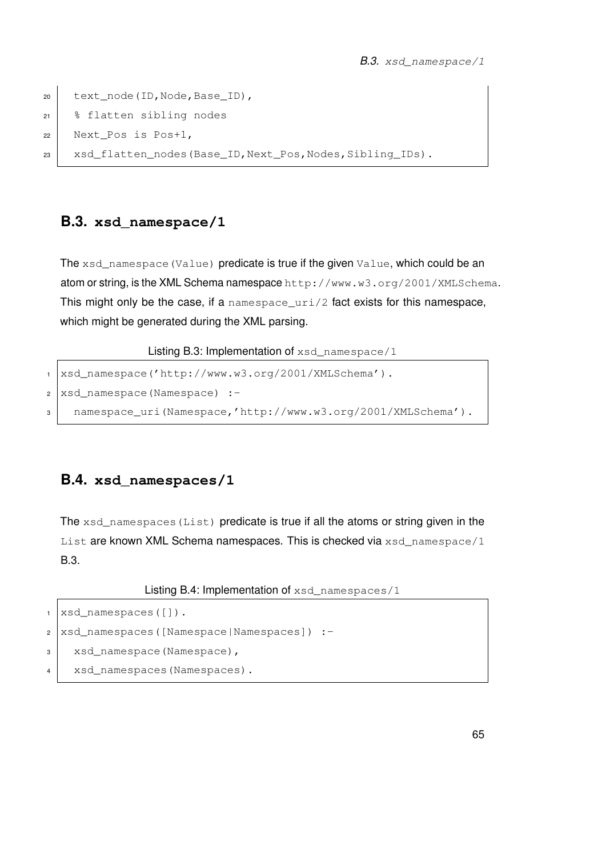```
20 text_node(ID,Node,Base_ID),
21 % flatten sibling nodes
22 Next_Pos is Pos+1,
23 xsd_flatten_nodes(Base_ID, Next_Pos, Nodes, Sibling_IDs).
```
### <span id="page-72-0"></span>**B.3. xsd\_namespace/1**

The xsd\_namespace(Value) predicate is true if the given Value, which could be an atom or string, is the XML Schema namespace http://www.w3.org/2001/XMLSchema. This might only be the case, if a namespace\_uri/2 fact exists for this namespace, which might be generated during the XML parsing.

Listing B.3: Implementation of xsd\_namespace/1

```
1 | xsd_namespace('http://www.w3.org/2001/XMLSchema').
2 \times 3 xsd_namespace (Namespace) :-
3 namespace_uri(Namespace,'http://www.w3.org/2001/XMLSchema').
```
### **B.4. xsd\_namespaces/1**

The xsd\_namespaces (List) predicate is true if all the atoms or string given in the List are known XML Schema namespaces. This is checked via xsd\_namespace/1 [B.3.](#page-72-0)

Listing B.4: Implementation of xsd\_namespaces/1

```
1 xsd_namespaces([]).
2 xsd_namespaces([Namespace|Namespaces]) :-
3 xsd_namespace(Namespace),
4 xsd_namespaces(Namespaces).
```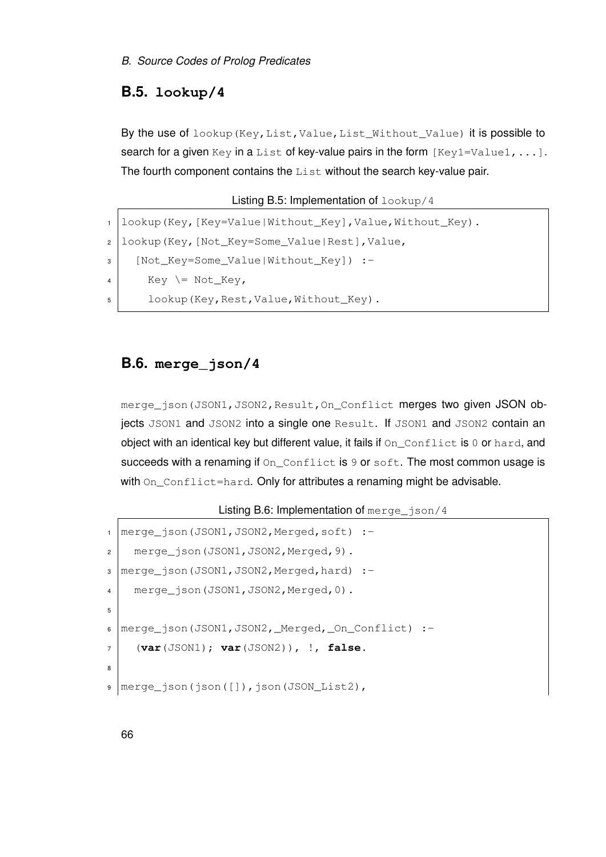### **B.5. lookup/4**

By the use of lookup (Key, List, Value, List\_Without\_Value) it is possible to search for a given Key in a List of key-value pairs in the form  $[Key1=Value1, ...]$ . The fourth component contains the List without the search key-value pair.

```
Listing B.5: Implementation of lookup/4
```

```
1 lookup(Key, [Key=Value|Without_Key], Value, Without_Key).
2 lookup(Key, [Not Key=Some Value|Rest], Value,
3 [Not_Key=Some_Value|Without_Key]) :-
4 Key \leftarrow Not_Key,
5 | lookup(Key, Rest, Value, Without Key).
```
### **B.6. merge\_json/4**

merge\_json(JSON1, JSON2, Result, On\_Conflict merges two given JSON objects JSON1 and JSON2 into a single one Result. If JSON1 and JSON2 contain an object with an identical key but different value, it fails if  $On\_Conflict$  is 0 or hard, and succeeds with a renaming if  $On$  Conflict is  $9$  or soft. The most common usage is with  $On\_Conflict=hard$ . Only for attributes a renaming might be advisable.

### Listing B.6: Implementation of merge\_json/4

```
1 | merge_json(JSON1, JSON2, Merged, soft) :-
2 merge_json(JSON1, JSON2, Merged, 9).
3 merge_json(JSON1,JSON2,Merged,hard) :-
4 merge_json(JSON1, JSON2, Merged, 0).
5
6 | merge_json(JSON1, JSON2, _Merged, _On_Conflict) :-
7 (var(JSON1); var(JSON2)), !, false.
8
9 merge_json(json([]),json(JSON_List2),
```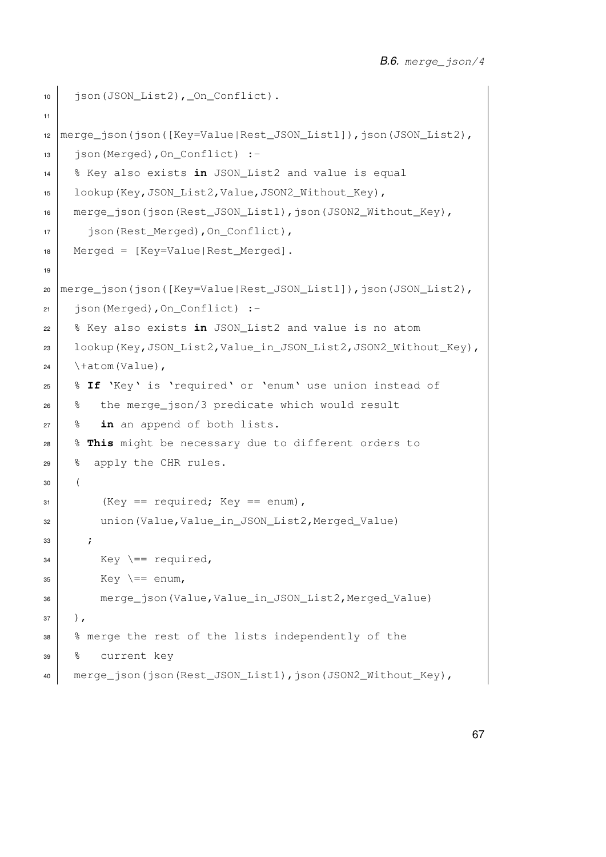```
10 | json(JSON_List2), _On_Conflict).
11
12 | merge_json(json([Key=Value|Rest_JSON_List1]),json(JSON_List2),
13 json(Merged),On_Conflict) :-
14 % Key also exists in JSON_List2 and value is equal
15 | lookup(Key,JSON_List2,Value,JSON2_Without_Key),
16 merge_json(json(Rest_JSON_List1),json(JSON2_Without_Key),
17 json(Rest_Merged),On_Conflict),
18 Merged = [Key=Value|Rest_Merged].
19
20 merge_json(json([Key=Value|Rest_JSON_List1]),json(JSON_List2),
21 json(Merged), On Conflict) :-
22 % Key also exists in JSON_List2 and value is no atom
23 lookup(Key,JSON_List2,Value_in_JSON_List2,JSON2_Without_Key),
24 \setminus +atom (Value),
25 % If 'Key' is 'required' or 'enum' use union instead of
26 % the merge_json/3 predicate which would result
27 \frac{8}{10} in an append of both lists.
28 % This might be necessary due to different orders to
29 % apply the CHR rules.
30 (
31 (Key == required; Key == enum),
32 union(Value,Value_in_JSON_List2,Merged_Value)
33 ;
34 Key \leftarrow required,
35 Key \leftarrow enum,
36 merge_json(Value,Value_in_JSON_List2,Merged_Value)
37 \mid ),
38 % merge the rest of the lists independently of the
39 % current key
40 merge_json(json(Rest_JSON_List1),json(JSON2_Without_Key),
```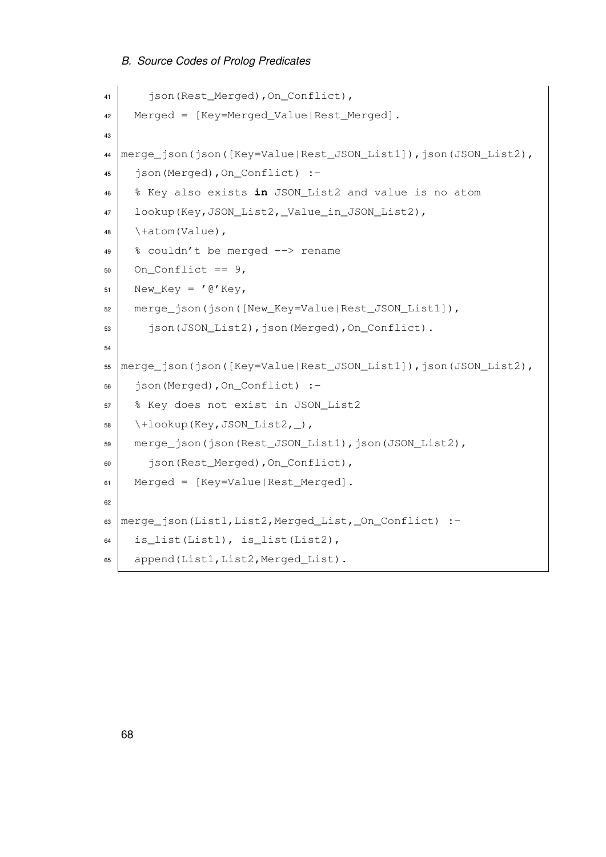```
41 json(Rest_Merged),On_Conflict),
42 Merged = [Key=Merged_Value|Rest_Merged].
43
44 merge_json(json([Key=Value|Rest_JSON_List1]),json(JSON_List2),
45 json(Merged),On_Conflict) :-
46 % Key also exists in JSON_List2 and value is no atom
47 lookup(Key,JSON_List2,_Value_in_JSON_List2),
48 \setminus +atom(Value),
49 % couldn't be merged \rightarrow rename
50 On_Conflict == 9,
51 New_Key = '\theta'Key,
52 merge json(json([New Key=Value|Rest JSON List1]),
53 json(JSON_List2), json(Merged), On_Conflict).
54
55 | merge_json(json([Key=Value|Rest_JSON_List1]), json(JSON_List2),
56 json(Merged),On_Conflict) :-
57 % Key does not exist in JSON_List2
58 \mid \setminus + \text{lookup}(Key, JSON\_List2, \_),59 merge json(json(Rest JSON List1), json(JSON List2),
60 json(Rest_Merged),On_Conflict),
61 Merged = [Key=Value|Rest_Merged].
62
63 | merge_json(List1, List2, Merged_List, _On_Conflict) :-
64 is_list(List1), is_list(List2),
65 append(List1, List2, Merged List).
```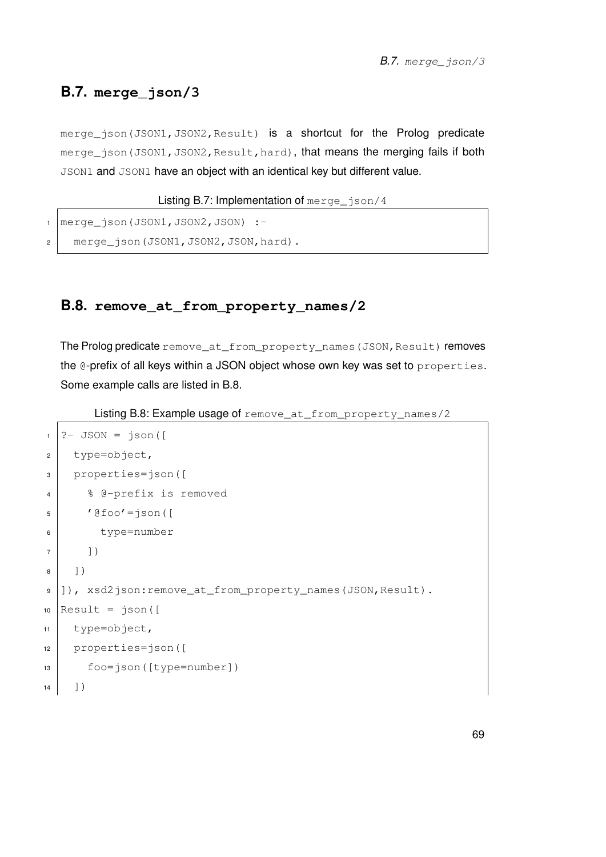### **B.7. merge\_json/3**

merge\_json(JSON1, JSON2, Result) is a shortcut for the Prolog predicate merge json (JSON1, JSON2, Result, hard), that means the merging fails if both JSON1 and JSON1 have an object with an identical key but different value.

```
Listing B.7: Implementation of merge json/4
```

```
merge_json(JSON1,JSON2,JSON) :-
2 \mid merge json(JSON1, JSON2, JSON, hard).
```
### **B.8. remove\_at\_from\_property\_names/2**

The Prolog predicate remove\_at\_from\_property\_names(JSON, Result) removes the @-prefix of all keys within a JSON object whose own key was set to properties. Some example calls are listed in [B.8.](#page-76-0)

<span id="page-76-0"></span>Listing B.8: Example usage of remove\_at\_from\_property\_names/2

```
1 ?- JSON = json([
2 \mid \text{type=object}3 properties=json([
4 % @-prefix is removed
5 '@foo'=json([
6 type=number
7 ])
8 \mid 1)9 |]), xsd2json:remove_at_from_property_names(JSON,Result).
10 Result = json([
11 type=object,
12 properties=json([
13 foo=json([type=number])
14 ])
```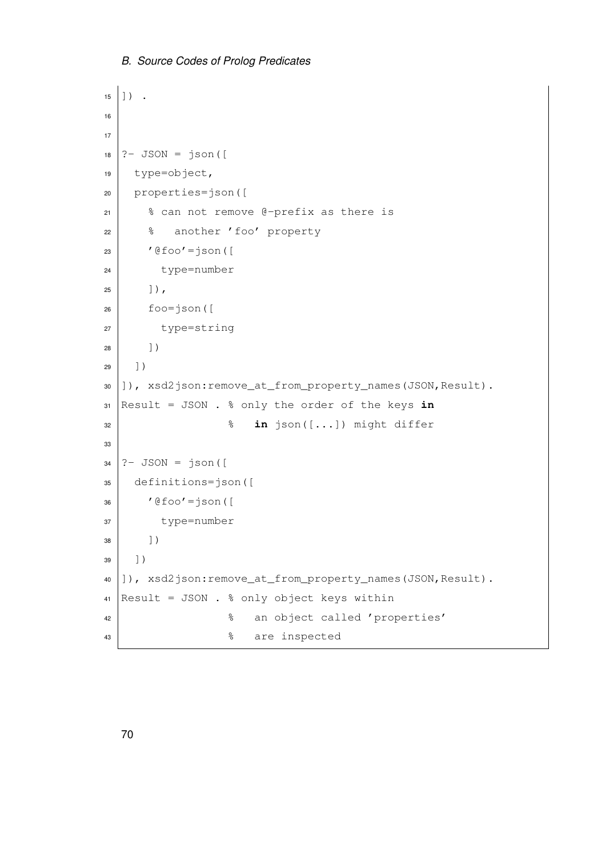```
15 \mid 1) .
16
17
18 ? - JSON = json([
19 type=object,
20 properties=json([
21 % can not remove @-prefix as there is
22 % another 'foo' property
23 '@foo'=json([
24 type=number
25 ]),
26 foo=json([
27 type=string
28 ])
29 \mid 1)30 ]), xsd2json:remove_at_from_property_names(JSON,Result).
31 Result = JSON . % only the order of the keys in
32 % in json([...]) might differ
33
34 ? - JSON = json([35 definitions=json([
36 '@foo'=json([
37 type=number
38 ])
39 \mid 1)40 | ]), xsd2json: remove_at_from_property_names(JSON, Result).
41 Result = JSON . % only object keys within
42 % an object called 'properties'
43 | \frac{1}{3} are inspected
```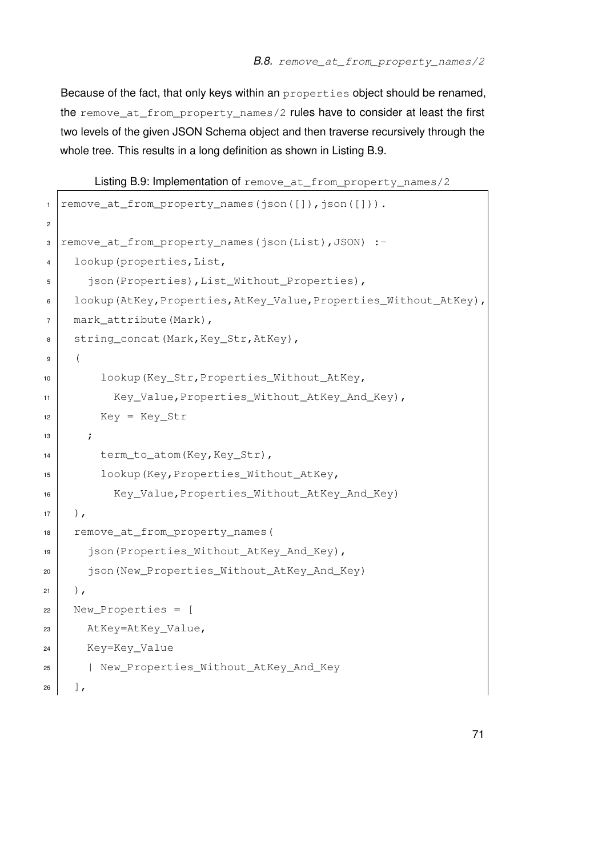Because of the fact, that only keys within an properties object should be renamed, the remove\_at\_from\_property\_names/2 rules have to consider at least the first two levels of the given JSON Schema object and then traverse recursively through the whole tree. This results in a long definition as shown in Listing [B.9.](#page-78-0)

<span id="page-78-0"></span>Listing B.9: Implementation of remove\_at\_from\_property\_names/2

```
1 | remove_at_from_property_names(json([]),json([])).
2
3 remove_at_from_property_names(json(List),JSON) :-
4 lookup (properties, List,
5 json(Properties), List_Without_Properties),
6 | lookup(AtKey, Properties, AtKey_Value, Properties_Without_AtKey),
7 mark attribute(Mark),
8 string_concat(Mark, Key_Str, AtKey),
9 (
10 lookup(Key_Str,Properties_Without_AtKey,
11 | Key_Value, Properties_Without_AtKey_And_Key),
12 Key = Key_Str
\frac{13}{7} ;
14 term_to_atom(Key, Key_Str),
15 lookup (Key, Properties Without AtKey,
16 Key_Value,Properties_Without_AtKey_And_Key)
17 \mid ),
18 remove at from property names (
19 json(Properties_Without_AtKey_And_Key),
20 json(New_Properties_Without_AtKey_And_Key)
21 \mid ),
22 New_Properties = [
23 AtKey=AtKey_Value,
24 Key=Key_Value
25 | New_Properties_Without_AtKey_And_Key
26 ],
```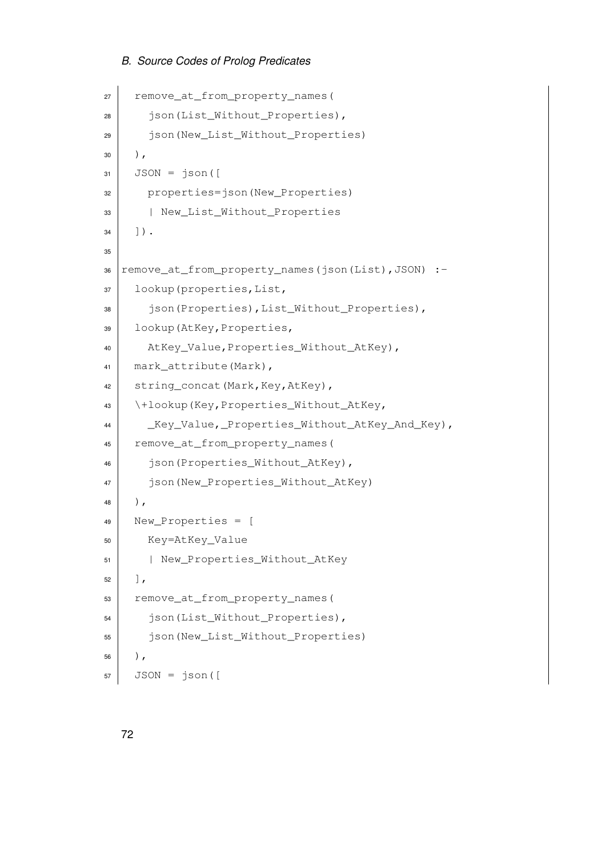```
27 remove_at_from_property_names(
28 json(List_Without_Properties),
29 json(New_List_Without_Properties)
30 \mid ),
31 JSON = json([
32 properties=json(New_Properties)
33 | New_List_Without_Properties
34 ]).
35
36 | remove_at_from_property_names(json(List), JSON) :-
37 | lookup (properties, List,
38 json(Properties), List Without Properties),
39 lookup(AtKey,Properties,
40 AtKey_Value, Properties_Without_AtKey),
41 mark_attribute(Mark),
42 string_concat(Mark, Key, AtKey),
43 \+lookup(Key,Properties_Without_AtKey,
44 | Key_Value, Properties_Without_AtKey_And_Key),
45 remove at from property names(
46 json(Properties_Without_AtKey),
47 json(New_Properties_Without_AtKey)
48 ),
49 New_Properties = [
50 Key=AtKey_Value
51 | New Properties Without AtKey
52 ],
53 remove_at_from_property_names(
54 json(List_Without_Properties),
55 json(New List Without Properties)
56),
57 JSON = \text{ison} ([
```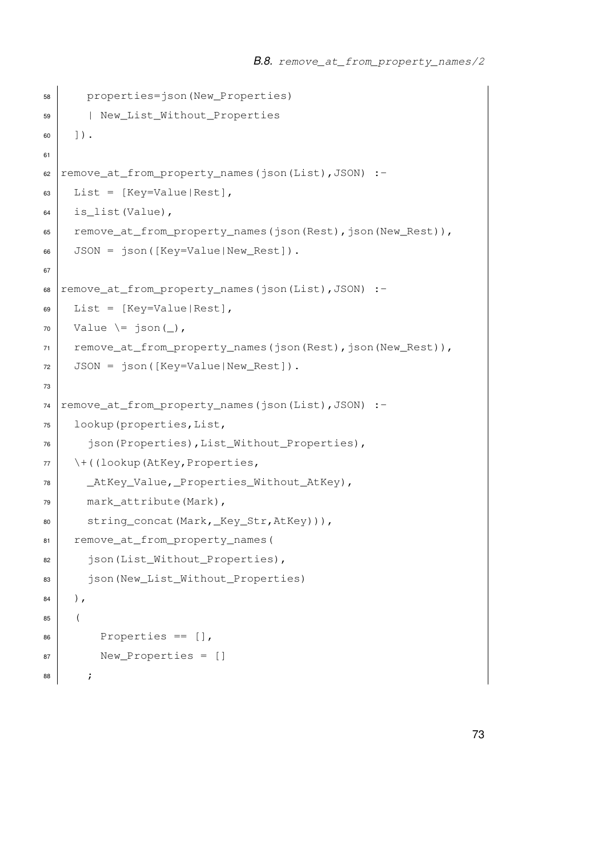```
58 properties=json(New_Properties)
59 | New_List_Without_Properties
60 | | \rangle.
61
62 remove_at_from_property_names(json(List),JSON):
63 List = [Key=Value|Rest],
64 is_list(Value),
65 remove_at_from_property_names(json(Rest),json(New_Rest)),
66 JSON = json([Key=Value|New_Rest]).
67
68 remove_at_from_property_names(json(List),JSON):-
69 List = Kev=Value|Rest|,
70 Value \leftarrow json(),
71 | remove_at_from_property_names(json(Rest),json(New_Rest)),
72 JSON = json([Key=Value|New_Rest]).
73
74 remove_at_from_property_names(json(List),JSON) :-
75 lookup(properties,List,
76 ison(Properties), List Without Properties),
77 \+((lookup(AtKey, Properties,
78 | AtKey_Value, Properties_Without_AtKey),
79 mark_attribute(Mark),
80 string_concat(Mark,_Key_Str,AtKey))),
81 remove_at_from_property_names(
82 json(List_Without_Properties),
83 | json(New_List_Without_Properties)
84 \mid ),
85 (
86 Properties == [],
87 New_Properties = []
88 ;
```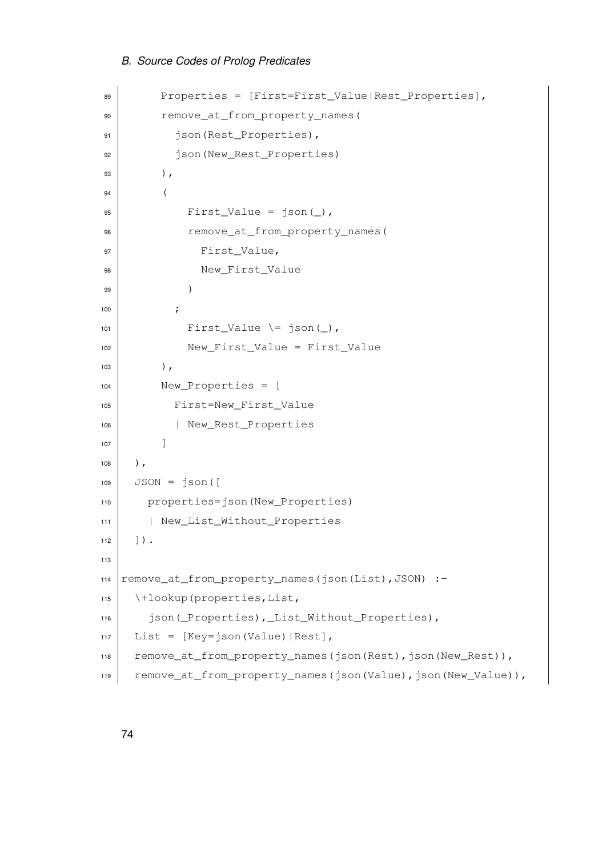```
89 Properties = [First=First_Value|Rest_Properties],
90 remove_at_from_property_names(
91 json(Rest_Properties),
92 json(New_Rest_Properties)
93 ),
94 (
95 First_Value = json(_),
96 remove_at_from_property_names(
97 First_Value,
98 New_First_Value
99 )
\begin{array}{ccc} 100 & \end{array} ;
101 First_Value \ge json(),
102 New_First_Value = First_Value
103 ),
104 New_Properties = [
105 First=New_First_Value
106 | New_Rest_Properties
107 ]
108 ),
109 JSON = \text{r} json([
110 properties=json(New Properties)
111 | New_List_Without_Properties
112 \vert \rangle.
113
114 | remove_at_from_property_names(json(List), JSON) :-
115 \setminus +lookup (properties, List,
116 json(_Properties),_List_Without_Properties),
117 | List = [Key=json(Value) | Rest],
118 remove_at_from_property_names(json(Rest),json(New_Rest)),
119 remove_at_from_property_names(json(Value),json(New_Value)),
```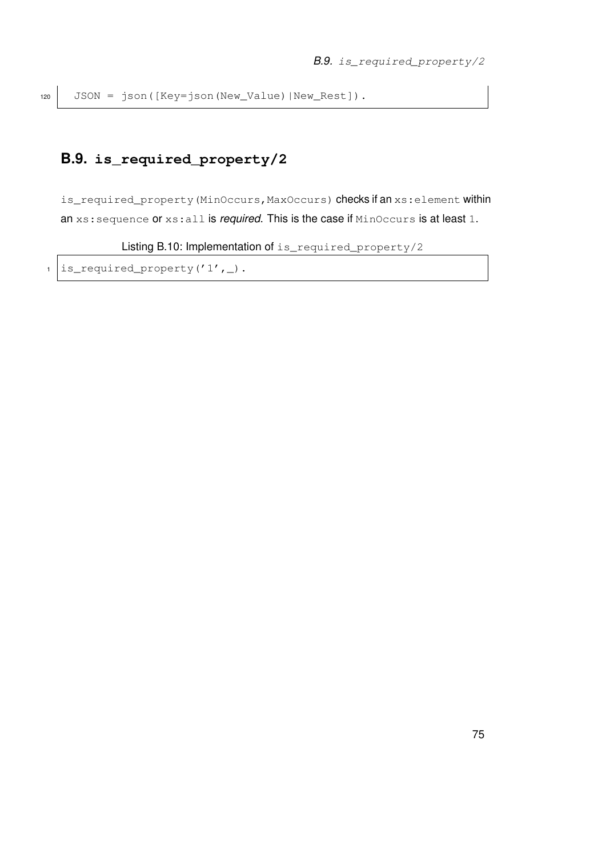## **B.9. is\_required\_property/2**

is\_required\_property(MinOccurs, MaxOccurs) checks if an xs: element within an xs:sequence or xs:all is *required*. This is the case if MinOccurs is at least 1.

Listing B.10: Implementation of is\_required\_property/2

 $1$  is\_required\_property('1',\_).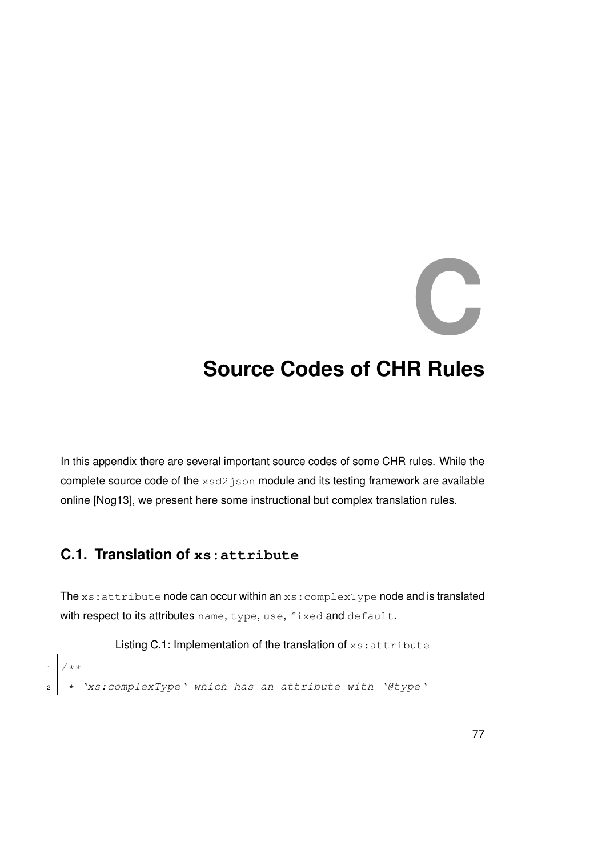# **C**

# **Source Codes of CHR Rules**

In this appendix there are several important source codes of some CHR rules. While the complete source code of the xsd2 json module and its testing framework are available online [\[Nog13\]](#page-96-0), we present here some instructional but complex translation rules.

## **C.1. Translation of xs:attribute**

The xs: attribute node can occur within an xs: complexType node and is translated with respect to its attributes name, type, use, fixed and default.

Listing C.1: Implementation of the translation of xs: attribute

```
1 / * *\begin{array}{ccc} \texttt{2} & \star & \texttt{Y} \texttt{xs:complexType} \end{array} which has an attribute with '@type'
```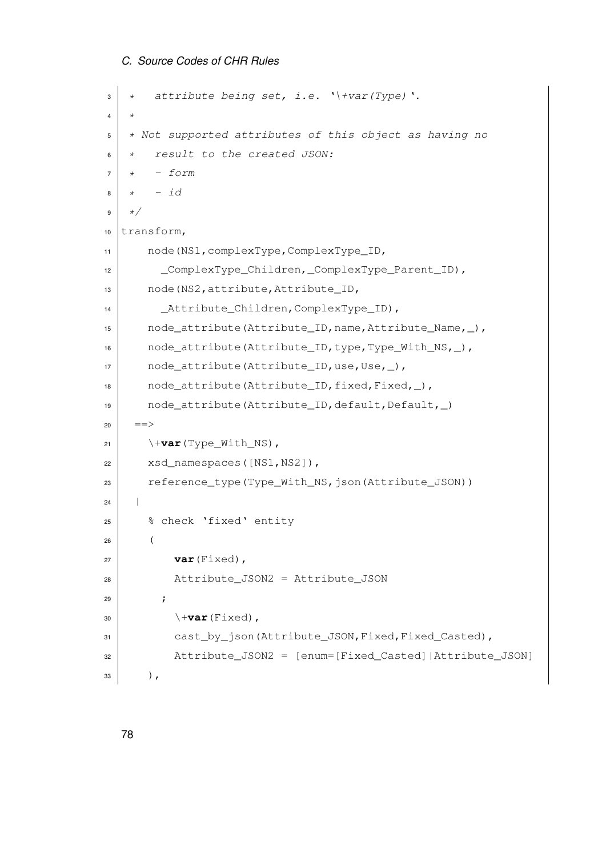```
\vert x \vert * attribute being set, i.e. '\+var(Type)'.
\overline{4}5 \times Not supported attributes of this object as having no
6 \mid * \quad result to the created JSON:
7 \mid x \mid - form
8 \mid x \mid - \text{id}9 \times10 transform,
11 | node(NS1, complexType, ComplexType_ID,
12 | ComplexType_Children, ComplexType_Parent_ID),
13 node(NS2, attribute, Attribute_ID,
14 Attribute Children, ComplexType ID),
15 node_attribute(Attribute_ID, name, Attribute_Name, _),
16 node_attribute(Attribute_ID,type,Type_With_NS,_),
17 node_attribute(Attribute_ID,use,Use,_),
18 node_attribute(Attribute_ID, fixed, Fixed, ),
19 \vert node_attribute(Attribute_ID,default,Default, \rangle)
20 ==>
21 \forall +var (Type_With_NS),
22 xsd_namespaces([NS1, NS2]),
23 reference_type(Type_With_NS,json(Attribute_JSON))
24 |
25 % check 'fixed' entity
26 (
27 var (Fixed),
28 Attribute_JSON2 = Attribute_JSON
29 ;
30 \left| \right\rangle \forallvar (Fixed),
31 cast by json(Attribute JSON, Fixed, Fixed Casted),
32 Attribute_JSON2 = [enum=[Fixed_Casted]|Attribute_JSON]
33 \mid ),
```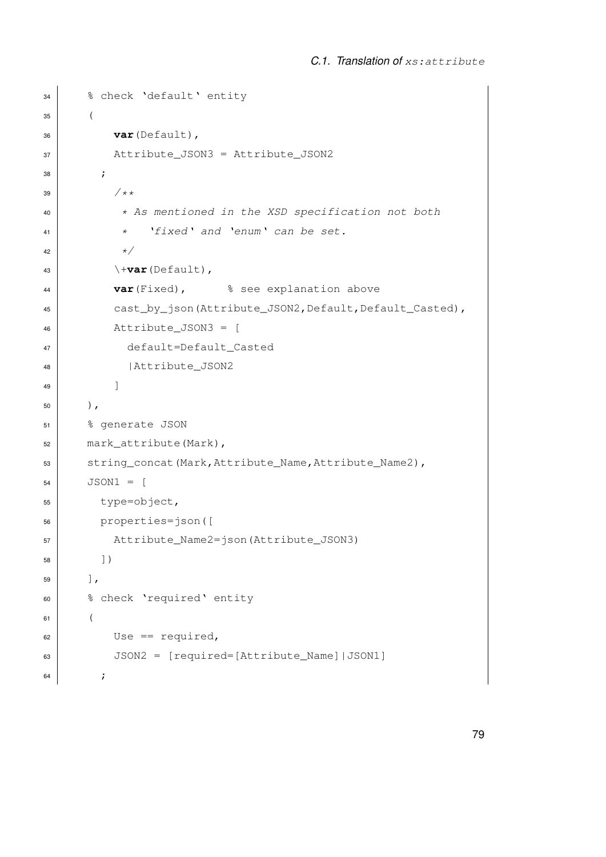```
34 % check 'default' entity
35 (
36 var(Default),
37 Attribute_JSON3 = Attribute_JSON2
38 ;
39 /**40 * As mentioned in the XSD specification not both
* 'fixed' and 'enum' can be set.
42 \rightarrow43 \forall +var (Default),
44 var(Fixed), % see explanation above
45 cast by json(Attribute JSON2, Default, Default Casted),
46 Attribute_JSON3 = [
47 default=Default_Casted
48 | Attribute_JSON2
49 ]
50 ),
51 % generate JSON
52 mark_attribute(Mark),
53 string_concat(Mark,Attribute_Name,Attribute_Name2),
54 JSON1 = [
55 type=object,
56 properties=json([
57 Attribute_Name2=json(Attribute_JSON3)
58 ])
59 ],
60 % check 'required' entity
61 (
0s = \text{required},
63 JSON2 = [required=[Attribute_Name]|JSON1]
64 ;
```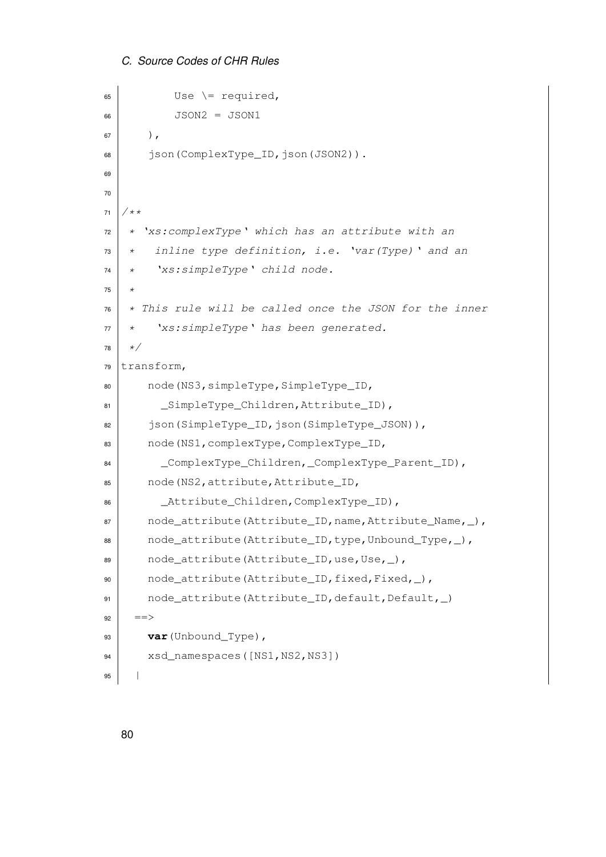*C. Source Codes of CHR Rules*

```
65 Use \left\vert \right. Use \left\vert \right. required,
66 JSON2 = JSON1
67 ),
68 | json(ComplexType_ID, json(JSON2)).
69
70
71 / * *72 * 'xs: complexType' which has an attribute with an
\begin{array}{cc} \text{73} & * & \text{inline type definition, i.e. } \end{array} var (Type) ' and an
74 * 'xs:simpleType' child node.
75 *
76 \star This rule will be called once the JSON for the inner
77 \mid * \text{ 'xs:} simpleType' has been generated.
78 \times79 transform,
80 node(NS3,simpleType,SimpleType_ID,
81 | SimpleType_Children, Attribute_ID),
82 json(SimpleType_ID,json(SimpleType_JSON)),
83 node(NS1, complexType, ComplexType ID,
84 ComplexType_Children, ComplexType_Parent_ID),
85 node(NS2, attribute, Attribute_ID,
86 Attribute Children, ComplexType ID),
\vert node_attribute(Attribute_ID, name, Attribute_Name, \vert),
88 node_attribute(Attribute_ID,type,Unbound_Type, ),
89 node_attribute(Attribute_ID,use,Use,_),
90 node_attribute(Attribute_ID, fixed, Fixed, _),
91 node_attribute(Attribute_ID,default,Default, )92 ==>
93 var(Unbound_Type),
94 xsd_namespaces([NS1, NS2, NS3])
95 |
```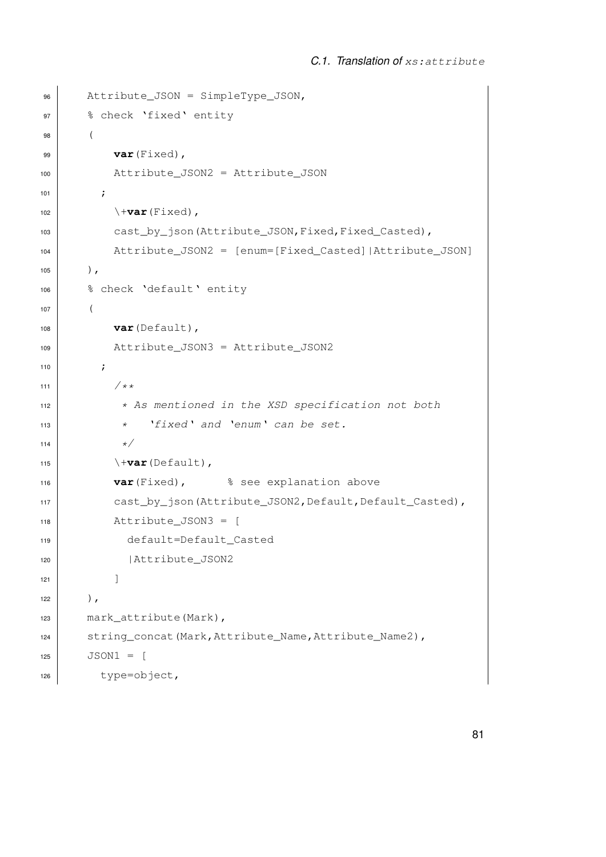```
96 Attribute_JSON = SimpleType_JSON,
97 | % check 'fixed' entity
98 (
99 var(Fixed),
100 Attribute_JSON2 = Attribute_JSON
101 ;
102 \ \ + var (Fixed),
103 cast_by_json(Attribute_JSON, Fixed, Fixed_Casted),
104 Attribute_JSON2 = [enum=[Fixed_Casted]|Attribute_JSON]
105 ),
106 | % check 'default' entity
107 (
108 var(Default),
109 Attribute_JSON3 = Attribute_JSON2
110 \vert ;
111 /*112 \star As mentioned in the XSD specification not both
\begin{array}{ccc} \hbox{113} & \hbox{113} & \hbox{113} \\ \hbox{114} & \hbox{114} & \hbox{114} & \hbox{114} \\ \hbox{115} & \hbox{116} & \hbox{117} & \hbox{117} \\ \hbox{116} & \hbox{117} & \hbox{117} & \hbox{118} \\ \hbox{117} & \hbox{118} & \hbox{118} & \hbox{118} \\ \hbox{118} & \hbox{118} & \hbox{118} & \hbox{118} \\ \hbox{11114 \vert \star /
115 \forall +var(Default),
116 var(Fixed), % see explanation above
117 | cast_by_json(Attribute_JSON2, Default, Default_Casted),
118 Attribute_JSON3 = [
119 default=Default_Casted
120 | Attribute JSON2
121 ]
122 ),
123 mark_attribute(Mark),
124 string_concat(Mark, Attribute_Name, Attribute_Name2),
125 JSON1 = [
126 type=object,
```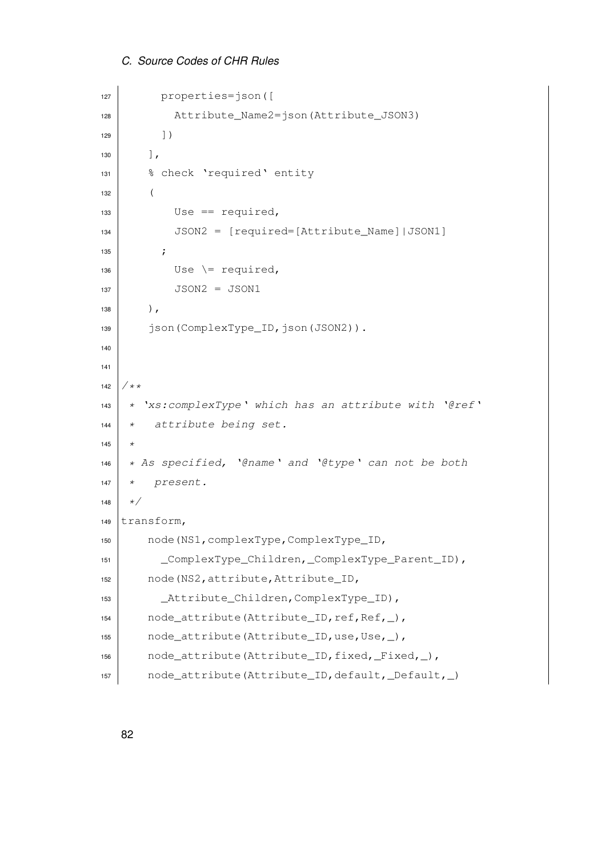```
C. Source Codes of CHR Rules
```

```
127 properties=json([
128 Attribute_Name2=json(Attribute_JSON3)
129 ] )
130 ],
131 | % check 'required' entity
132 (
133 Use == required,
_{134} JSON2 = [required=[Attribute Name]|JSON1]
\overline{\phantom{a}} 135 \overline{\phantom{a}} ;
136 Use \le required,
137 JSON2 = JSON1
138,
139 json(ComplexType_ID, json(JSON2)).
140
141
142 / * *
143 * 'xs:complexType' which has an attribute with '@ref'
144 * attribute being set.
145 \star146 * As specified, '@name' and '@type' can not be both
147 \mid * \text{ present.}148 \star/149 transform,
150 node(NS1,complexType,ComplexType_ID,
151 | ComplexType_Children, ComplexType_Parent_ID),
152 node(NS2, attribute, Attribute_ID,
153 | Attribute_Children, ComplexType_ID),
154 node_attribute(Attribute_ID,ref,Ref,_),
155 node attribute(Attribute ID,use, Use, ),
156 node_attribute(Attribute_ID,fixed,_Fixed,_),
157 node_attribute(Attribute_ID,default,_Default,_)
```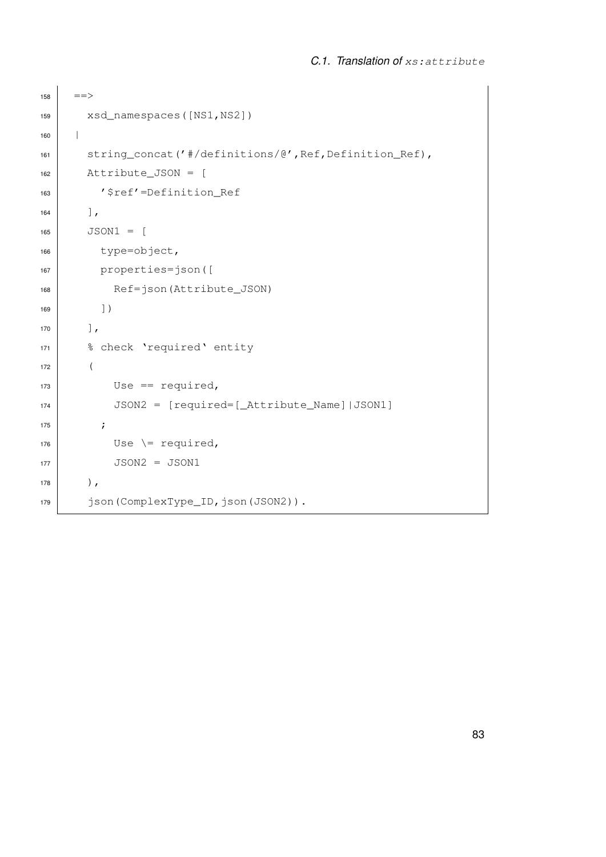```
158 = = >
159 xsd_namespaces([NS1,NS2])
160 |
161 string_concat('#/definitions/@',Ref,Definition_Ref),
162 Attribute_JSON = [
163 | '$ref'=Definition_Ref
164 ],
165 JSON1 = [
166 type=object,
167 properties=json([
168 Ref=json(Attribute_JSON)
169 1)
170 ],
171 | % check 'required' entity
172 (
173 Use == required,
174 JSON2 = [required=[_Attribute_Name]|JSON1]
175 ;
176 Use \leq required,
JSON2 = JSON1178 ),
179 | json(ComplexType_ID,json(JSON2)).
```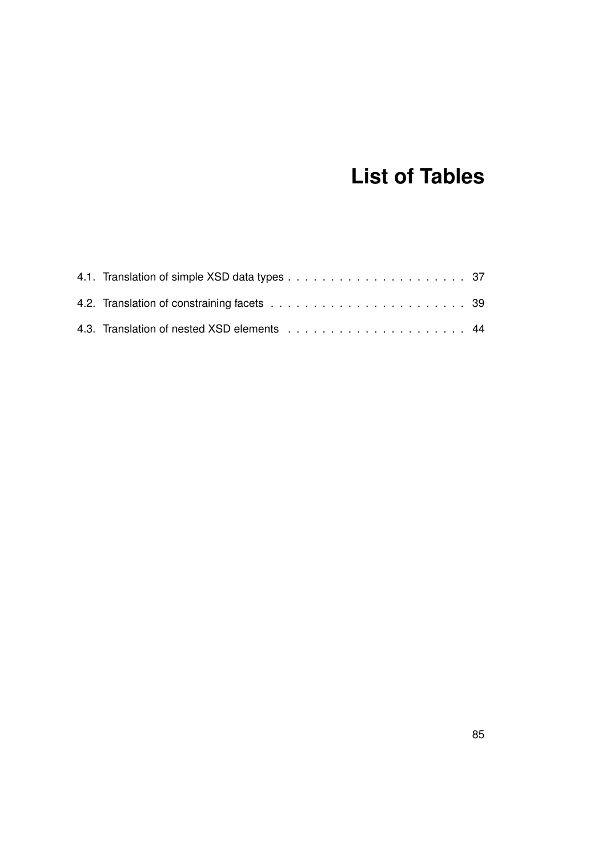# **List of Tables**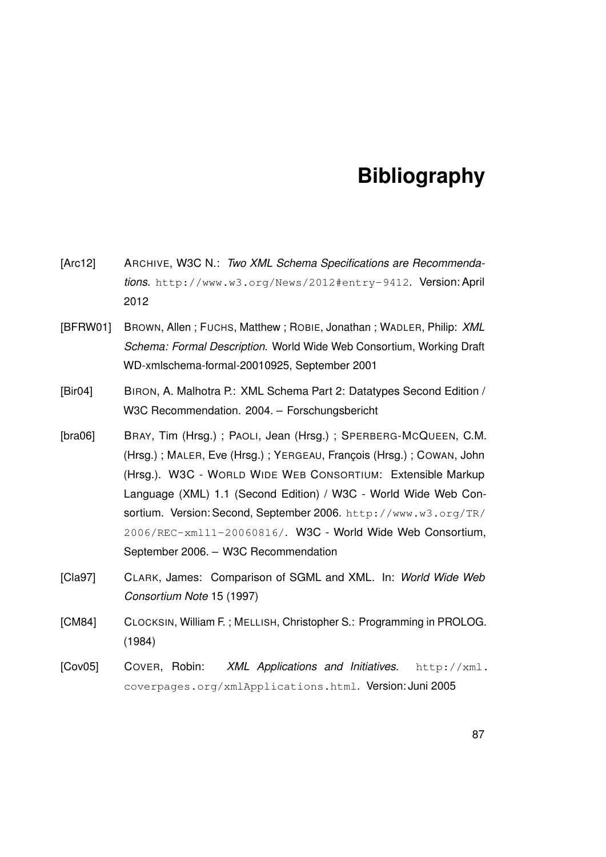## **Bibliography**

- [Arc12] ARCHIVE, W3C N.: *Two XML Schema Specifications are Recommendations*. <http://www.w3.org/News/2012#entry-9412>. Version: April 2012
- [BFRW01] BROWN, Allen ; FUCHS, Matthew ; ROBIE, Jonathan ; WADLER, Philip: *XML Schema: Formal Description*. World Wide Web Consortium, Working Draft WD-xmlschema-formal-20010925, September 2001
- [Bir04] BIRON, A. Malhotra P.: XML Schema Part 2: Datatypes Second Edition / W3C Recommendation. 2004. – Forschungsbericht
- [bra06] BRAY, Tim (Hrsg.) ; PAOLI, Jean (Hrsg.) ; SPERBERG-MCQUEEN, C.M. (Hrsg.) ; MALER, Eve (Hrsg.) ; YERGEAU, François (Hrsg.) ; COWAN, John (Hrsg.). W3C - WORLD WIDE WEB CONSORTIUM: Extensible Markup Language (XML) 1.1 (Second Edition) / W3C - World Wide Web Consortium. Version: Second, September 2006. [http://www.w3.org/TR/](http://www.w3.org/TR/2006/REC-xml11-20060816/) [2006/REC-xml11-20060816/](http://www.w3.org/TR/2006/REC-xml11-20060816/). W3C - World Wide Web Consortium, September 2006. – W3C Recommendation
- [Cla97] CLARK, James: Comparison of SGML and XML. In: *World Wide Web Consortium Note* 15 (1997)
- [CM84] CLOCKSIN, William F. ; MELLISH, Christopher S.: Programming in PROLOG. (1984)
- [Cov05] COVER, Robin: *XML Applications and Initiatives*. [http://xml.](http://xml.coverpages.org/xmlApplications.html) [coverpages.org/xmlApplications.html](http://xml.coverpages.org/xmlApplications.html). Version: Juni 2005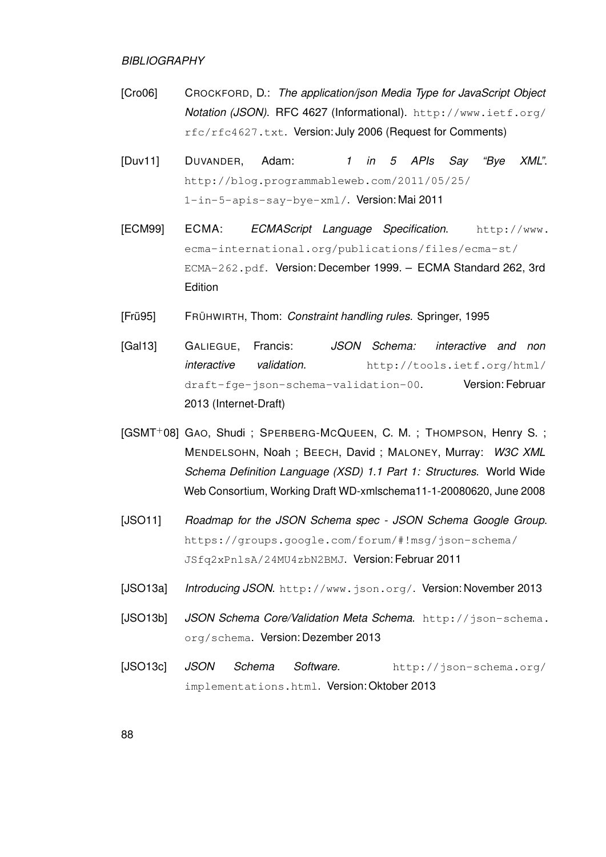#### *BIBLIOGRAPHY*

- [Cro06] CROCKFORD, D.: *The application/json Media Type for JavaScript Object Notation (JSON)*. RFC 4627 (Informational). [http://www.ietf.org/](http://www.ietf.org/rfc/rfc4627.txt) [rfc/rfc4627.txt](http://www.ietf.org/rfc/rfc4627.txt). Version: July 2006 (Request for Comments)
- [Duv11] DUVANDER, Adam: *1 in 5 APIs Say "Bye XML"*. [http://blog.programmableweb.com/2011/05/25/](http://blog.programmableweb.com/2011/05/25/1-in-5-apis-say-bye-xml/) [1-in-5-apis-say-bye-xml/](http://blog.programmableweb.com/2011/05/25/1-in-5-apis-say-bye-xml/). Version: Mai 2011
- [ECM99] ECMA: *ECMAScript Language Specification*. [http://www.](http://www.ecma-international.org/publications/files/ecma-st/ECMA-262.pdf) [ecma-international.org/publications/files/ecma-st/](http://www.ecma-international.org/publications/files/ecma-st/ECMA-262.pdf) [ECMA-262.pdf](http://www.ecma-international.org/publications/files/ecma-st/ECMA-262.pdf). Version: December 1999. – ECMA Standard 262, 3rd **Edition**
- [Frü95] FRÜHWIRTH, Thom: *Constraint handling rules*. Springer, 1995
- [Gal13] GALIEGUE, Francis: *JSON Schema: interactive and non interactive validation*. [http://tools.ietf.org/html/](http://tools.ietf.org/html/draft-fge-json-schema-validation-00) [draft-fge-json-schema-validation-00](http://tools.ietf.org/html/draft-fge-json-schema-validation-00). Version: Februar 2013 (Internet-Draft)
- [GSMT+08] GAO, Shudi ; SPERBERG-MCQUEEN, C. M. ; THOMPSON, Henry S. ; MENDELSOHN, Noah ; BEECH, David ; MALONEY, Murray: *W3C XML Schema Definition Language (XSD) 1.1 Part 1: Structures*. World Wide Web Consortium, Working Draft WD-xmlschema11-1-20080620, June 2008
- [JSO11] Roadmap for the JSON Schema spec JSON Schema Google Group. [https://groups.google.com/forum/#!msg/json-schema/](https://groups.google.com/forum/#!msg/json-schema/JSfq2xPnlsA/24MU4zbN2BMJ) [JSfq2xPnlsA/24MU4zbN2BMJ](https://groups.google.com/forum/#!msg/json-schema/JSfq2xPnlsA/24MU4zbN2BMJ). Version: Februar 2011
- [JSO13a] *Introducing JSON*. <http://www.json.org/>. Version: November 2013
- [JSO13b] *JSON Schema Core/Validation Meta Schema*. [http://json-schema.](http://json-schema.org/schema) [org/schema](http://json-schema.org/schema). Version: Dezember 2013
- [JSO13c] *JSON Schema Software*. [http://json-schema.org/](http://json-schema.org/implementations.html) [implementations.html](http://json-schema.org/implementations.html). Version: Oktober 2013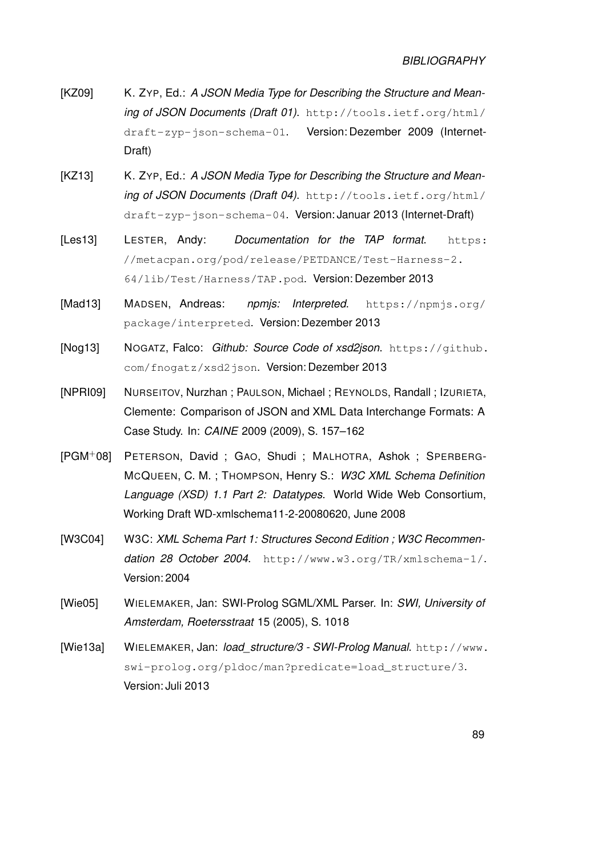- [KZ09] K. ZYP, Ed.: A JSON Media Type for Describing the Structure and Mean*ing of JSON Documents (Draft 01)*. [http://tools.ietf.org/html/](http://tools.ietf.org/html/draft-zyp-json-schema-01) [draft-zyp-json-schema-01](http://tools.ietf.org/html/draft-zyp-json-schema-01). Version: Dezember 2009 (Internet-Draft)
- [KZ13] K. ZYP, Ed.: A JSON Media Type for Describing the Structure and Mean*ing of JSON Documents (Draft 04)*. [http://tools.ietf.org/html/](http://tools.ietf.org/html/draft-zyp-json-schema-04) [draft-zyp-json-schema-04](http://tools.ietf.org/html/draft-zyp-json-schema-04). Version: Januar 2013 (Internet-Draft)
- [Les13] LESTER, Andy: *Documentation for the TAP format*. [https:](https://metacpan.org/pod/release/PETDANCE/Test-Harness-2.64/lib/Test/Harness/TAP.pod) [//metacpan.org/pod/release/PETDANCE/Test-Harness-2.](https://metacpan.org/pod/release/PETDANCE/Test-Harness-2.64/lib/Test/Harness/TAP.pod) [64/lib/Test/Harness/TAP.pod](https://metacpan.org/pod/release/PETDANCE/Test-Harness-2.64/lib/Test/Harness/TAP.pod). Version: Dezember 2013
- [Mad13] MADSEN, Andreas: *npmjs: Interpreted*. [https://npmjs.org/](https://npmjs.org/package/interpreted) [package/interpreted](https://npmjs.org/package/interpreted). Version: Dezember 2013
- <span id="page-96-0"></span>[Nog13] NOGATZ, Falco: *Github: Source Code of xsd2json*. [https://github.](https://github.com/fnogatz/xsd2json) [com/fnogatz/xsd2json](https://github.com/fnogatz/xsd2json). Version: Dezember 2013
- [NPRI09] NURSEITOV, Nurzhan ; PAULSON, Michael ; REYNOLDS, Randall ; IZURIETA, Clemente: Comparison of JSON and XML Data Interchange Formats: A Case Study. In: *CAINE* 2009 (2009), S. 157–162
- [PGM+08] PETERSON, David ; GAO, Shudi ; MALHOTRA, Ashok ; SPERBERG-MCQUEEN, C. M. ; THOMPSON, Henry S.: *W3C XML Schema Definition Language (XSD) 1.1 Part 2: Datatypes*. World Wide Web Consortium, Working Draft WD-xmlschema11-2-20080620, June 2008
- [W3C04] W3C: *XML Schema Part 1: Structures Second Edition ; W3C Recommendation 28 October 2004*. <http://www.w3.org/TR/xmlschema-1/>. Version: 2004
- [Wie05] WIELEMAKER, Jan: SWI-Prolog SGML/XML Parser. In: *SWI, University of Amsterdam, Roetersstraat* 15 (2005), S. 1018
- [Wie13a] WIELEMAKER, Jan: *load\_structure/3 SWI-Prolog Manual*. [http://www.](http://www.swi-prolog.org/pldoc/man?predicate=load_structure/3) [swi-prolog.org/pldoc/man?predicate=load\\_structure/3](http://www.swi-prolog.org/pldoc/man?predicate=load_structure/3). Version: Juli 2013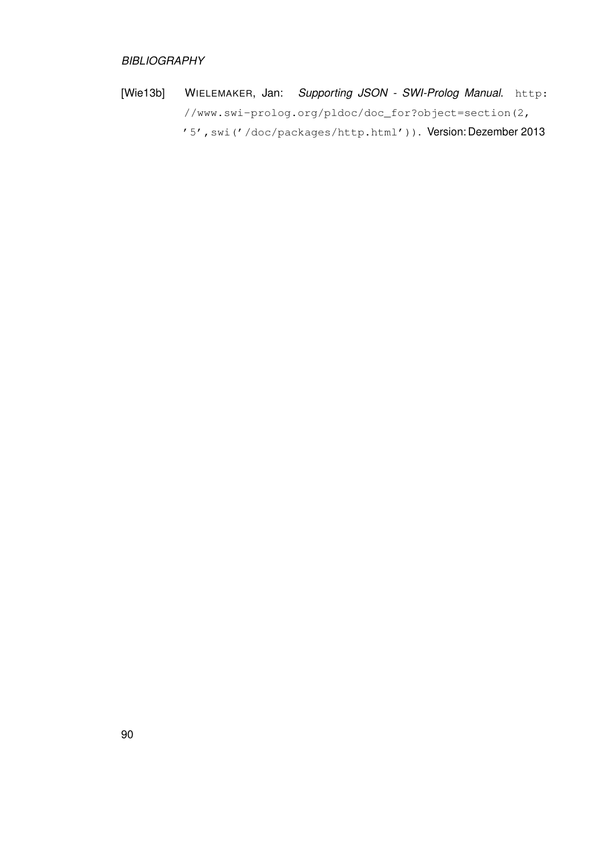### *BIBLIOGRAPHY*

[Wie13b] WIELEMAKER, Jan: *Supporting JSON - SWI-Prolog Manual*. [http:](http://www.swi-prolog.org/pldoc/doc_for?object=section(2,) [//www.swi-prolog.org/pldoc/doc\\_for?object=section\(2,](http://www.swi-prolog.org/pldoc/doc_for?object=section(2,) ['5',swi\('/doc/packages/http.html'\)\)](http://www.swi-prolog.org/pldoc/doc_for?object=section(2,). Version: Dezember 2013